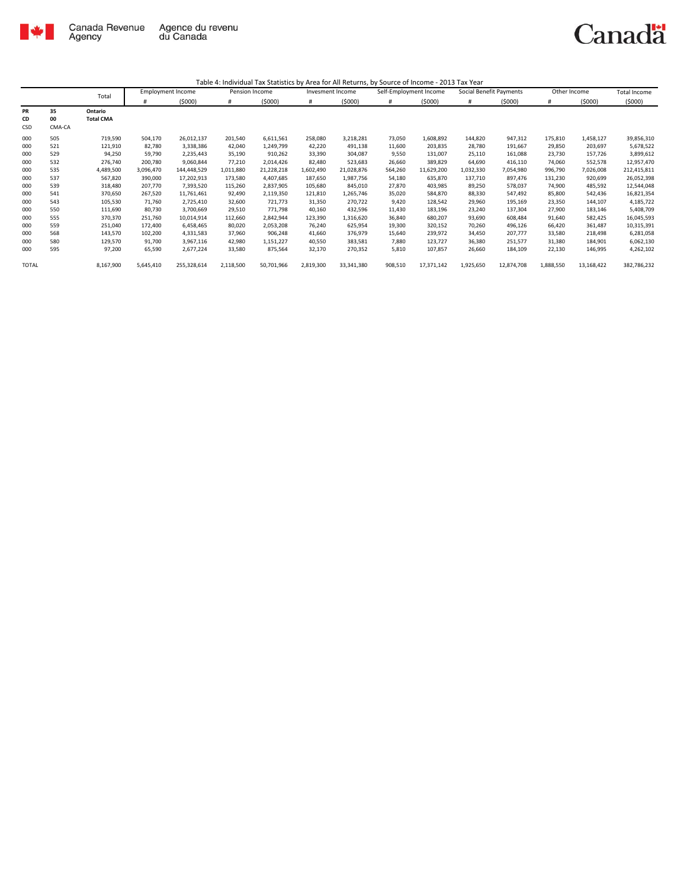

|           |        | Total            |           | <b>Employment Income</b> | Pension Income |            | Invesment Income |            | Self-Employment Income |            | Social Benefit Payments |            | Other Income |            | Total Income |
|-----------|--------|------------------|-----------|--------------------------|----------------|------------|------------------|------------|------------------------|------------|-------------------------|------------|--------------|------------|--------------|
|           |        |                  | #         | (5000)                   | #              | (5000)     | #                | (5000)     | #                      | (5000)     | #                       | (5000)     | #            | (5000)     | (5000)       |
| <b>PR</b> | 35     | Ontario          |           |                          |                |            |                  |            |                        |            |                         |            |              |            |              |
| CD        | 00     | <b>Total CMA</b> |           |                          |                |            |                  |            |                        |            |                         |            |              |            |              |
| CSD       | CMA-CA |                  |           |                          |                |            |                  |            |                        |            |                         |            |              |            |              |
| 000       | 505    | 719,590          | 504,170   | 26,012,137               | 201,540        | 6,611,561  | 258,080          | 3,218,281  | 73,050                 | 1,608,892  | 144,820                 | 947,312    | 175,810      | 1,458,127  | 39,856,310   |
| 000       | 521    | 121,910          | 82,780    | 3,338,386                | 42,040         | 1,249,799  | 42,220           | 491,138    | 11,600                 | 203,835    | 28,780                  | 191,667    | 29,850       | 203,697    | 5,678,522    |
| 000       | 529    | 94,250           | 59,790    | 2,235,443                | 35,190         | 910,262    | 33,390           | 304,087    | 9,550                  | 131,007    | 25,110                  | 161,088    | 23,730       | 157,726    | 3,899,612    |
| 000       | 532    | 276,740          | 200,780   | 9,060,844                | 77,210         | 2,014,426  | 82,480           | 523,683    | 26,660                 | 389,829    | 64,690                  | 416,110    | 74,060       | 552,578    | 12,957,470   |
| 000       | 535    | 4,489,500        | 3,096,470 | 144,448,529              | 1,011,880      | 21,228,218 | 1,602,490        | 21,028,876 | 564,260                | 11,629,200 | 1,032,330               | 7,054,980  | 996,790      | 7,026,008  | 212,415,811  |
| 000       | 537    | 567,820          | 390,000   | 17,202,913               | 173,580        | 4,407,685  | 187,650          | 1,987,756  | 54,180                 | 635,870    | 137,710                 | 897,476    | 131,230      | 920,699    | 26,052,398   |
| 000       | 539    | 318,480          | 207,770   | 7,393,520                | 115,260        | 2,837,905  | 105,680          | 845,010    | 27,870                 | 403,985    | 89,250                  | 578,037    | 74,900       | 485,592    | 12,544,048   |
| 000       | 541    | 370,650          | 267,520   | 11,761,461               | 92,490         | 2,119,350  | 121,810          | 1,265,746  | 35,020                 | 584,870    | 88,330                  | 547,492    | 85,800       | 542,436    | 16,821,354   |
| 000       | 543    | 105,530          | 71,760    | 2,725,410                | 32,600         | 721,773    | 31,350           | 270,722    | 9,420                  | 128,542    | 29,960                  | 195,169    | 23,350       | 144,107    | 4,185,722    |
| 000       | 550    | 111,690          | 80,730    | 3,700,669                | 29,510         | 771,798    | 40,160           | 432,596    | 11,430                 | 183,196    | 23,240                  | 137,304    | 27,900       | 183,146    | 5,408,709    |
| 000       | 555    | 370,370          | 251,760   | 10,014,914               | 112,660        | 2,842,944  | 123,390          | 1,316,620  | 36,840                 | 680,207    | 93,690                  | 608,484    | 91,640       | 582,425    | 16,045,593   |
| 000       | 559    | 251,040          | 172,400   | 6,458,465                | 80,020         | 2,053,208  | 76,240           | 625,954    | 19,300                 | 320,152    | 70,260                  | 496,126    | 66,420       | 361,487    | 10,315,391   |
| 000       | 568    | 143,570          | 102,200   | 4,331,583                | 37,960         | 906,248    | 41,660           | 376,979    | 15,640                 | 239,972    | 34,450                  | 207,777    | 33,580       | 218,498    | 6,281,058    |
| 000       | 580    | 129,570          | 91,700    | 3,967,116                | 42,980         | 1,151,227  | 40,550           | 383,581    | 7,880                  | 123,727    | 36,380                  | 251,577    | 31,380       | 184,901    | 6,062,130    |
| 000       | 595    | 97,200           | 65,590    | 2,677,224                | 33,580         | 875,564    | 32,170           | 270,352    | 5,810                  | 107,857    | 26,660                  | 184,109    | 22,130       | 146,995    | 4,262,102    |
| TOTAL     |        | 8,167,900        | 5,645,410 | 255,328,614              | 2,118,500      | 50,701,966 | 2,819,300        | 33,341,380 | 908,510                | 17,371,142 | 1,925,650               | 12,874,708 | 1,888,550    | 13,168,422 | 382,786,232  |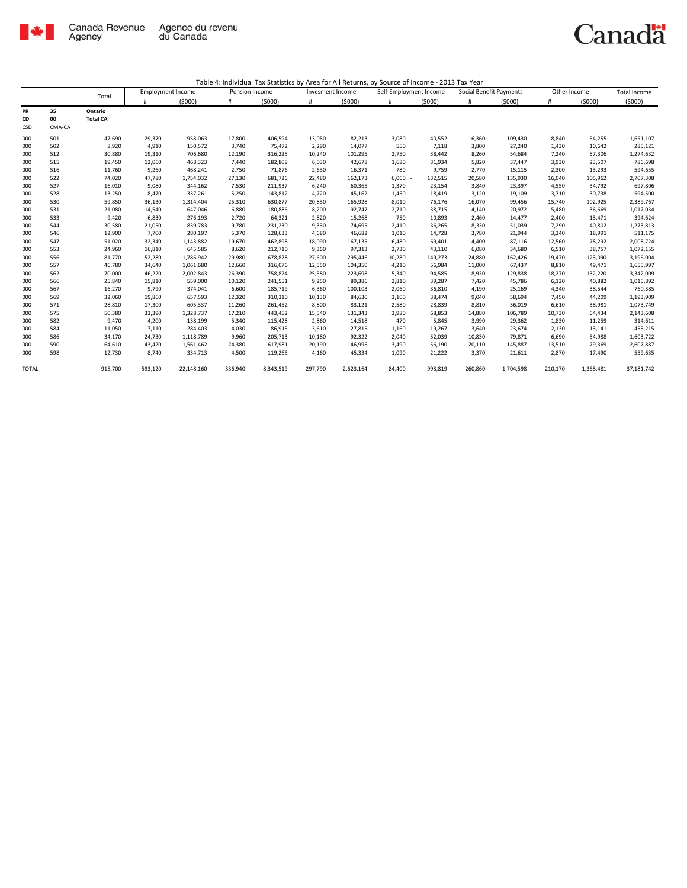

|       |        |                 | <b>Employment Income</b> |            | Pension Income |           | Invesment Income |           | Self-Employment Income |         | Social Benefit Payments |           | Other Income |           | <b>Total Income</b> |
|-------|--------|-----------------|--------------------------|------------|----------------|-----------|------------------|-----------|------------------------|---------|-------------------------|-----------|--------------|-----------|---------------------|
|       |        | Total           | #                        | (5000)     | #              | (5000)    | #                | (5000)    | #                      | (5000)  | #                       | (5000)    | #            | (5000)    | (5000)              |
| PR    | 35     | Ontario         |                          |            |                |           |                  |           |                        |         |                         |           |              |           |                     |
| CD    | 00     | <b>Total CA</b> |                          |            |                |           |                  |           |                        |         |                         |           |              |           |                     |
| CSD   | CMA-CA |                 |                          |            |                |           |                  |           |                        |         |                         |           |              |           |                     |
| 000   | 501    | 47,690          | 29,370                   | 958,063    | 17,800         | 406,594   | 13,050           | 82,213    | 3,080                  | 40,552  | 16,360                  | 109,430   | 8,840        | 54,255    | 1,651,107           |
| 000   | 502    | 8,920           | 4,910                    | 150,572    | 3,740          | 75,472    | 2,290            | 14,077    | 550                    | 7,118   | 3,800                   | 27,240    | 1,430        | 10,642    | 285,121             |
| 000   | 512    | 30,880          | 19,310                   | 706,680    | 12,190         | 316,225   | 10,240           | 101,295   | 2,750                  | 38,442  | 8,260                   | 54,684    | 7,240        | 57,306    | 1,274,632           |
| 000   | 515    | 19,450          | 12,060                   | 468,323    | 7,440          | 182,809   | 6,030            | 42,678    | 1,680                  | 31,934  | 5,820                   | 37,447    | 3,930        | 23,507    | 786,698             |
| 000   | 516    | 11,760          | 9,260                    | 468,241    | 2,750          | 71,876    | 2,630            | 16,371    | 780                    | 9,759   | 2,770                   | 15,115    | 2,300        | 13,293    | 594,655             |
| 000   | 522    | 74,020          | 47,780                   | 1,754,032  | 27,130         | 681,726   | 22,480           | 162,173   | $6,060 -$              | 132,515 | 20,580                  | 135,930   | 16,040       | 105,962   | 2,707,308           |
| 000   | 527    | 16,010          | 9,080                    | 344,162    | 7,530          | 211,937   | 6,240            | 60,365    | 1,370                  | 23,154  | 3,840                   | 23,397    | 4,550        | 34,792    | 697,806             |
| 000   | 528    | 13,250          | 8,470                    | 337,261    | 5,250          | 143,812   | 4,720            | 45,162    | 1,450                  | 18,419  | 3,120                   | 19,109    | 3,710        | 30,738    | 594,500             |
| 000   | 530    | 59,850          | 36,130                   | 1,314,404  | 25,310         | 630,877   | 20,830           | 165,928   | 8,010                  | 76,176  | 16,070                  | 99,456    | 15,740       | 102,925   | 2,389,767           |
| 000   | 531    | 21,080          | 14,540                   | 647,046    | 6,880          | 180,886   | 8,200            | 92,747    | 2,710                  | 38,715  | 4,140                   | 20,972    | 5,480        | 36,669    | 1,017,034           |
| 000   | 533    | 9,420           | 6,830                    | 276,193    | 2,720          | 64,321    | 2,820            | 15,268    | 750                    | 10,893  | 2,460                   | 14,477    | 2,400        | 13,471    | 394,624             |
| 000   | 544    | 30,580          | 21,050                   | 839,783    | 9,780          | 231,230   | 9,330            | 74,695    | 2,410                  | 36,265  | 8,330                   | 51,039    | 7,290        | 40,802    | 1,273,813           |
| 000   | 546    | 12,900          | 7,700                    | 280,197    | 5,370          | 128,633   | 4,680            | 46,682    | 1,010                  | 14,728  | 3,780                   | 21,944    | 3,340        | 18,991    | 511,175             |
| 000   | 547    | 51,020          | 32,340                   | 1,143,882  | 19,670         | 462,898   | 18,090           | 167,135   | 6,480                  | 69,401  | 14,400                  | 87,116    | 12,560       | 78,292    | 2,008,724           |
| 000   | 553    | 24,960          | 16,810                   | 645,585    | 8,620          | 212,710   | 9,360            | 97,313    | 2,730                  | 43,110  | 6,080                   | 34,680    | 6,510        | 38,757    | 1,072,155           |
| 000   | 556    | 81,770          | 52,280                   | 1,786,942  | 29,980         | 678,828   | 27,600           | 295,446   | 10,280                 | 149,273 | 24,880                  | 162,426   | 19,470       | 123,090   | 3,196,004           |
| 000   | 557    | 46,780          | 34,640                   | 1,061,680  | 12,660         | 316,076   | 12,550           | 104,350   | 4,210                  | 56,984  | 11,000                  | 67,437    | 8,810        | 49,471    | 1,655,997           |
| 000   | 562    | 70,000          | 46,220                   | 2,002,843  | 26,390         | 758,824   | 25,580           | 223,698   | 5,340                  | 94,585  | 18,930                  | 129,838   | 18,270       | 132,220   | 3,342,009           |
| 000   | 566    | 25,840          | 15,810                   | 559,000    | 10,120         | 241,551   | 9,250            | 89,386    | 2,810                  | 39,287  | 7,420                   | 45,786    | 6,120        | 40,882    | 1,015,892           |
| 000   | 567    | 16,270          | 9,790                    | 374,041    | 6,600          | 185,719   | 6,360            | 100,103   | 2,060                  | 36,810  | 4,190                   | 25,169    | 4,340        | 38,544    | 760,385             |
| 000   | 569    | 32,060          | 19,860                   | 657,593    | 12,320         | 310,310   | 10,130           | 84,630    | 3,100                  | 38,474  | 9,040                   | 58,694    | 7,450        | 44,209    | 1,193,909           |
| 000   | 571    | 28,810          | 17,300                   | 605,337    | 11,260         | 261,452   | 8,800            | 83,121    | 2,580                  | 28,839  | 8,810                   | 56,019    | 6,610        | 38,981    | 1,073,749           |
| 000   | 575    | 50,380          | 33,390                   | 1,328,737  | 17,210         | 443,452   | 15,540           | 131,343   | 3,980                  | 68,853  | 14,880                  | 106,789   | 10,730       | 64,434    | 2,143,608           |
| 000   | 582    | 9,470           | 4,200                    | 138,199    | 5,340          | 115,428   | 2,860            | 14,518    | 470                    | 5,845   | 3,990                   | 29,362    | 1,830        | 11,259    | 314,611             |
| 000   | 584    | 11,050          | 7,110                    | 284,403    | 4,030          | 86,915    | 3,610            | 27,815    | 1,160                  | 19,267  | 3,640                   | 23,674    | 2,130        | 13,141    | 455,215             |
| 000   | 586    | 34,170          | 24,730                   | 1,118,789  | 9,960          | 205,713   | 10,180           | 92,322    | 2,040                  | 52,039  | 10,830                  | 79,871    | 6,690        | 54,988    | 1,603,722           |
| 000   | 590    | 64,610          | 43,420                   | 1,561,462  | 24,380         | 617,981   | 20,190           | 146,996   | 3,490                  | 56,190  | 20,110                  | 145,887   | 13,510       | 79,369    | 2,607,887           |
| 000   | 598    | 12,730          | 8,740                    | 334,713    | 4,500          | 119,265   | 4,160            | 45,334    | 1,090                  | 21,222  | 3,370                   | 21,611    | 2,870        | 17,490    | 559,635             |
| TOTAL |        | 915,700         | 593,120                  | 22,148,160 | 336,940        | 8,343,519 | 297,790          | 2,623,164 | 84,400                 | 993,819 | 260,860                 | 1,704,598 | 210,170      | 1,368,481 | 37,181,742          |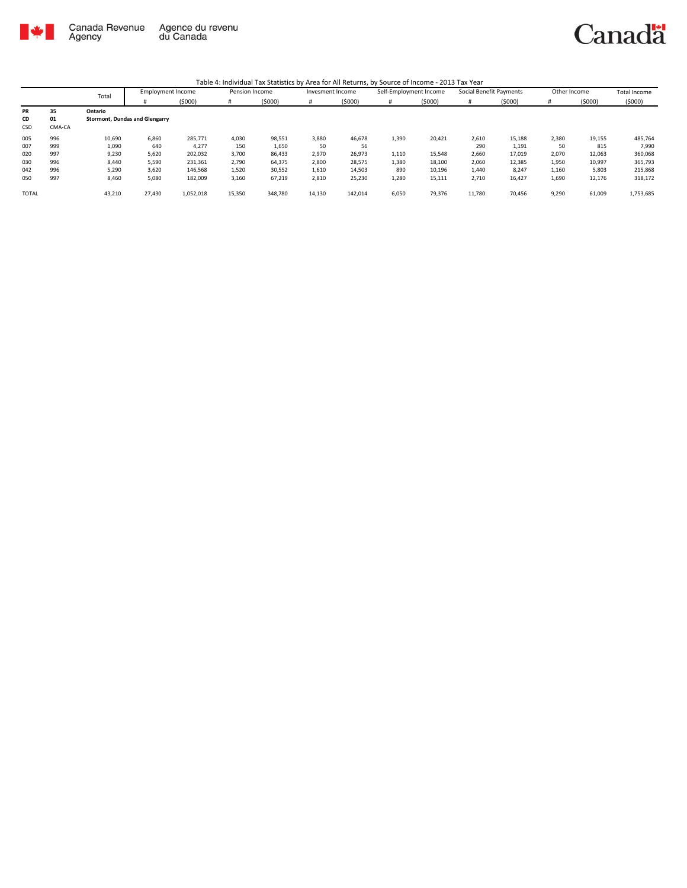

|              | Total  | <b>Employment Income</b> |                                       | Pension Income |        | Invesment Income |        | Self-Employment Income |       | Social Benefit Payments |        | Other Income |       | <b>Total Income</b> |           |
|--------------|--------|--------------------------|---------------------------------------|----------------|--------|------------------|--------|------------------------|-------|-------------------------|--------|--------------|-------|---------------------|-----------|
|              |        |                          |                                       | (5000)         | #      | (5000)           |        | (5000)                 | #     | (5000)                  |        | (5000)       |       | (5000)              | (5000)    |
| PR           | 35     | Ontario                  |                                       |                |        |                  |        |                        |       |                         |        |              |       |                     |           |
| CD           | 01     |                          | <b>Stormont, Dundas and Glengarry</b> |                |        |                  |        |                        |       |                         |        |              |       |                     |           |
| <b>CSD</b>   | CMA-CA |                          |                                       |                |        |                  |        |                        |       |                         |        |              |       |                     |           |
| 005          | 996    | 10,690                   | 6,860                                 | 285.771        | 4,030  | 98,551           | 3,880  | 46,678                 | 1,390 | 20,421                  | 2,610  | 15,188       | 2,380 | 19,155              | 485,764   |
| 007          | 999    | 1,090                    | 640                                   | 4,277          | 150    | 1,650            | 50     | 56                     |       |                         | 290    | 1,191        | 50    | 815                 | 7,990     |
| 020          | 997    | 9,230                    | 5,620                                 | 202,032        | 3,700  | 86,433           | 2,970  | 26,973                 | 1,110 | 15,548                  | 2,660  | 17,019       | 2,070 | 12,063              | 360,068   |
| 030          | 996    | 8,440                    | 5,590                                 | 231,361        | 2,790  | 64,375           | 2,800  | 28,575                 | 1,380 | 18,100                  | 2,060  | 12,385       | 1,950 | 10,997              | 365,793   |
| 042          | 996    | 5,290                    | 3,620                                 | 146,568        | 1,520  | 30,552           | 1,610  | 14,503                 | 890   | 10,196                  | 1,440  | 8,247        | 1,160 | 5,803               | 215,868   |
| 050          | 997    | 8,460                    | 5.080                                 | 182,009        | 3,160  | 67,219           | 2,810  | 25,230                 | 1,280 | 15,111                  | 2,710  | 16,427       | 1,690 | 12,176              | 318,172   |
| <b>TOTAL</b> |        | 43,210                   | 27,430                                | 1,052,018      | 15,350 | 348,780          | 14,130 | 142,014                | 6,050 | 79,376                  | 11,780 | 70,456       | 9,290 | 61,009              | 1,753,685 |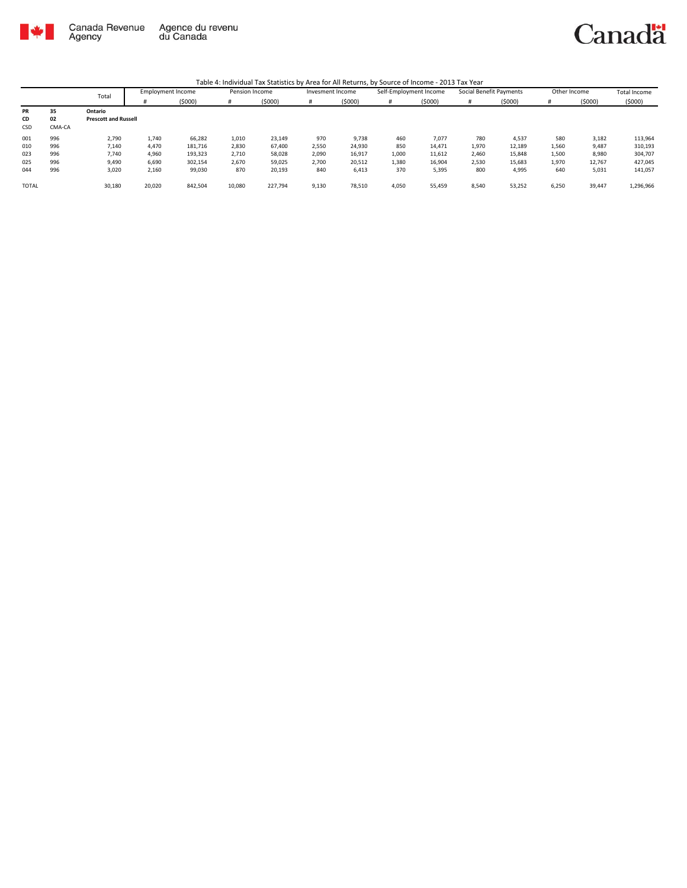

|              |        | Total                       | <b>Employment Income</b> |         | Pension Income |         | Invesment Income |        | Self-Employment Income |        | Social Benefit Payments |        | Other Income |        | <b>Total Income</b> |
|--------------|--------|-----------------------------|--------------------------|---------|----------------|---------|------------------|--------|------------------------|--------|-------------------------|--------|--------------|--------|---------------------|
|              |        |                             |                          | (5000)  | #              | (5000)  |                  | (5000) | #                      | (5000) |                         | (5000) | #            | (5000) | (5000)              |
| <b>PR</b>    | 35     | Ontario                     |                          |         |                |         |                  |        |                        |        |                         |        |              |        |                     |
| CD           | 02     | <b>Prescott and Russell</b> |                          |         |                |         |                  |        |                        |        |                         |        |              |        |                     |
| <b>CSD</b>   | CMA-CA |                             |                          |         |                |         |                  |        |                        |        |                         |        |              |        |                     |
| 001          | 996    | 2,790                       | 1,740                    | 66,282  | 1,010          | 23,149  | 970              | 9,738  | 460                    | 7,077  | 780                     | 4,537  | 580          | 3,182  | 113,964             |
| 010          | 996    | 7,140                       | 4,470                    | 181,716 | 2,830          | 67,400  | 2,550            | 24,930 | 850                    | 14,471 | 1,970                   | 12,189 | 1,560        | 9,487  | 310,193             |
| 023          | 996    | 7,740                       | 4,960                    | 193,323 | 2,710          | 58,028  | 2,090            | 16,917 | 1,000                  | 11,612 | 2,460                   | 15,848 | 1,500        | 8,980  | 304,707             |
| 025          | 996    | 9,490                       | 6,690                    | 302.154 | 2,670          | 59,025  | 2,700            | 20,512 | 1,380                  | 16,904 | 2,530                   | 15,683 | 1,970        | 12,767 | 427,045             |
| 044          | 996    | 3,020                       | 2,160                    | 99,030  | 870            | 20,193  | 840              | 6,413  | 370                    | 5,395  | 800                     | 4,995  | 640          | 5,031  | 141,057             |
| <b>TOTAL</b> |        | 30,180                      | 20,020                   | 842,504 | 10,080         | 227,794 | 9,130            | 78,510 | 4,050                  | 55,459 | 8,540                   | 53,252 | 6,250        | 39,447 | 1,296,966           |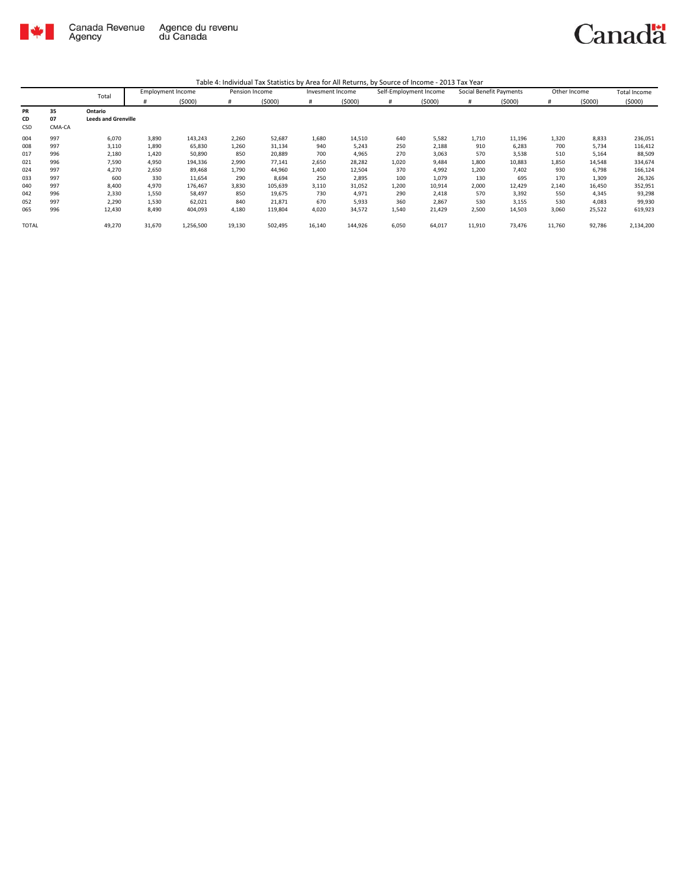

|              |        | Total                      | <b>Employment Income</b> |           | Pension Income |         | Invesment Income |         | Self-Employment Income |        | Social Benefit Payments |        | Other Income |        | Total Income |
|--------------|--------|----------------------------|--------------------------|-----------|----------------|---------|------------------|---------|------------------------|--------|-------------------------|--------|--------------|--------|--------------|
|              |        |                            | #                        | (5000)    | #              | (5000)  | #                | (5000)  | #                      | (5000) | #                       | (5000) | #            | (5000) | (5000)       |
| <b>PR</b>    | 35     | Ontario                    |                          |           |                |         |                  |         |                        |        |                         |        |              |        |              |
| CD           | 07     | <b>Leeds and Grenville</b> |                          |           |                |         |                  |         |                        |        |                         |        |              |        |              |
| <b>CSD</b>   | CMA-CA |                            |                          |           |                |         |                  |         |                        |        |                         |        |              |        |              |
| 004          | 997    | 6,070                      | 3,890                    | 143,243   | 2,260          | 52,687  | 1,680            | 14,510  | 640                    | 5,582  | 1,710                   | 11,196 | 1,320        | 8,833  | 236,051      |
| 008          | 997    | 3,110                      | 1.890                    | 65,830    | 1,260          | 31,134  | 940              | 5,243   | 250                    | 2,188  | 910                     | 6,283  | 700          | 5,734  | 116,412      |
| 017          | 996    | 2,180                      | 1,420                    | 50,890    | 850            | 20,889  | 700              | 4,965   | 270                    | 3,063  | 570                     | 3,538  | 510          | 5,164  | 88,509       |
| 021          | 996    | 7,590                      | 4,950                    | 194,336   | 2,990          | 77,141  | 2,650            | 28,282  | 1,020                  | 9,484  | 1,800                   | 10,883 | 1.850        | 14,548 | 334,674      |
| 024          | 997    | 4,270                      | 2,650                    | 89,468    | 1,790          | 44,960  | 1,400            | 12,504  | 370                    | 4,992  | 1,200                   | 7,402  | 930          | 6,798  | 166,124      |
| 033          | 997    | 600                        | 330                      | 11,654    | 290            | 8,694   | 250              | 2,895   | 100                    | 1,079  | 130                     | 695    | 170          | 1,309  | 26,326       |
| 040          | 997    | 8,400                      | 4,970                    | 176,467   | 3,830          | 105,639 | 3,110            | 31,052  | 1,200                  | 10,914 | 2,000                   | 12,429 | 2.140        | 16,450 | 352,951      |
| 042          | 996    | 2,330                      | 1,550                    | 58,497    | 850            | 19,675  | 730              | 4,971   | 290                    | 2,418  | 570                     | 3,392  | 550          | 4,345  | 93,298       |
| 052          | 997    | 2,290                      | 1,530                    | 62,021    | 840            | 21,871  | 670              | 5,933   | 360                    | 2,867  | 530                     | 3,155  | 530          | 4,083  | 99,930       |
| 065          | 996    | 12,430                     | 8,490                    | 404,093   | 4,180          | 119,804 | 4,020            | 34,572  | 1,540                  | 21,429 | 2,500                   | 14,503 | 3,060        | 25,522 | 619,923      |
| <b>TOTAL</b> |        | 49,270                     | 31,670                   | 1,256,500 | 19,130         | 502,495 | 16,140           | 144,926 | 6,050                  | 64,017 | 11,910                  | 73,476 | 11,760       | 92,786 | 2,134,200    |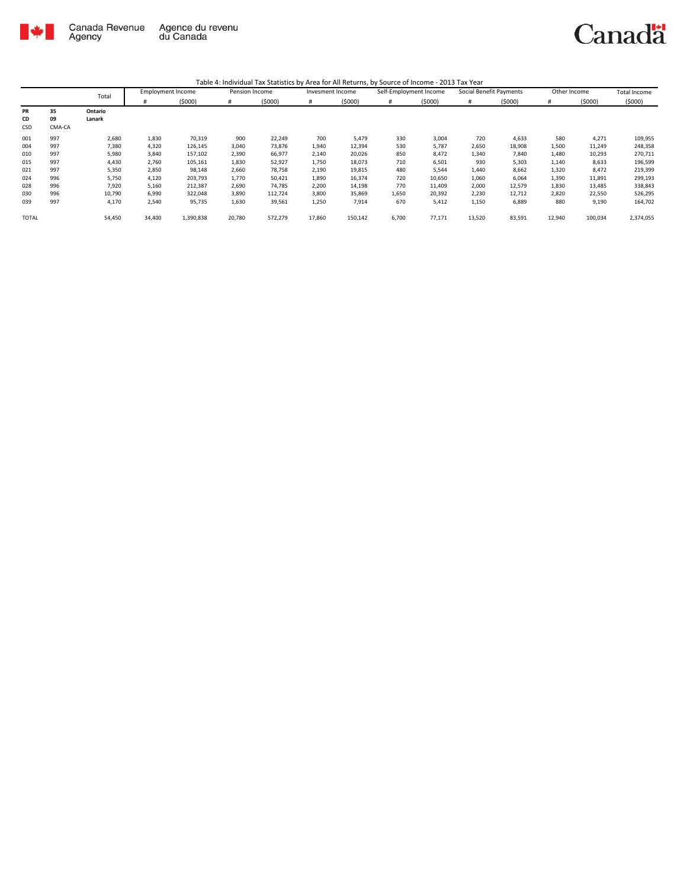

|              |        | Total   | <b>Employment Income</b> |           | Pension Income |         | Invesment Income |         | Self-Employment Income |        | Social Benefit Payments |        | Other Income |         | <b>Total Income</b> |
|--------------|--------|---------|--------------------------|-----------|----------------|---------|------------------|---------|------------------------|--------|-------------------------|--------|--------------|---------|---------------------|
|              |        |         | #                        | (5000)    | #              | (5000)  | #                | (5000)  | #                      | (5000) | #                       | (5000) | #            | (5000)  | (5000)              |
| PR           | 35     | Ontario |                          |           |                |         |                  |         |                        |        |                         |        |              |         |                     |
| CD           | 09     | Lanark  |                          |           |                |         |                  |         |                        |        |                         |        |              |         |                     |
| CSD          | CMA-CA |         |                          |           |                |         |                  |         |                        |        |                         |        |              |         |                     |
| 001          | 997    | 2,680   | 1,830                    | 70,319    | 900            | 22,249  | 700              | 5,479   | 330                    | 3,004  | 720                     | 4,633  | 580          | 4,271   | 109,955             |
| 004          | 997    | 7,380   | 4,320                    | 126,145   | 3,040          | 73,876  | 1,940            | 12,394  | 530                    | 5,787  | 2,650                   | 18,908 | 1,500        | 11,249  | 248,358             |
| 010          | 997    | 5,980   | 3,840                    | 157,102   | 2,390          | 66,977  | 2,140            | 20,026  | 850                    | 8,472  | 1,340                   | 7,840  | 1,480        | 10,293  | 270,711             |
| 015          | 997    | 4,430   | 2,760                    | 105,161   | 1,830          | 52,927  | 1,750            | 18,073  | 710                    | 6,501  | 930                     | 5,303  | 1,140        | 8,633   | 196,599             |
| 021          | 997    | 5,350   | 2,850                    | 98,148    | 2,660          | 78,758  | 2,190            | 19,815  | 480                    | 5,544  | 1,440                   | 8,662  | 1,320        | 8,472   | 219,399             |
| 024          | 996    | 5,750   | 4,120                    | 203,793   | 1,770          | 50,421  | 1,890            | 16,374  | 720                    | 10,650 | 1,060                   | 6,064  | 1,390        | 11,891  | 299,193             |
| 028          | 996    | 7,920   | 5,160                    | 212,387   | 2,690          | 74,785  | 2,200            | 14,198  | 770                    | 11,409 | 2,000                   | 12,579 | 1,830        | 13,485  | 338,843             |
| 030          | 996    | 10,790  | 6,990                    | 322,048   | 3,890          | 112,724 | 3,800            | 35,869  | 1,650                  | 20,392 | 2,230                   | 12,712 | 2,820        | 22,550  | 526,295             |
| 039          | 997    | 4,170   | 2,540                    | 95,735    | 1,630          | 39,561  | 1,250            | 7,914   | 670                    | 5,412  | 1,150                   | 6,889  | 880          | 9,190   | 164,702             |
| <b>TOTAL</b> |        | 54,450  | 34,400                   | 1,390,838 | 20,780         | 572,279 | 17,860           | 150,142 | 6,700                  | 77,171 | 13,520                  | 83,591 | 12,940       | 100,034 | 2,374,055           |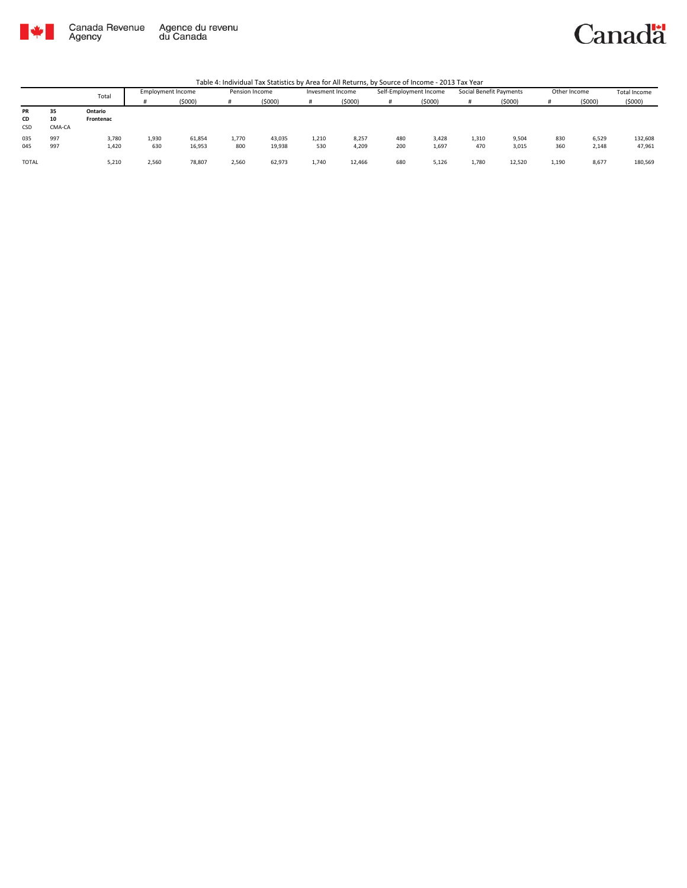

### Canadä

|              |        | Total     | Employment Income |        | Pension Income |        | Invesment Income |        | Self-Employment Income |        | Social Benefit Payments |        | Other Income |        | <b>Total Income</b> |
|--------------|--------|-----------|-------------------|--------|----------------|--------|------------------|--------|------------------------|--------|-------------------------|--------|--------------|--------|---------------------|
|              |        |           |                   | (5000) | #              | (5000) |                  | (5000) |                        | (5000) | #                       | (5000) |              | (5000) | (5000)              |
| PR           | 35     | Ontario   |                   |        |                |        |                  |        |                        |        |                         |        |              |        |                     |
| CD           | 10     | Frontenac |                   |        |                |        |                  |        |                        |        |                         |        |              |        |                     |
| CSD          | CMA-CA |           |                   |        |                |        |                  |        |                        |        |                         |        |              |        |                     |
| 035          | 997    | 3.780     | 1,930             | 61,854 | 1,770          | 43,035 | 1.210            | 8,257  | 480                    | 3,428  | 1,310                   | 9,504  | 830          | 6,529  | 132,608             |
| 045          | 997    | 1,420     | 630               | 16,953 | 800            | 19,938 | 530              | 4,209  | 200                    | 1,697  | 470                     | 3,015  | 360          | 2,148  | 47,961              |
| <b>TOTAL</b> |        | 5,210     | 2.560             | 78,807 | 2,560          | 62.973 | 1.740            | 12,466 | 680                    | 5,126  | 1,780                   | 12,520 | 1.190        | 8,677  | 180,569             |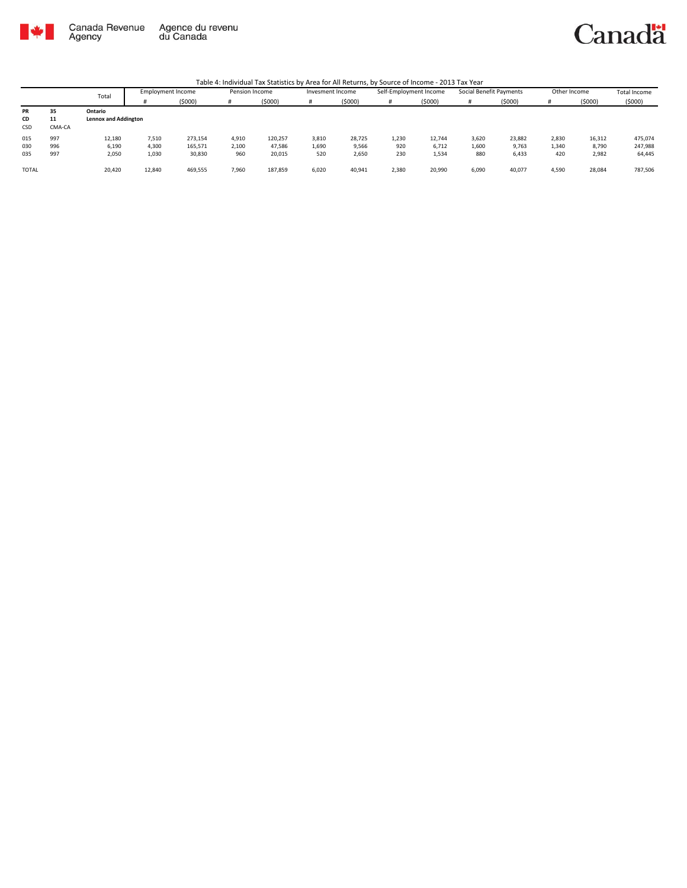

Canadä

|              |        | Total                       | <b>Employment Income</b> |         | Pension Income |         | Invesment Income |        | Self-Employment Income |        | Social Benefit Payments |         | Other Income |        | Total Income |
|--------------|--------|-----------------------------|--------------------------|---------|----------------|---------|------------------|--------|------------------------|--------|-------------------------|---------|--------------|--------|--------------|
|              |        |                             |                          | (5000)  |                | (\$000) |                  | (5000) | #                      | (5000) |                         | (\$000) |              | (5000) | (5000)       |
| PR           | 35     | Ontario                     |                          |         |                |         |                  |        |                        |        |                         |         |              |        |              |
| CD           | 11     | <b>Lennox and Addington</b> |                          |         |                |         |                  |        |                        |        |                         |         |              |        |              |
| CSD          | CMA-CA |                             |                          |         |                |         |                  |        |                        |        |                         |         |              |        |              |
| 015          | 997    | 12,180                      | 7.510                    | 273,154 | 4,910          | 120,257 | 3,810            | 28,725 | 1,230                  | 12.744 | 3,620                   | 23,882  | 2.830        | 16,312 | 475,074      |
| 030          | 996    | 6,190                       | 4,300                    | 165,571 | 2,100          | 47,586  | 1,690            | 9,566  | 920                    | 6.712  | 1,600                   | 9,763   | 1,340        | 8,790  | 247,988      |
| 035          | 997    | 2,050                       | 1,030                    | 30,830  | 960            | 20,015  | 520              | 2,650  | 230                    | 1,534  | 880                     | 6,433   | 420          | 2,982  | 64,445       |
| <b>TOTAL</b> |        | 20,420                      | 12,840                   | 469,555 | 7,960          | 187,859 | 6,020            | 40,941 | 2,380                  | 20,990 | 6,090                   | 40,077  | 4,590        | 28,084 | 787,506      |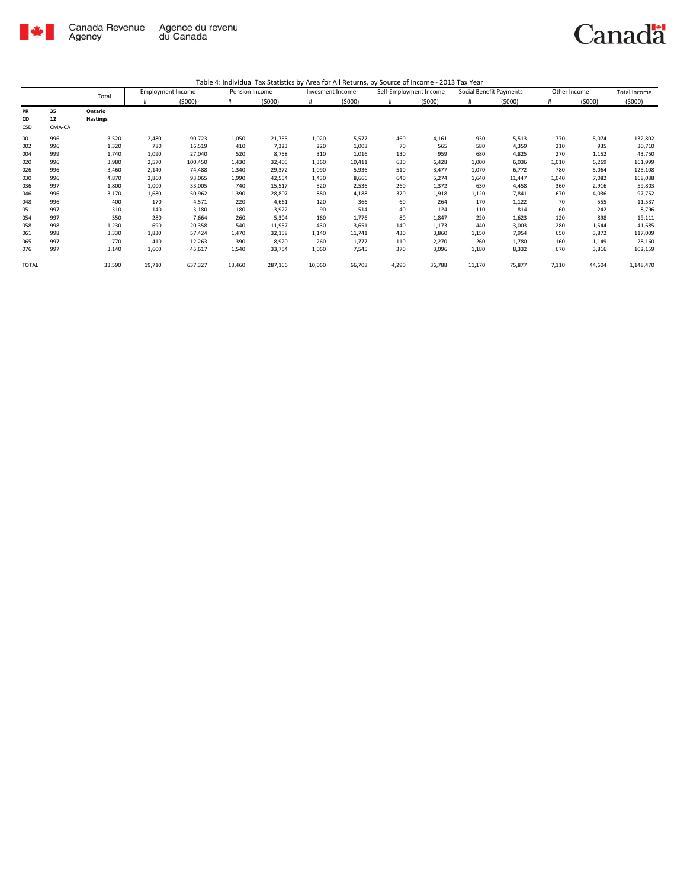

|       |        | Total           | <b>Employment Income</b> |         | Pension Income |         | Invesment Income |        | Self-Employment Income |        | Social Benefit Payments |        | Other Income |        | <b>Total Income</b> |
|-------|--------|-----------------|--------------------------|---------|----------------|---------|------------------|--------|------------------------|--------|-------------------------|--------|--------------|--------|---------------------|
|       |        |                 |                          | (5000)  | #              | (5000)  | #                | (5000) | #                      | (5000) |                         | (5000) | #            | (5000) | (5000)              |
| PR    | 35     | Ontario         |                          |         |                |         |                  |        |                        |        |                         |        |              |        |                     |
| CD    | 12     | <b>Hastings</b> |                          |         |                |         |                  |        |                        |        |                         |        |              |        |                     |
| CSD   | CMA-CA |                 |                          |         |                |         |                  |        |                        |        |                         |        |              |        |                     |
| 001   | 996    | 3,520           | 2,480                    | 90,723  | 1,050          | 21,755  | 1,020            | 5,577  | 460                    | 4,161  | 930                     | 5,513  | 770          | 5,074  | 132,802             |
| 002   | 996    | 1,320           | 780                      | 16,519  | 410            | 7,323   | 220              | 1,008  | 70                     | 565    | 580                     | 4,359  | 210          | 935    | 30,710              |
| 004   | 999    | 1,740           | 1,090                    | 27,040  | 520            | 8,758   | 310              | 1,016  | 130                    | 959    | 680                     | 4,825  | 270          | 1,152  | 43,750              |
| 020   | 996    | 3,980           | 2,570                    | 100,450 | 1,430          | 32,405  | 1,360            | 10,411 | 630                    | 6,428  | 1,000                   | 6,036  | 1,010        | 6,269  | 161,999             |
| 026   | 996    | 3,460           | 2,140                    | 74,488  | 1,340          | 29,372  | 1,090            | 5,936  | 510                    | 3,477  | 1,070                   | 6,772  | 780          | 5,064  | 125,108             |
| 030   | 996    | 4,870           | 2,860                    | 93,065  | 1,990          | 42,554  | 1,430            | 8,666  | 640                    | 5,274  | 1,640                   | 11,447 | 1,040        | 7,082  | 168,088             |
| 036   | 997    | 1,800           | 1,000                    | 33,005  | 740            | 15,517  | 520              | 2,536  | 260                    | 1,372  | 630                     | 4,458  | 360          | 2,916  | 59,803              |
| 046   | 996    | 3,170           | 1,680                    | 50,962  | 1,390          | 28,807  | 880              | 4,188  | 370                    | 1,918  | 1,120                   | 7,841  | 670          | 4,036  | 97,752              |
| 048   | 996    | 400             | 170                      | 4,571   | 220            | 4,661   | 120              | 366    | 60                     | 264    | 170                     | 1,122  | 70           | 555    | 11,537              |
| 051   | 997    | 310             | 140                      | 3,180   | 180            | 3,922   | 90               | 514    | 40                     | 124    | 110                     | 814    | 60           | 242    | 8,796               |
| 054   | 997    | 550             | 280                      | 7,664   | 260            | 5,304   | 160              | 1,776  | 80                     | 1,847  | 220                     | 1,623  | 120          | 898    | 19,111              |
| 058   | 998    | 1,230           | 690                      | 20,358  | 540            | 11,957  | 430              | 3,651  | 140                    | 1,173  | 440                     | 3,003  | 280          | 1,544  | 41,685              |
| 061   | 998    | 3,330           | 1,830                    | 57,424  | 1,470          | 32,158  | 1,140            | 11,741 | 430                    | 3,860  | 1,150                   | 7,954  | 650          | 3,872  | 117,009             |
| 065   | 997    | 770             | 410                      | 12,263  | 390            | 8,920   | 260              | 1,777  | 110                    | 2,270  | 260                     | 1,780  | 160          | 1,149  | 28,160              |
| 076   | 997    | 3,140           | 1,600                    | 45,617  | 1,540          | 33,754  | 1,060            | 7,545  | 370                    | 3,096  | 1,180                   | 8,332  | 670          | 3,816  | 102,159             |
| TOTAL |        | 33,590          | 19,710                   | 637,327 | 13,460         | 287,166 | 10,060           | 66,708 | 4,290                  | 36,788 | 11,170                  | 75,877 | 7,110        | 44,604 | 1,148,470           |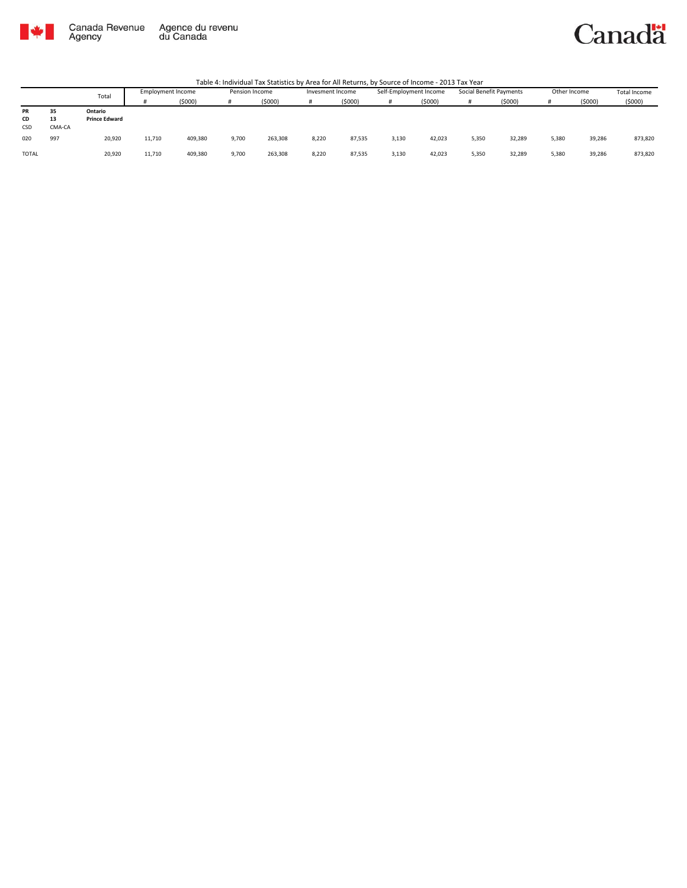

#### Canadä

|              |        | Total                | Employment Income |         | Pension Income |         | Invesment Income |        | Self-Employment Income |        | Social Benefit Payments |        | Other Income |        | <b>Total Income</b> |
|--------------|--------|----------------------|-------------------|---------|----------------|---------|------------------|--------|------------------------|--------|-------------------------|--------|--------------|--------|---------------------|
|              |        |                      |                   | (5000)  | Ħ              | (5000)  |                  | (5000) |                        | (5000) | Ħ                       | (5000) |              | (5000) | (5000)              |
| <b>PR</b>    | 35     | Ontario              |                   |         |                |         |                  |        |                        |        |                         |        |              |        |                     |
| CD           | 13     | <b>Prince Edward</b> |                   |         |                |         |                  |        |                        |        |                         |        |              |        |                     |
| CSD          | CMA-CA |                      |                   |         |                |         |                  |        |                        |        |                         |        |              |        |                     |
| 020          | 997    | 20,920               | 11,710            | 409,380 | 9,700          | 263,308 | 8,220            | 87,535 | 3,130                  | 42,023 | 5,350                   | 32,289 | 5,380        | 39,286 | 873,820             |
| <b>TOTAL</b> |        | 20,920               | 11,710            | 409,380 | 9,700          | 263,308 | 8,220            | 87,535 | 3,130                  | 42,023 | 5,350                   | 32,289 | 5,380        | 39,286 | 873,820             |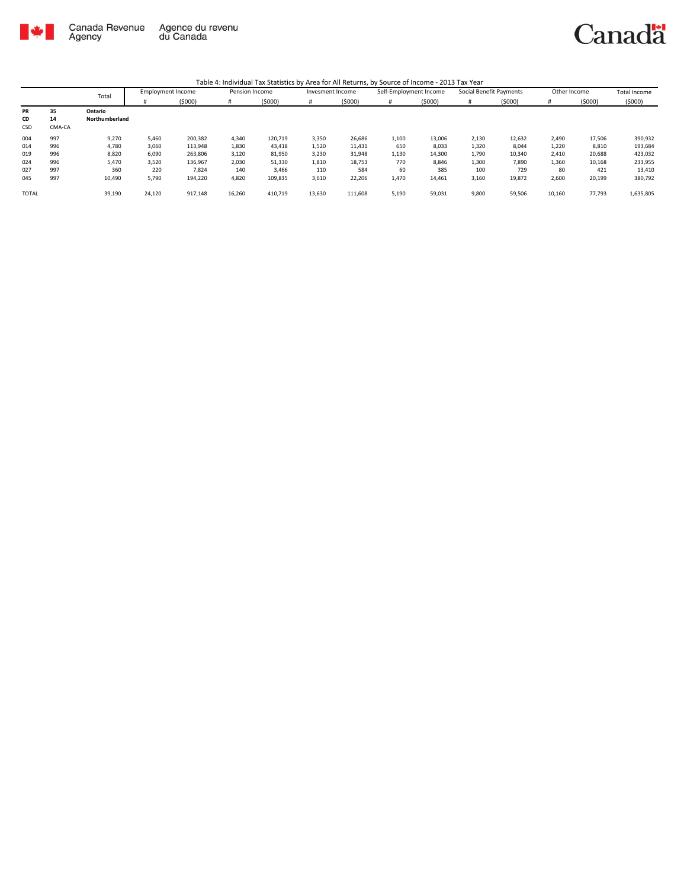

|              |        | Total          | <b>Employment Income</b> |         | Pension Income |         | Invesment Income |         | Self-Employment Income |        | Social Benefit Payments |        | Other Income |        | Total Income |
|--------------|--------|----------------|--------------------------|---------|----------------|---------|------------------|---------|------------------------|--------|-------------------------|--------|--------------|--------|--------------|
|              |        |                |                          | (5000)  | #              | (5000)  | #                | (5000)  | #                      | (5000) | #                       | (5000) | #            | (5000) | (5000)       |
| <b>PR</b>    | 35     | Ontario        |                          |         |                |         |                  |         |                        |        |                         |        |              |        |              |
| CD           | 14     | Northumberland |                          |         |                |         |                  |         |                        |        |                         |        |              |        |              |
| CSD          | CMA-CA |                |                          |         |                |         |                  |         |                        |        |                         |        |              |        |              |
| 004          | 997    | 9,270          | 5,460                    | 200,382 | 4,340          | 120,719 | 3,350            | 26,686  | 1,100                  | 13,006 | 2,130                   | 12,632 | 2,490        | 17,506 | 390,932      |
| 014          | 996    | 4,780          | 3,060                    | 113,948 | 1,830          | 43,418  | 1,520            | 11,431  | 650                    | 8,033  | 1,320                   | 8,044  | 1,220        | 8,810  | 193,684      |
| 019          | 996    | 8,820          | 6,090                    | 263.806 | 3,120          | 81,950  | 3,230            | 31,948  | 1,130                  | 14,300 | 1,790                   | 10,340 | 2,410        | 20,688 | 423,032      |
| 024          | 996    | 5,470          | 3,520                    | 136,967 | 2,030          | 51,330  | 1,810            | 18,753  | 770                    | 8,846  | 1,300                   | 7,890  | 1,360        | 10,168 | 233,955      |
| 027          | 997    | 360            | 220                      | 7.824   | 140            | 3,466   | 110              | 584     | 60                     | 385    | 100                     | 729    | 80           | 421    | 13,410       |
| 045          | 997    | 10,490         | 5,790                    | 194,220 | 4,820          | 109,835 | 3,610            | 22,206  | 1,470                  | 14,461 | 3,160                   | 19,872 | 2,600        | 20,199 | 380,792      |
| <b>TOTAL</b> |        | 39,190         | 24,120                   | 917,148 | 16,260         | 410,719 | 13,630           | 111,608 | 5,190                  | 59,031 | 9,800                   | 59,506 | 10,160       | 77,793 | 1,635,805    |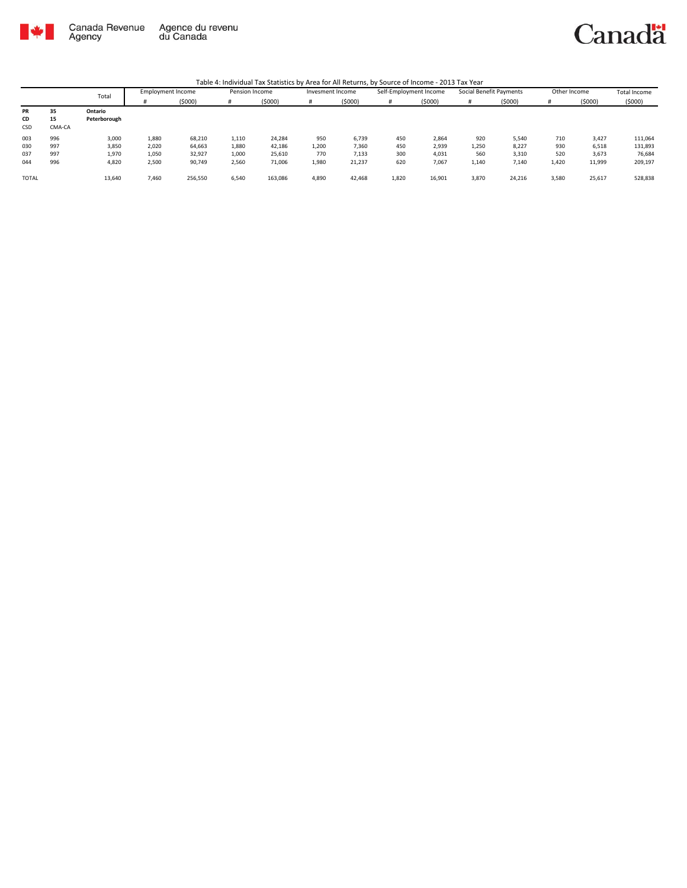

Canadä

|              |        | Total        | Employment Income |         | Pension Income |         | Invesment Income |         | Self-Employment Income |        | Social Benefit Payments |        | Other Income |        | <b>Total Income</b> |
|--------------|--------|--------------|-------------------|---------|----------------|---------|------------------|---------|------------------------|--------|-------------------------|--------|--------------|--------|---------------------|
|              |        |              |                   | (5000)  | #              | (5000)  |                  | (\$000) | #                      | (5000) |                         | (5000) |              | (5000) | (5000)              |
| PR           | 35     | Ontario      |                   |         |                |         |                  |         |                        |        |                         |        |              |        |                     |
| CD           | 15     | Peterborough |                   |         |                |         |                  |         |                        |        |                         |        |              |        |                     |
| <b>CSD</b>   | CMA-CA |              |                   |         |                |         |                  |         |                        |        |                         |        |              |        |                     |
| 003          | 996    | 3,000        | 1,880             | 68,210  | 1,110          | 24,284  | 950              | 6,739   | 450                    | 2,864  | 920                     | 5,540  | 710          | 3,427  | 111,064             |
| 030          | 997    | 3,850        | 2,020             | 64,663  | 1,880          | 42,186  | 1,200            | 7,360   | 450                    | 2.939  | 1,250                   | 8,227  | 930          | 6,518  | 131,893             |
| 037          | 997    | 1,970        | 1,050             | 32,927  | 1,000          | 25,610  | 770              | 7,133   | 300                    | 4,031  | 560                     | 3,310  | 520          | 3,673  | 76,684              |
| 044          | 996    | 4,820        | 2,500             | 90,749  | 2,560          | 71,006  | 1,980            | 21,237  | 620                    | 7,067  | 1,140                   | 7,140  | 1,420        | 11,999 | 209,197             |
|              |        |              |                   |         |                |         |                  |         |                        |        |                         |        |              |        |                     |
| <b>TOTAL</b> |        | 13,640       | 7,460             | 256,550 | 6,540          | 163,086 | 4,890            | 42,468  | 1,820                  | 16,901 | 3,870                   | 24,216 | 3,580        | 25,617 | 528,838             |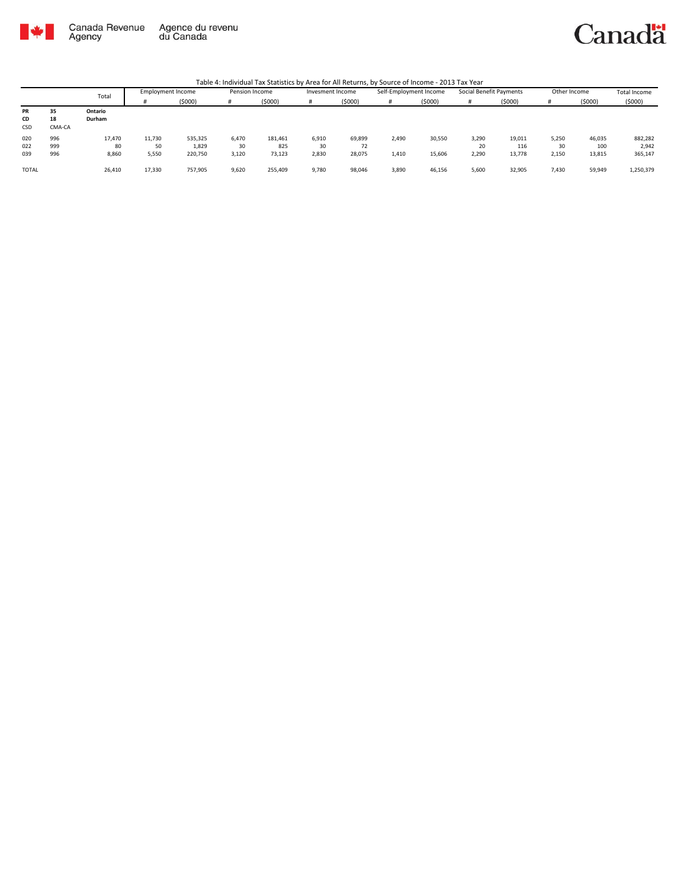

Canadä

|              |        | Total   | Employment Income |         | Pension Income |         | Invesment Income |        | Self-Employment Income |        | Social Benefit Payments |        | Other Income |        | Total Income |
|--------------|--------|---------|-------------------|---------|----------------|---------|------------------|--------|------------------------|--------|-------------------------|--------|--------------|--------|--------------|
|              |        |         |                   | (5000)  |                | (5000)  |                  | (5000) | #                      | (5000) |                         | (5000) |              | (5000) | (5000)       |
| PR           | 35     | Ontario |                   |         |                |         |                  |        |                        |        |                         |        |              |        |              |
| CD           | 18     | Durham  |                   |         |                |         |                  |        |                        |        |                         |        |              |        |              |
| CSD          | CMA-CA |         |                   |         |                |         |                  |        |                        |        |                         |        |              |        |              |
| 020          | 996    | 17,470  | 11,730            | 535,325 | 6,470          | 181,461 | 6,910            | 69,899 | 2,490                  | 30,550 | 3,290                   | 19,011 | 5,250        | 46,035 | 882,282      |
| 022          | 999    | 80      | 50                | 1,829   | 30             | 825     | 30               | 72     |                        |        | 20                      | 116    | 30           | 100    | 2,942        |
| 039          | 996    | 8,860   | 5,550             | 220,750 | 3,120          | 73,123  | 2,830            | 28,075 | 1,410                  | 15,606 | 2,290                   | 13,778 | 2,150        | 13,815 | 365,147      |
|              |        |         |                   |         |                |         |                  |        |                        |        |                         |        |              |        |              |
| <b>TOTAL</b> |        | 26,410  | 17,330            | 757,905 | 9,620          | 255,409 | 9,780            | 98,046 | 3,890                  | 46,156 | 5,600                   | 32,905 | 7,430        | 59,949 | 1,250,379    |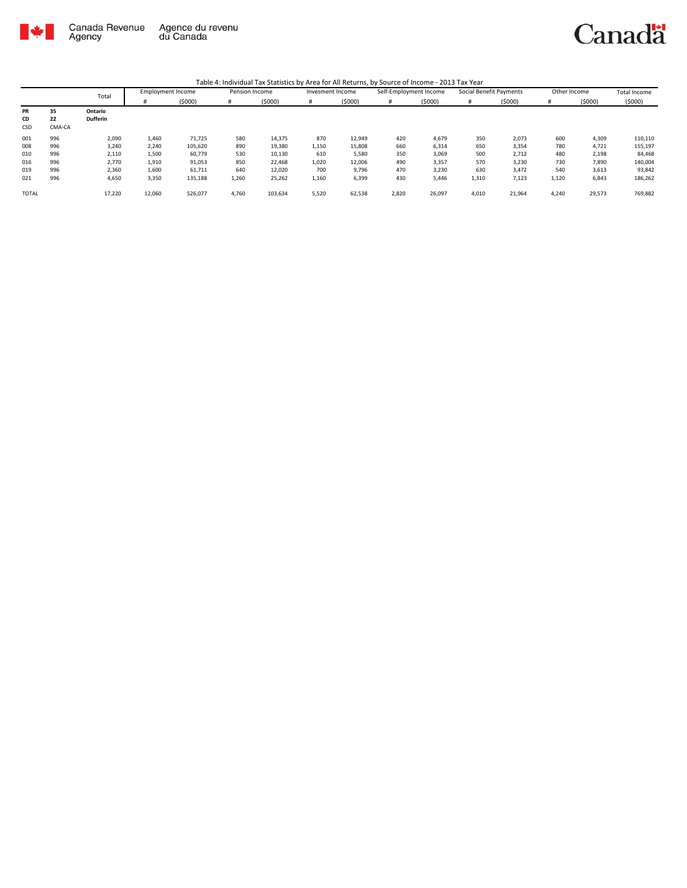

|              |        | Total           | <b>Employment Income</b> |         | Pension Income |         | Invesment Income |        | Self-Employment Income |        | Social Benefit Payments |        | Other Income |        | Total Income |
|--------------|--------|-----------------|--------------------------|---------|----------------|---------|------------------|--------|------------------------|--------|-------------------------|--------|--------------|--------|--------------|
|              |        |                 |                          | (5000)  | #              | (5000)  | #                | (5000) | #                      | (5000) | #                       | (5000) | #            | (5000) | (5000)       |
| <b>PR</b>    | 35     | Ontario         |                          |         |                |         |                  |        |                        |        |                         |        |              |        |              |
| CD           | 22     | <b>Dufferin</b> |                          |         |                |         |                  |        |                        |        |                         |        |              |        |              |
| <b>CSD</b>   | CMA-CA |                 |                          |         |                |         |                  |        |                        |        |                         |        |              |        |              |
| 001          | 996    | 2,090           | 1,460                    | 71,725  | 580            | 14,375  | 870              | 12,949 | 420                    | 4,679  | 350                     | 2,073  | 600          | 4,309  | 110,110      |
| 008          | 996    | 3,240           | 2,240                    | 105,620 | 890            | 19,380  | 1,150            | 15,808 | 660                    | 6,314  | 650                     | 3,354  | 780          | 4,721  | 155,197      |
| 010          | 996    | 2,110           | 1,500                    | 60,779  | 530            | 10,130  | 610              | 5,580  | 350                    | 3,069  | 500                     | 2,712  | 480          | 2,198  | 84,468       |
| 016          | 996    | 2,770           | 1,910                    | 91,053  | 850            | 22,468  | 1,020            | 12,006 | 490                    | 3.357  | 570                     | 3,230  | 730          | 7,890  | 140,004      |
| 019          | 996    | 2,360           | 1,600                    | 61,711  | 640            | 12,020  | 700              | 9,796  | 470                    | 3,230  | 630                     | 3,472  | 540          | 3,613  | 93,842       |
| 021          | 996    | 4,650           | 3,350                    | 135,188 | 1,260          | 25,262  | 1,160            | 6,399  | 430                    | 5,446  | 1,310                   | 7,123  | 1,120        | 6,843  | 186,262      |
| <b>TOTAL</b> |        | 17,220          | 12,060                   | 526,077 | 4,760          | 103,634 | 5,520            | 62,538 | 2,820                  | 26,097 | 4,010                   | 21,964 | 4,240        | 29,573 | 769,882      |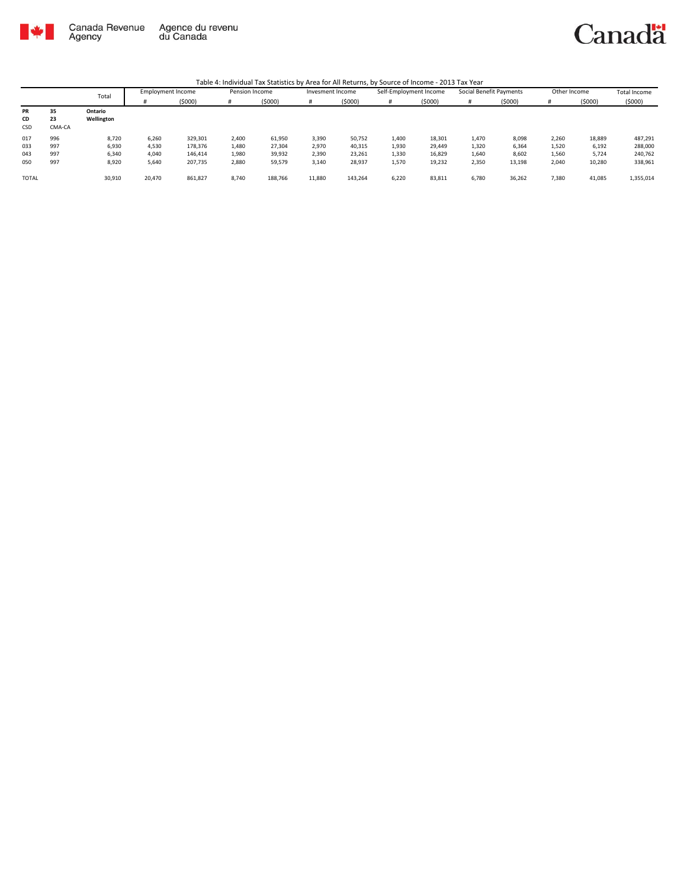

Canadä

|       |        | Total      | <b>Employment Income</b> |         | Pension Income |         | Invesment Income |         | Self-Employment Income |        | Social Benefit Payments |        | Other Income |        | <b>Total Income</b> |
|-------|--------|------------|--------------------------|---------|----------------|---------|------------------|---------|------------------------|--------|-------------------------|--------|--------------|--------|---------------------|
|       |        |            |                          | (5000)  | н              | (5000)  |                  | (5000)  | #                      | (5000) |                         | (5000) |              | (5000) | (5000)              |
| PR    | 35     | Ontario    |                          |         |                |         |                  |         |                        |        |                         |        |              |        |                     |
| CD    | 23     | Wellington |                          |         |                |         |                  |         |                        |        |                         |        |              |        |                     |
| CSD   | CMA-CA |            |                          |         |                |         |                  |         |                        |        |                         |        |              |        |                     |
| 017   | 996    | 8,720      | 6.260                    | 329,301 | 2,400          | 61,950  | 3,390            | 50,752  | 1,400                  | 18,301 | 1,470                   | 8,098  | 2,260        | 18,889 | 487,291             |
| 033   | 997    | 6,930      | 4,530                    | 178,376 | 1,480          | 27,304  | 2,970            | 40,315  | 1,930                  | 29,449 | 1,320                   | 6,364  | 1,520        | 6,192  | 288,000             |
| 043   | 997    | 6,340      | 4,040                    | 146,414 | 1,980          | 39,932  | 2,390            | 23,261  | 1,330                  | 16,829 | 1,640                   | 8,602  | 1,560        | 5,724  | 240,762             |
| 050   | 997    | 8,920      | 5,640                    | 207,735 | 2,880          | 59,579  | 3,140            | 28,937  | 1,570                  | 19,232 | 2,350                   | 13,198 | 2,040        | 10,280 | 338,961             |
|       |        |            |                          |         |                |         |                  |         |                        |        |                         |        |              |        |                     |
| TOTAL |        | 30,910     | 20,470                   | 861,827 | 8,740          | 188,766 | 11,880           | 143,264 | 6,220                  | 83,811 | 6,780                   | 36,262 | 7,380        | 41,085 | 1,355,014           |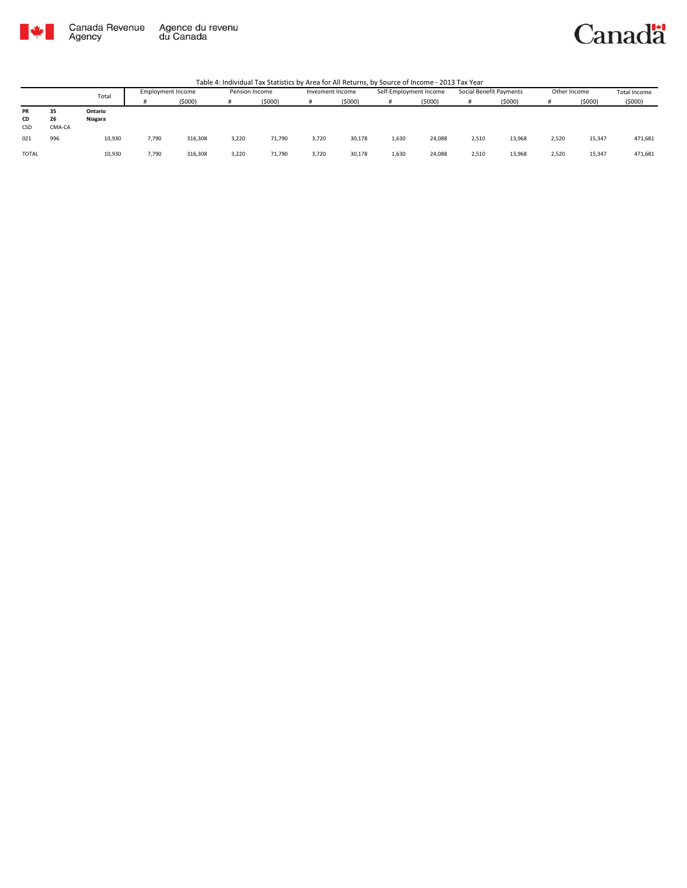

#### Canadä

|              |        | Total   | Employment Income |         | Pension Income |        | Invesment Income |        | Self-Employment Income |        | Social Benefit Payments |         | Other Income |        | Total Income |
|--------------|--------|---------|-------------------|---------|----------------|--------|------------------|--------|------------------------|--------|-------------------------|---------|--------------|--------|--------------|
|              |        |         |                   | (5000)  |                | (5000) |                  | (5000) |                        | (5000) |                         | (\$000) |              | (5000) | (5000)       |
| PR           | 35     | Ontario |                   |         |                |        |                  |        |                        |        |                         |         |              |        |              |
| <b>CD</b>    | 26     | Niagara |                   |         |                |        |                  |        |                        |        |                         |         |              |        |              |
| CSD          | CMA-CA |         |                   |         |                |        |                  |        |                        |        |                         |         |              |        |              |
| 021          | 996    | 10,930  | 7,790             | 316,308 | 3.220          | 71,790 | 3,720            | 30,178 | 1,630                  | 24,088 | 2,510                   | 13,968  | 2.520        | 15,347 | 471,681      |
| <b>TOTAL</b> |        | 10,930  | 7,790             | 316,308 | 3,220          | 71,790 | 3,720            | 30,178 | 1,630                  | 24,088 | 2,510                   | 13,968  | 2.520        | 15,347 | 471,681      |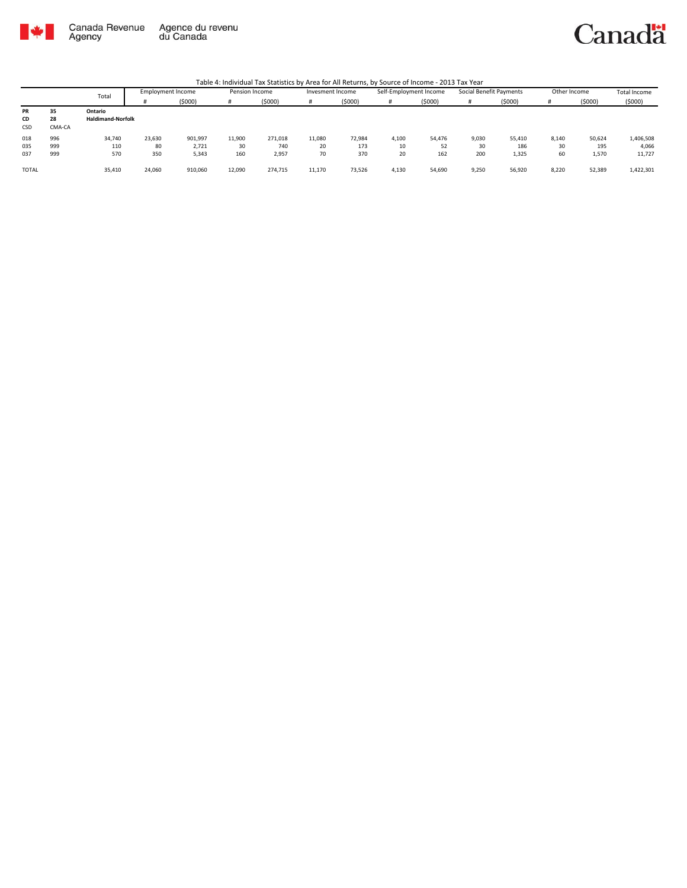

### Canadä

|       |        | Total                    | <b>Employment Income</b> |         | Pension Income |         | Invesment Income |        | Self-Employment Income |        | Social Benefit Payments |        | Other Income |        | Total Income |
|-------|--------|--------------------------|--------------------------|---------|----------------|---------|------------------|--------|------------------------|--------|-------------------------|--------|--------------|--------|--------------|
|       |        |                          |                          | (\$000) | #              | (5000)  |                  | (5000) | #                      | (5000) |                         | (5000) |              | (5000) | (5000)       |
| PR    | 35     | Ontario                  |                          |         |                |         |                  |        |                        |        |                         |        |              |        |              |
| CD    | 28     | <b>Haldimand-Norfolk</b> |                          |         |                |         |                  |        |                        |        |                         |        |              |        |              |
| CSD   | CMA-CA |                          |                          |         |                |         |                  |        |                        |        |                         |        |              |        |              |
| 018   | 996    | 34,740                   | 23,630                   | 901,997 | 11,900         | 271,018 | 11.080           | 72,984 | 4,100                  | 54,476 | 9,030                   | 55,410 | 8.140        | 50,624 | 1,406,508    |
| 035   | 999    | 110                      | 80                       | 2,721   | 30             | 740     | 20               | 173    | 10                     | 52     | 30                      | 186    | 30           | 195    | 4,066        |
| 037   | 999    | 570                      | 350                      | 5,343   | 160            | 2,957   | 70               | 370    | 20                     | 162    | 200                     | 1,325  | 60           | 1,570  | 11,727       |
|       |        |                          |                          |         |                |         |                  |        |                        |        |                         |        |              |        |              |
| TOTAL |        | 35,410                   | 24,060                   | 910,060 | 12,090         | 274.715 | 11,170           | 73,526 | 4,130                  | 54,690 | 9,250                   | 56,920 | 8,220        | 52,389 | 1,422,301    |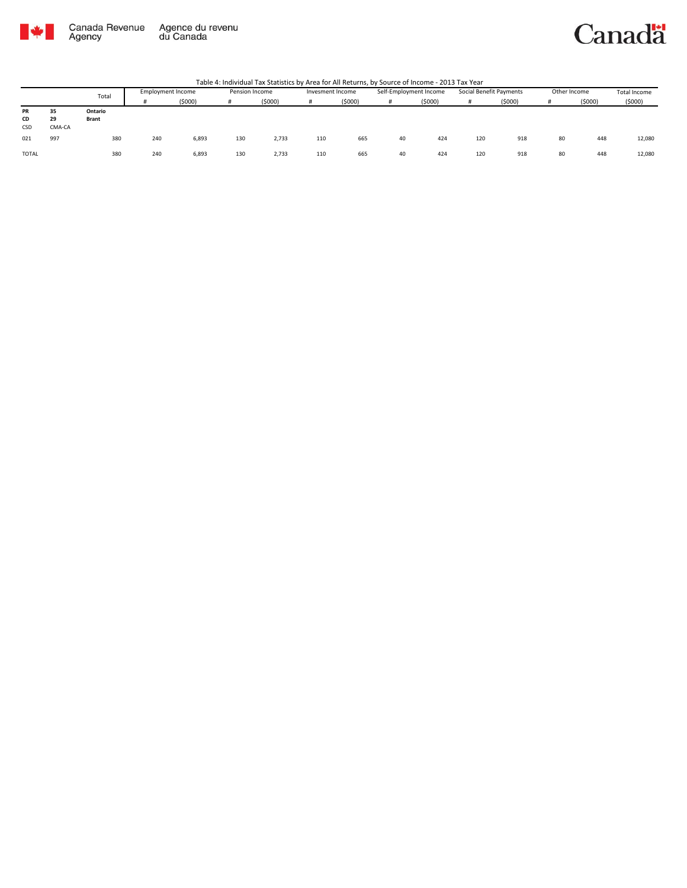

#### Canadä

|              |        | Total        | <b>Employment Income</b> |        | Pension Income |        | Invesment Income |        | Self-Employment Income |        | Social Benefit Payments |        | Other Income |        | Total Income |
|--------------|--------|--------------|--------------------------|--------|----------------|--------|------------------|--------|------------------------|--------|-------------------------|--------|--------------|--------|--------------|
|              |        |              |                          | (5000) |                | (5000) | #                | (5000) |                        | (5000) | Ħ                       | (5000) |              | (5000) | (5000)       |
| PR           | 35     | Ontario      |                          |        |                |        |                  |        |                        |        |                         |        |              |        |              |
| CD           | 29     | <b>Brant</b> |                          |        |                |        |                  |        |                        |        |                         |        |              |        |              |
| CSD          | CMA-CA |              |                          |        |                |        |                  |        |                        |        |                         |        |              |        |              |
| 021          | 997    | 380          | 240                      | 6,893  | 130            | 2,733  | 110              | 665    | 40                     | 424    | 120                     | 918    | 80           | 448    | 12,080       |
| <b>TOTAL</b> |        | 380          | 240                      | 6,893  | 130            | 2,733  | 110              | 665    | 40                     | 424    | 120                     | 918    | 80           | 448    | 12,080       |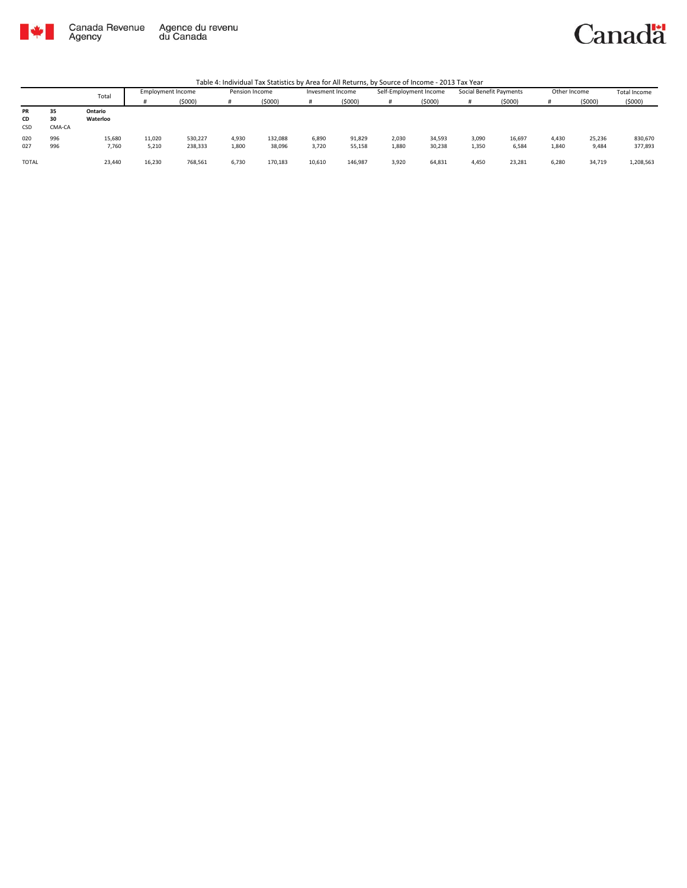

### Canadä

|              |        | Total    | Employment Income |         | Pension Income |         | Invesment Income |         | Self-Employment Income |        | Social Benefit Payments |        | Other Income |        | <b>Total Income</b> |
|--------------|--------|----------|-------------------|---------|----------------|---------|------------------|---------|------------------------|--------|-------------------------|--------|--------------|--------|---------------------|
|              |        |          |                   | (5000)  | #              | (5000)  |                  | (5000)  |                        | (5000) | #                       | (5000) |              | (5000) | (5000)              |
| PR           | 35     | Ontario  |                   |         |                |         |                  |         |                        |        |                         |        |              |        |                     |
| CD           | 30     | Waterloo |                   |         |                |         |                  |         |                        |        |                         |        |              |        |                     |
| CSD          | CMA-CA |          |                   |         |                |         |                  |         |                        |        |                         |        |              |        |                     |
| 020          | 996    | 15,680   | 11,020            | 530,227 | 4,930          | 132,088 | 6,890            | 91,829  | 2,030                  | 34,593 | 3,090                   | 16,697 | 4,430        | 25,236 | 830,670             |
| 027          | 996    | 7,760    | 5,210             | 238,333 | 1,800          | 38,096  | 3,720            | 55,158  | 1,880                  | 30,238 | 1,350                   | 6,584  | 1,840        | 9,484  | 377,893             |
| <b>TOTAL</b> |        | 23,440   | 16,230            | 768,561 | 6,730          | 170,183 | 10,610           | 146,987 | 3,920                  | 64,831 | 4,450                   | 23,281 | 6,280        | 34,719 | 1,208,563           |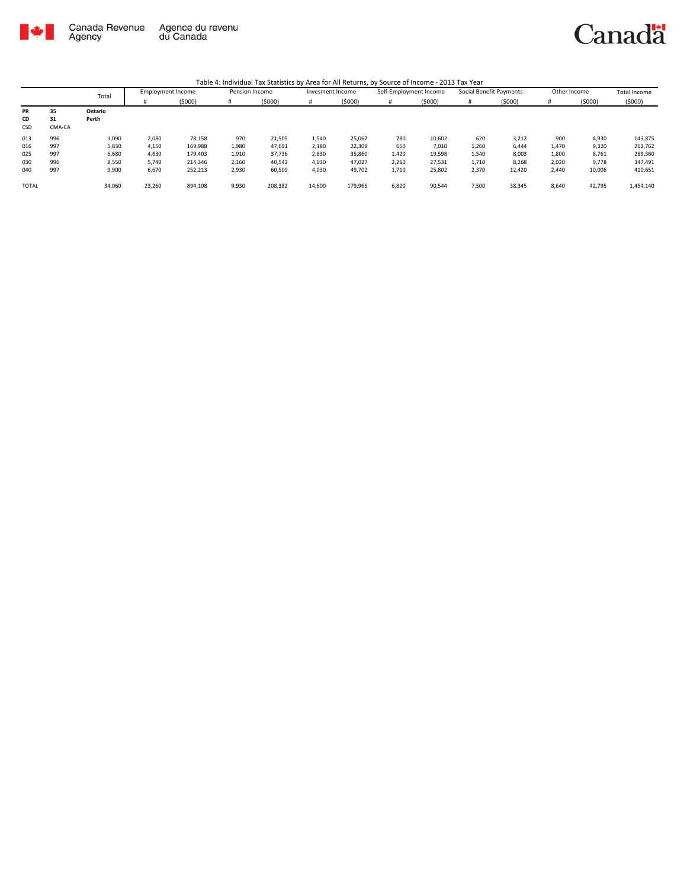

|              |        | Total   | <b>Employment Income</b> |         | Pension Income |         | Invesment Income |         | Self-Employment Income |        | Social Benefit Payments |        | Other Income |        | Total Income |
|--------------|--------|---------|--------------------------|---------|----------------|---------|------------------|---------|------------------------|--------|-------------------------|--------|--------------|--------|--------------|
|              |        |         |                          | (5000)  | #              | (5000)  |                  | (5000)  | #                      | (5000) | #                       | (5000) |              | (5000) | (5000)       |
| PR           | 35     | Ontario |                          |         |                |         |                  |         |                        |        |                         |        |              |        |              |
| CD           | 31     | Perth   |                          |         |                |         |                  |         |                        |        |                         |        |              |        |              |
| <b>CSD</b>   | CMA-CA |         |                          |         |                |         |                  |         |                        |        |                         |        |              |        |              |
| 013          | 996    | 3,090   | 2,080                    | 78,158  | 970            | 21,905  | 1,540            | 25,067  | 780                    | 10,602 | 620                     | 3,212  | 900          | 4,930  | 143,875      |
| 016          | 997    | 5,830   | 4,150                    | 169,988 | 1,980          | 47,691  | 2,180            | 22,309  | 650                    | 7,010  | 1,260                   | 6,444  | 1,470        | 9,320  | 262,762      |
| 025          | 997    | 6,680   | 4,630                    | 179,403 | 1,910          | 37,736  | 2,830            | 35,860  | 1,420                  | 19,598 | 1,540                   | 8,003  | 1,800        | 8,761  | 289,360      |
| 030          | 996    | 8,550   | 5,740                    | 214,346 | 2,160          | 40,542  | 4,030            | 47,027  | 2,260                  | 27,531 | 1,710                   | 8,268  | 2,020        | 9,778  | 347,491      |
| 040          | 997    | 9,900   | 6,670                    | 252,213 | 2,930          | 60,509  | 4,030            | 49,702  | 1,710                  | 25,802 | 2,370                   | 12,420 | 2,440        | 10,006 | 410,651      |
| <b>TOTAL</b> |        | 34,060  | 23,260                   | 894,108 | 9,930          | 208,382 | 14,600           | 179,965 | 6,820                  | 90,544 | 7,500                   | 38,345 | 8,640        | 42,795 | 1,454,140    |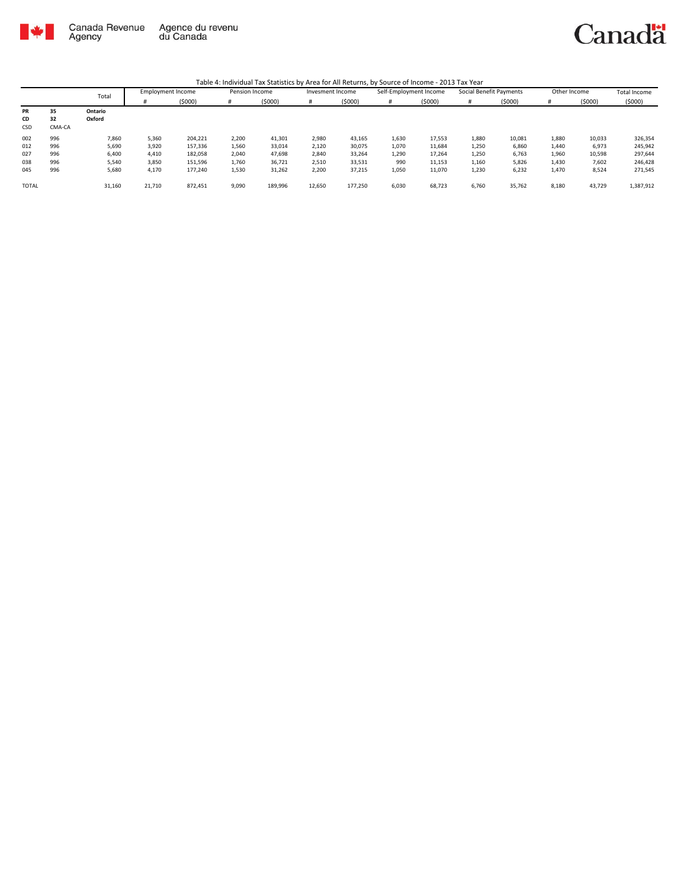

|              |        | Total   | <b>Employment Income</b> |         | Pension Income |         | Invesment Income |         | Self-Employment Income |        | Social Benefit Payments |        | Other Income |        | Total Income |
|--------------|--------|---------|--------------------------|---------|----------------|---------|------------------|---------|------------------------|--------|-------------------------|--------|--------------|--------|--------------|
|              |        |         |                          | (5000)  | #              | (\$000) |                  | (5000)  | #                      | (5000) |                         | (5000) | #            | (5000) | (5000)       |
| PR           | 35     | Ontario |                          |         |                |         |                  |         |                        |        |                         |        |              |        |              |
| CD           | 32     | Oxford  |                          |         |                |         |                  |         |                        |        |                         |        |              |        |              |
| <b>CSD</b>   | CMA-CA |         |                          |         |                |         |                  |         |                        |        |                         |        |              |        |              |
| 002          | 996    | 7,860   | 5,360                    | 204,221 | 2,200          | 41,301  | 2,980            | 43,165  | 1,630                  | 17,553 | 1,880                   | 10,081 | 1,880        | 10,033 | 326,354      |
| 012          | 996    | 5,690   | 3,920                    | 157,336 | 1,560          | 33,014  | 2,120            | 30,075  | 1,070                  | 11,684 | 1,250                   | 6,860  | 1,440        | 6,973  | 245,942      |
| 027          | 996    | 6,400   | 4,410                    | 182,058 | 2,040          | 47,698  | 2,840            | 33,264  | 1,290                  | 17,264 | 1,250                   | 6,763  | 1,960        | 10,598 | 297,644      |
| 038          | 996    | 5,540   | 3,850                    | 151,596 | 1,760          | 36,721  | 2,510            | 33,531  | 990                    | 11,153 | 1,160                   | 5,826  | 1,430        | 7,602  | 246,428      |
| 045          | 996    | 5,680   | 4,170                    | 177,240 | 1,530          | 31,262  | 2,200            | 37,215  | 1,050                  | 11,070 | 1,230                   | 6,232  | 1,470        | 8,524  | 271,545      |
| <b>TOTAL</b> |        | 31,160  | 21,710                   | 872,451 | 9,090          | 189,996 | 12,650           | 177,250 | 6,030                  | 68,723 | 6,760                   | 35,762 | 8,180        | 43,729 | 1,387,912    |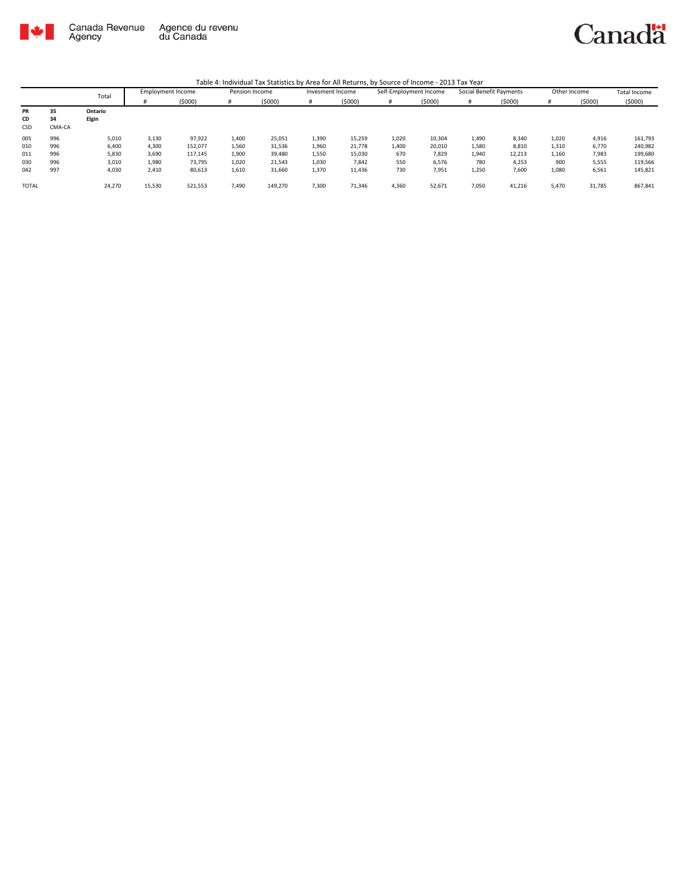

|              |        | Total   | <b>Employment Income</b> |         | Pension Income |         | Invesment Income |        | Self-Employment Income |        | Social Benefit Payments |        | Other Income |        | <b>Total Income</b> |
|--------------|--------|---------|--------------------------|---------|----------------|---------|------------------|--------|------------------------|--------|-------------------------|--------|--------------|--------|---------------------|
|              |        |         |                          | (5000)  | #              | (5000)  |                  | (5000) | #                      | (5000) |                         | (5000) |              | (5000) | (5000)              |
| PR           | 35     | Ontario |                          |         |                |         |                  |        |                        |        |                         |        |              |        |                     |
| CD           | 34     | Elgin   |                          |         |                |         |                  |        |                        |        |                         |        |              |        |                     |
| CSD          | CMA-CA |         |                          |         |                |         |                  |        |                        |        |                         |        |              |        |                     |
| 005          | 996    | 5,010   | 3,130                    | 97,922  | 1,400          | 25,051  | 1,390            | 15,259 | 1,020                  | 10,304 | 1,490                   | 8,340  | 1,020        | 4,916  | 161,793             |
| 010          | 996    | 6,400   | 4,300                    | 152,077 | 1,560          | 31,536  | 1,960            | 21,778 | 1,400                  | 20,010 | 1,580                   | 8,810  | 1,310        | 6,770  | 240,982             |
| 011          | 996    | 5,830   | 3,690                    | 117,145 | 1,900          | 39,480  | 1,550            | 15,030 | 670                    | 7,829  | 1,940                   | 12,213 | 1,160        | 7,983  | 199,680             |
| 030          | 996    | 3,010   | 1.980                    | 73.795  | 1,020          | 21,543  | 1,030            | 7,842  | 550                    | 6.576  | 780                     | 4.253  | 900          | 5,555  | 119,566             |
| 042          | 997    | 4,030   | 2,410                    | 80,613  | 1,610          | 31,660  | 1,370            | 11,436 | 730                    | 7,951  | 1,250                   | 7,600  | 1,080        | 6,561  | 145,821             |
| <b>TOTAL</b> |        | 24,270  | 15,530                   | 521,553 | 7,490          | 149,270 | 7,300            | 71,346 | 4,360                  | 52,671 | 7,050                   | 41,216 | 5,470        | 31,785 | 867,841             |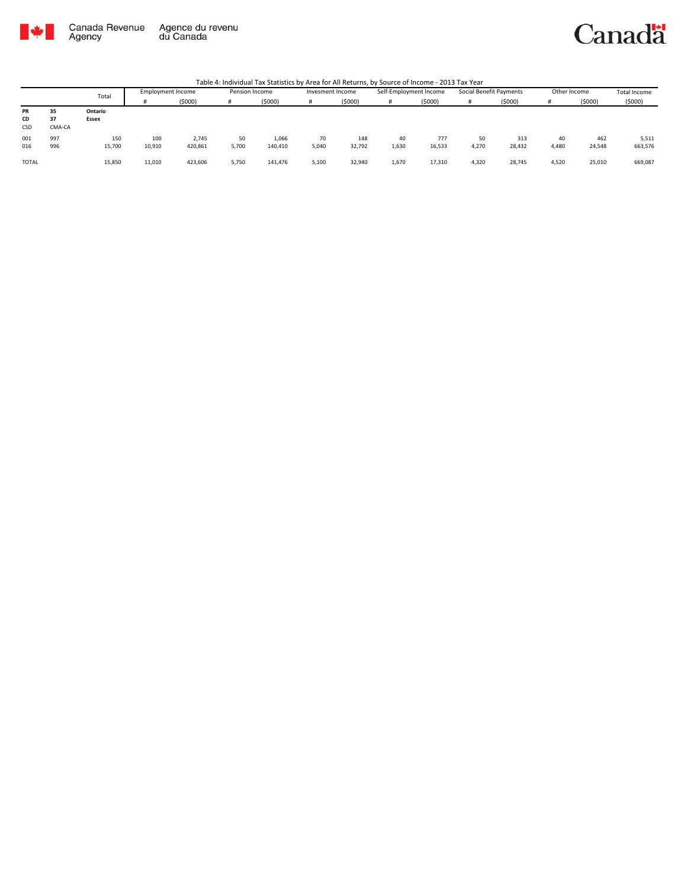

### Canadä

|              |        |         | <b>Employment Income</b> |         | Pension Income |         | Invesment Income |        | Self-Employment Income |        | Social Benefit Payments |        | Other Income |        | Total Income |
|--------------|--------|---------|--------------------------|---------|----------------|---------|------------------|--------|------------------------|--------|-------------------------|--------|--------------|--------|--------------|
|              |        | Total   |                          | (\$000) |                | (5000)  |                  | (5000) |                        | (5000) | Ħ                       | (5000) |              | (5000) | (5000)       |
| PR           | 35     | Ontario |                          |         |                |         |                  |        |                        |        |                         |        |              |        |              |
| CD           | 37     | Essex   |                          |         |                |         |                  |        |                        |        |                         |        |              |        |              |
| CSD          | CMA-CA |         |                          |         |                |         |                  |        |                        |        |                         |        |              |        |              |
| 001          | 997    | 150     | 100                      | 2,745   | 50             | 1,066   | 70               | 148    | 40                     | 777    | 50                      | 313    | 40           | 462    | 5,511        |
| 016          | 996    | 15,700  | 10,910                   | 420,861 | 5,700          | 140,410 | 5,040            | 32,792 | 1,630                  | 16,533 | 4,270                   | 28,432 | 4,480        | 24,548 | 663,576      |
|              |        |         |                          |         |                |         |                  |        |                        |        |                         |        |              |        |              |
| <b>TOTAL</b> |        | 15,850  | 11,010                   | 423,606 | 5,750          | 141,476 | 5,100            | 32,940 | 1,670                  | 17,310 | 4,320                   | 28,745 | 4,520        | 25,010 | 669,087      |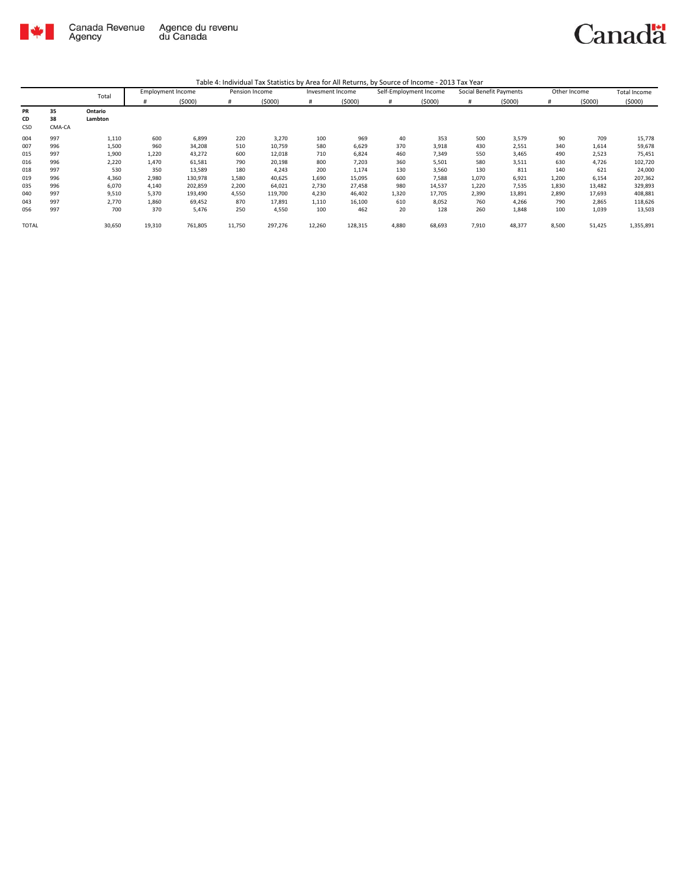

|              |        | Total   | <b>Employment Income</b> |         | Pension Income |         | Invesment Income |         | Self-Employment Income |        | Social Benefit Payments |        | Other Income |        | <b>Total Income</b> |
|--------------|--------|---------|--------------------------|---------|----------------|---------|------------------|---------|------------------------|--------|-------------------------|--------|--------------|--------|---------------------|
|              |        |         | #                        | (5000)  | #              | (5000)  | #                | (5000)  | #                      | (5000) | #                       | (5000) | #            | (5000) | (5000)              |
| PR           | 35     | Ontario |                          |         |                |         |                  |         |                        |        |                         |        |              |        |                     |
| CD           | 38     | Lambton |                          |         |                |         |                  |         |                        |        |                         |        |              |        |                     |
| CSD          | CMA-CA |         |                          |         |                |         |                  |         |                        |        |                         |        |              |        |                     |
| 004          | 997    | 1,110   | 600                      | 6,899   | 220            | 3,270   | 100              | 969     | 40                     | 353    | 500                     | 3,579  | 90           | 709    | 15,778              |
| 007          | 996    | 1,500   | 960                      | 34,208  | 510            | 10,759  | 580              | 6,629   | 370                    | 3,918  | 430                     | 2,551  | 340          | 1,614  | 59,678              |
| 015          | 997    | 1,900   | 1,220                    | 43,272  | 600            | 12,018  | 710              | 6,824   | 460                    | 7,349  | 550                     | 3,465  | 490          | 2,523  | 75,451              |
| 016          | 996    | 2,220   | 1,470                    | 61,581  | 790            | 20,198  | 800              | 7,203   | 360                    | 5,501  | 580                     | 3,511  | 630          | 4,726  | 102,720             |
| 018          | 997    | 530     | 350                      | 13,589  | 180            | 4,243   | 200              | 1,174   | 130                    | 3,560  | 130                     | 811    | 140          | 621    | 24,000              |
| 019          | 996    | 4,360   | 2,980                    | 130,978 | 1,580          | 40,625  | 1,690            | 15,095  | 600                    | 7,588  | 1,070                   | 6,921  | 1,200        | 6,154  | 207,362             |
| 035          | 996    | 6,070   | 4,140                    | 202,859 | 2,200          | 64,021  | 2,730            | 27,458  | 980                    | 14,537 | 1,220                   | 7,535  | 1,830        | 13,482 | 329,893             |
| 040          | 997    | 9,510   | 5,370                    | 193,490 | 4,550          | 119,700 | 4,230            | 46,402  | 1,320                  | 17,705 | 2,390                   | 13,891 | 2,890        | 17,693 | 408,881             |
| 043          | 997    | 2,770   | 1,860                    | 69,452  | 870            | 17,891  | 1,110            | 16,100  | 610                    | 8,052  | 760                     | 4,266  | 790          | 2,865  | 118,626             |
| 056          | 997    | 700     | 370                      | 5,476   | 250            | 4,550   | 100              | 462     | 20                     | 128    | 260                     | 1,848  | 100          | 1,039  | 13,503              |
| <b>TOTAL</b> |        | 30,650  | 19,310                   | 761,805 | 11,750         | 297,276 | 12,260           | 128,315 | 4,880                  | 68,693 | 7,910                   | 48,377 | 8,500        | 51,425 | 1,355,891           |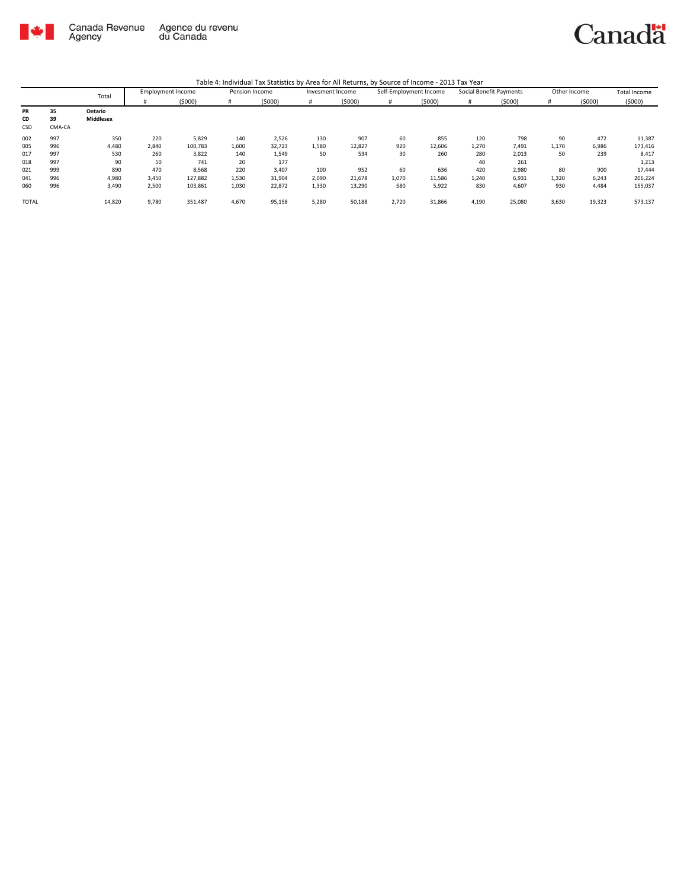

|              |        | Total     | <b>Employment Income</b> |         | Pension Income |        | Invesment Income |        | Self-Employment Income |        | Social Benefit Payments |        | Other Income |        | <b>Total Income</b> |
|--------------|--------|-----------|--------------------------|---------|----------------|--------|------------------|--------|------------------------|--------|-------------------------|--------|--------------|--------|---------------------|
|              |        |           |                          | (5000)  | #              | (5000) | #                | (5000) | #                      | (5000) | #                       | (5000) | #            | (5000) | (5000)              |
| PR           | 35     | Ontario   |                          |         |                |        |                  |        |                        |        |                         |        |              |        |                     |
| CD           | 39     | Middlesex |                          |         |                |        |                  |        |                        |        |                         |        |              |        |                     |
| CSD          | CMA-CA |           |                          |         |                |        |                  |        |                        |        |                         |        |              |        |                     |
| 002          | 997    | 350       | 220                      | 5,829   | 140            | 2,526  | 130              | 907    | 60                     | 855    | 120                     | 798    | 90           | 472    | 11,387              |
| 005          | 996    | 4,480     | 2,840                    | 100,783 | 1,600          | 32,723 | 1,580            | 12,827 | 920                    | 12,606 | 1,270                   | 7,491  | 1,170        | 6,986  | 173,416             |
| 017          | 997    | 530       | 260                      | 3,822   | 140            | 1,549  | 50               | 534    | 30                     | 260    | 280                     | 2,013  | 50           | 239    | 8,417               |
| 018          | 997    | 90        | 50                       | 741     | 20             | 177    |                  |        |                        |        | 40                      | 261    |              |        | 1,213               |
| 021          | 999    | 890       | 470                      | 8,568   | 220            | 3,407  | 100              | 952    | 60                     | 636    | 420                     | 2,980  | 80           | 900    | 17,444              |
| 041          | 996    | 4,980     | 3,450                    | 127,882 | 1,530          | 31,904 | 2,090            | 21,678 | 1,070                  | 11,586 | 1,240                   | 6,931  | 1,320        | 6,243  | 206,224             |
| 060          | 996    | 3,490     | 2,500                    | 103,861 | 1,030          | 22,872 | 1,330            | 13,290 | 580                    | 5,922  | 830                     | 4,607  | 930          | 4,484  | 155,037             |
| <b>TOTAL</b> |        | 14,820    | 9,780                    | 351,487 | 4,670          | 95,158 | 5,280            | 50,188 | 2,720                  | 31,866 | 4,190                   | 25,080 | 3,630        | 19,323 | 573,137             |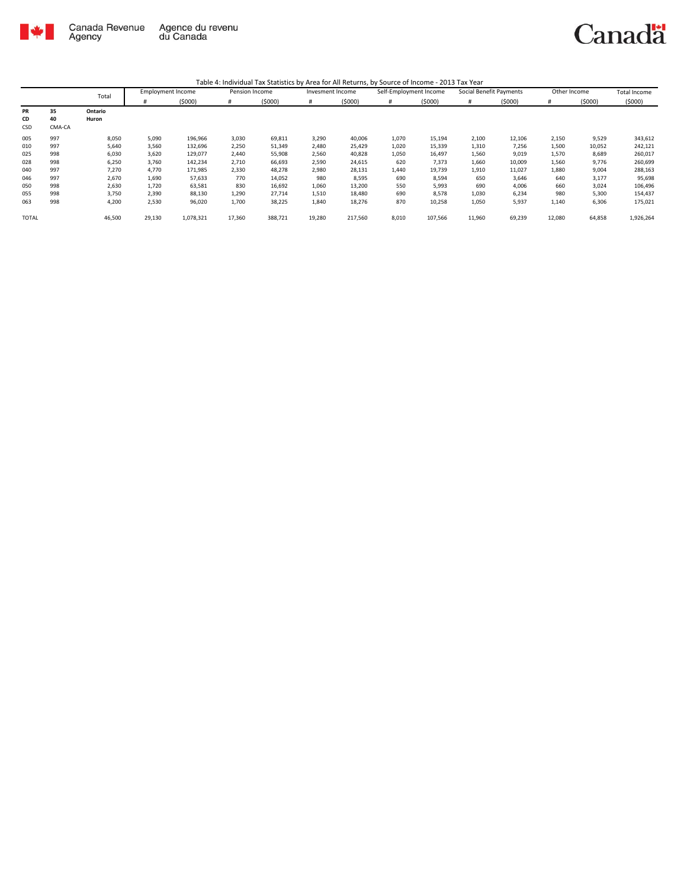

|              |        | Total   | <b>Employment Income</b> |           | Pension Income |         | Invesment Income |         | Self-Employment Income |         | Social Benefit Payments |        | Other Income |        | <b>Total Income</b> |
|--------------|--------|---------|--------------------------|-----------|----------------|---------|------------------|---------|------------------------|---------|-------------------------|--------|--------------|--------|---------------------|
|              |        |         | #                        | (5000)    | #              | (5000)  | #                | (5000)  | #                      | (5000)  | #                       | (5000) | #            | (5000) | (5000)              |
| <b>PR</b>    | 35     | Ontario |                          |           |                |         |                  |         |                        |         |                         |        |              |        |                     |
| CD           | 40     | Huron   |                          |           |                |         |                  |         |                        |         |                         |        |              |        |                     |
| CSD          | CMA-CA |         |                          |           |                |         |                  |         |                        |         |                         |        |              |        |                     |
| 005          | 997    | 8,050   | 5,090                    | 196,966   | 3,030          | 69,811  | 3,290            | 40,006  | 1,070                  | 15,194  | 2,100                   | 12,106 | 2,150        | 9,529  | 343,612             |
| 010          | 997    | 5,640   | 3,560                    | 132,696   | 2,250          | 51,349  | 2,480            | 25,429  | 1,020                  | 15,339  | 1,310                   | 7,256  | 1,500        | 10,052 | 242,121             |
| 025          | 998    | 6,030   | 3,620                    | 129,077   | 2,440          | 55,908  | 2,560            | 40,828  | 1,050                  | 16,497  | 1,560                   | 9,019  | 1,570        | 8,689  | 260,017             |
| 028          | 998    | 6,250   | 3,760                    | 142,234   | 2,710          | 66,693  | 2,590            | 24,615  | 620                    | 7,373   | 1,660                   | 10,009 | 1,560        | 9,776  | 260,699             |
| 040          | 997    | 7,270   | 4,770                    | 171,985   | 2,330          | 48,278  | 2,980            | 28,131  | 1,440                  | 19,739  | 1,910                   | 11,027 | 1,880        | 9,004  | 288,163             |
| 046          | 997    | 2,670   | 1,690                    | 57,633    | 770            | 14,052  | 980              | 8,595   | 690                    | 8,594   | 650                     | 3,646  | 640          | 3,177  | 95,698              |
| 050          | 998    | 2,630   | 1,720                    | 63,581    | 830            | 16,692  | 1,060            | 13,200  | 550                    | 5,993   | 690                     | 4,006  | 660          | 3,024  | 106,496             |
| 055          | 998    | 3,750   | 2,390                    | 88,130    | 1,290          | 27,714  | 1,510            | 18,480  | 690                    | 8,578   | 1,030                   | 6,234  | 980          | 5,300  | 154,437             |
| 063          | 998    | 4,200   | 2,530                    | 96,020    | 1,700          | 38,225  | 1,840            | 18,276  | 870                    | 10,258  | 1,050                   | 5,937  | 1,140        | 6,306  | 175,021             |
| <b>TOTAL</b> |        | 46,500  | 29,130                   | 1,078,321 | 17,360         | 388,721 | 19,280           | 217,560 | 8,010                  | 107,566 | 11,960                  | 69,239 | 12,080       | 64,858 | 1,926,264           |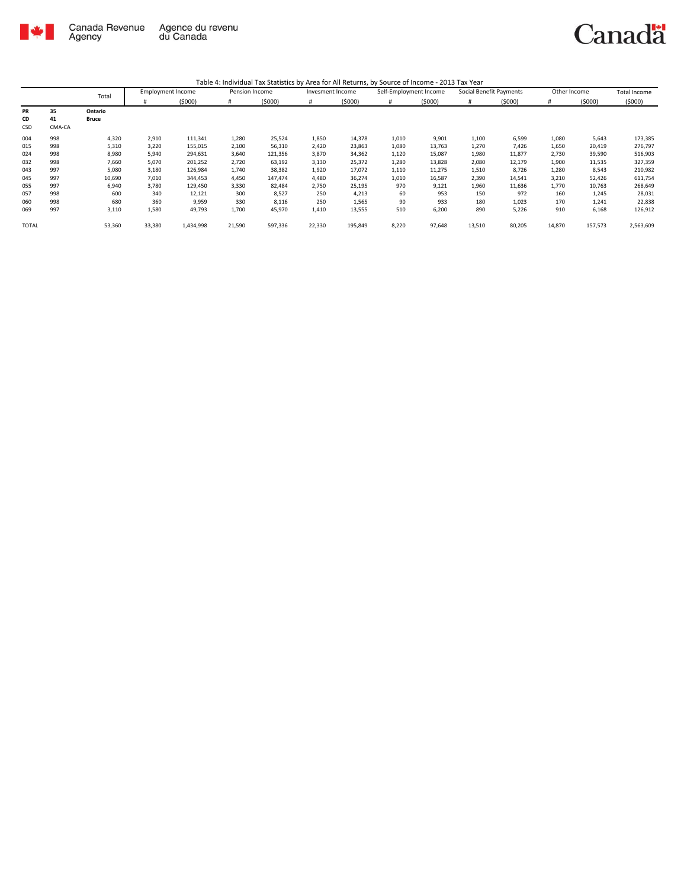

|              |        | Total        | <b>Employment Income</b> |           | Pension Income |         | Invesment Income |         | Self-Employment Income |        | Social Benefit Payments |        | Other Income |         | <b>Total Income</b> |
|--------------|--------|--------------|--------------------------|-----------|----------------|---------|------------------|---------|------------------------|--------|-------------------------|--------|--------------|---------|---------------------|
|              |        |              | #                        | (5000)    | #              | (5000)  | #                | (5000)  | #                      | (5000) | #                       | (5000) | #            | (5000)  | (5000)              |
| PR           | 35     | Ontario      |                          |           |                |         |                  |         |                        |        |                         |        |              |         |                     |
| CD           | 41     | <b>Bruce</b> |                          |           |                |         |                  |         |                        |        |                         |        |              |         |                     |
| CSD          | CMA-CA |              |                          |           |                |         |                  |         |                        |        |                         |        |              |         |                     |
| 004          | 998    | 4,320        | 2,910                    | 111,341   | 1,280          | 25,524  | 1,850            | 14,378  | 1,010                  | 9,901  | 1,100                   | 6,599  | 1,080        | 5,643   | 173,385             |
| 015          | 998    | 5,310        | 3,220                    | 155,015   | 2,100          | 56,310  | 2,420            | 23,863  | 1,080                  | 13,763 | 1,270                   | 7,426  | 1,650        | 20,419  | 276,797             |
| 024          | 998    | 8,980        | 5.940                    | 294,631   | 3,640          | 121,356 | 3,870            | 34,362  | 1,120                  | 15,087 | 1,980                   | 11,877 | 2,730        | 39,590  | 516,903             |
| 032          | 998    | 7,660        | 5.070                    | 201,252   | 2,720          | 63,192  | 3,130            | 25,372  | 1,280                  | 13,828 | 2,080                   | 12,179 | 1,900        | 11,535  | 327,359             |
| 043          | 997    | 5,080        | 3,180                    | 126,984   | 1,740          | 38,382  | 1,920            | 17,072  | 1,110                  | 11,275 | 1,510                   | 8,726  | 1,280        | 8,543   | 210,982             |
| 045          | 997    | 10,690       | 7,010                    | 344,453   | 4,450          | 147,474 | 4,480            | 36,274  | 1,010                  | 16,587 | 2,390                   | 14,541 | 3,210        | 52,426  | 611,754             |
| 055          | 997    | 6,940        | 3,780                    | 129,450   | 3,330          | 82,484  | 2,750            | 25,195  | 970                    | 9,121  | 1,960                   | 11,636 | 1,770        | 10,763  | 268,649             |
| 057          | 998    | 600          | 340                      | 12,121    | 300            | 8,527   | 250              | 4,213   | 60                     | 953    | 150                     | 972    | 160          | 1,245   | 28,031              |
| 060          | 998    | 680          | 360                      | 9,959     | 330            | 8,116   | 250              | 1,565   | 90                     | 933    | 180                     | 1,023  | 170          | 1,241   | 22,838              |
| 069          | 997    | 3,110        | 1,580                    | 49,793    | 1,700          | 45,970  | 1,410            | 13,555  | 510                    | 6,200  | 890                     | 5,226  | 910          | 6,168   | 126,912             |
| <b>TOTAL</b> |        | 53,360       | 33,380                   | 1,434,998 | 21,590         | 597,336 | 22,330           | 195,849 | 8,220                  | 97,648 | 13,510                  | 80,205 | 14,870       | 157,573 | 2,563,609           |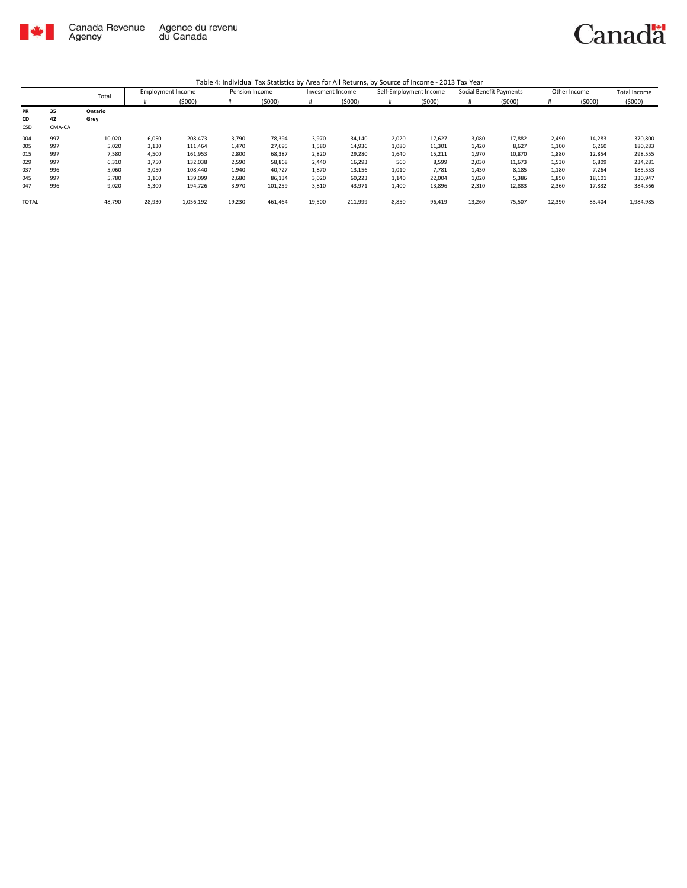

|              |        | Total   | <b>Employment Income</b> |           | Pension Income |         | Invesment Income |         | Self-Employment Income |        | Social Benefit Payments |        | Other Income |        | <b>Total Income</b> |
|--------------|--------|---------|--------------------------|-----------|----------------|---------|------------------|---------|------------------------|--------|-------------------------|--------|--------------|--------|---------------------|
|              |        |         |                          | (5000)    | #              | (5000)  | #                | (5000)  | #                      | (5000) | #                       | (5000) | #            | (5000) | (5000)              |
| PR           | 35     | Ontario |                          |           |                |         |                  |         |                        |        |                         |        |              |        |                     |
| CD           | 42     | Grey    |                          |           |                |         |                  |         |                        |        |                         |        |              |        |                     |
| <b>CSD</b>   | CMA-CA |         |                          |           |                |         |                  |         |                        |        |                         |        |              |        |                     |
| 004          | 997    | 10,020  | 6,050                    | 208,473   | 3,790          | 78,394  | 3,970            | 34,140  | 2,020                  | 17,627 | 3,080                   | 17,882 | 2,490        | 14,283 | 370,800             |
| 005          | 997    | 5,020   | 3,130                    | 111,464   | 1,470          | 27,695  | 1,580            | 14,936  | 1,080                  | 11,301 | 1,420                   | 8,627  | 1,100        | 6,260  | 180,283             |
| 015          | 997    | 7,580   | 4,500                    | 161,953   | 2,800          | 68,387  | 2,820            | 29,280  | 1,640                  | 15,211 | 1,970                   | 10,870 | 1,880        | 12,854 | 298,555             |
| 029          | 997    | 6,310   | 3,750                    | 132,038   | 2,590          | 58,868  | 2,440            | 16,293  | 560                    | 8,599  | 2,030                   | 11,673 | 1,530        | 6,809  | 234,281             |
| 037          | 996    | 5,060   | 3,050                    | 108,440   | 1,940          | 40,727  | 1,870            | 13,156  | 1,010                  | 7,781  | 1,430                   | 8,185  | 1,180        | 7,264  | 185,553             |
| 045          | 997    | 5,780   | 3,160                    | 139,099   | 2,680          | 86,134  | 3,020            | 60,223  | 1,140                  | 22,004 | 1,020                   | 5,386  | 1,850        | 18,101 | 330,947             |
| 047          | 996    | 9,020   | 5,300                    | 194,726   | 3,970          | 101,259 | 3,810            | 43,971  | 1,400                  | 13,896 | 2,310                   | 12,883 | 2,360        | 17,832 | 384,566             |
| <b>TOTAL</b> |        | 48,790  | 28,930                   | 1,056,192 | 19,230         | 461,464 | 19,500           | 211,999 | 8,850                  | 96,419 | 13,260                  | 75,507 | 12,390       | 83,404 | 1,984,985           |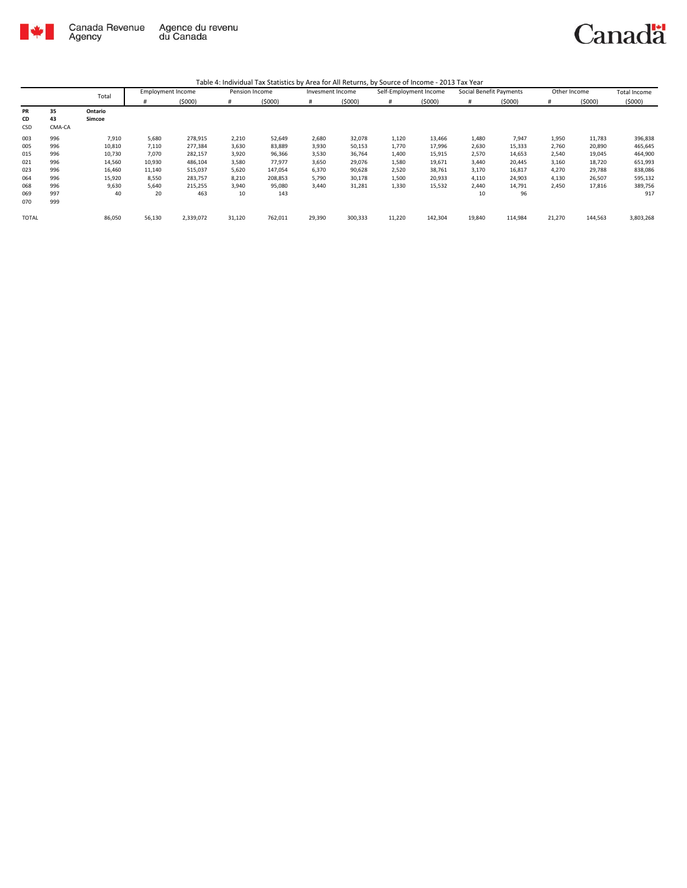

|              |        | Total   | <b>Employment Income</b> |           | Pension Income |         | Invesment Income |         | Self-Employment Income |         | Social Benefit Payments |         | Other Income |         | <b>Total Income</b> |
|--------------|--------|---------|--------------------------|-----------|----------------|---------|------------------|---------|------------------------|---------|-------------------------|---------|--------------|---------|---------------------|
|              |        |         | #                        | (5000)    | #              | (5000)  | #                | (5000)  | #                      | (5000)  | #                       | (5000)  |              | (5000)  | (5000)              |
| PR           | 35     | Ontario |                          |           |                |         |                  |         |                        |         |                         |         |              |         |                     |
| CD           | 43     | Simcoe  |                          |           |                |         |                  |         |                        |         |                         |         |              |         |                     |
| CSD          | CMA-CA |         |                          |           |                |         |                  |         |                        |         |                         |         |              |         |                     |
| 003          | 996    | 7,910   | 5,680                    | 278,915   | 2,210          | 52,649  | 2,680            | 32,078  | 1,120                  | 13,466  | 1,480                   | 7,947   | 1,950        | 11,783  | 396,838             |
| 005          | 996    | 10,810  | 7,110                    | 277,384   | 3,630          | 83,889  | 3,930            | 50,153  | 1,770                  | 17,996  | 2,630                   | 15,333  | 2,760        | 20,890  | 465,645             |
| 015          | 996    | 10,730  | 7,070                    | 282,157   | 3,920          | 96,366  | 3,530            | 36,764  | 1,400                  | 15,915  | 2,570                   | 14,653  | 2,540        | 19,045  | 464,900             |
| 021          | 996    | 14,560  | 10,930                   | 486,104   | 3,580          | 77,977  | 3,650            | 29,076  | 1,580                  | 19,671  | 3,440                   | 20,445  | 3,160        | 18,720  | 651,993             |
| 023          | 996    | 16,460  | 11,140                   | 515,037   | 5,620          | 147,054 | 6,370            | 90,628  | 2,520                  | 38,761  | 3,170                   | 16,817  | 4,270        | 29,788  | 838,086             |
| 064          | 996    | 15,920  | 8,550                    | 283,757   | 8,210          | 208,853 | 5,790            | 30,178  | 1,500                  | 20,933  | 4,110                   | 24,903  | 4,130        | 26,507  | 595,132             |
| 068          | 996    | 9,630   | 5,640                    | 215,255   | 3,940          | 95,080  | 3,440            | 31,281  | 1,330                  | 15,532  | 2,440                   | 14,791  | 2,450        | 17,816  | 389,756             |
| 069          | 997    | 40      | 20                       | 463       | 10             | 143     |                  |         |                        |         | 10                      | 96      |              |         | 917                 |
| 070          | 999    |         |                          |           |                |         |                  |         |                        |         |                         |         |              |         |                     |
| <b>TOTAL</b> |        | 86,050  | 56,130                   | 2,339,072 | 31,120         | 762,011 | 29,390           | 300,333 | 11,220                 | 142,304 | 19,840                  | 114,984 | 21,270       | 144,563 | 3,803,268           |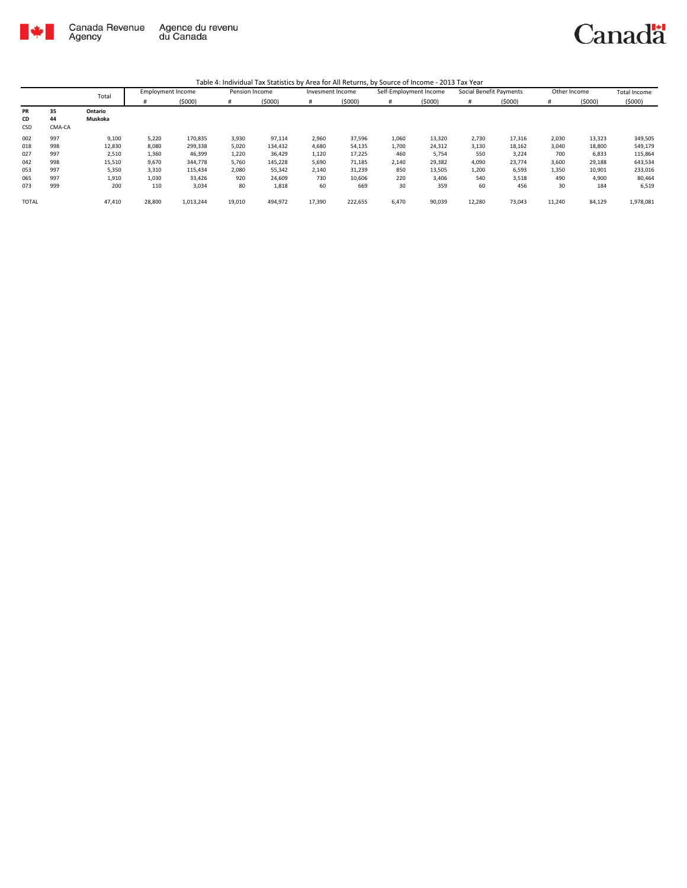

|              |        | Total   | <b>Employment Income</b> |           | Pension Income |         | Invesment Income |         | Self-Employment Income |        | Social Benefit Payments |        | Other Income |        | <b>Total Income</b> |
|--------------|--------|---------|--------------------------|-----------|----------------|---------|------------------|---------|------------------------|--------|-------------------------|--------|--------------|--------|---------------------|
|              |        |         |                          | (5000)    | #              | (5000)  | #                | (5000)  | #                      | (5000) | #                       | (5000) | #            | (5000) | (5000)              |
| PR           | 35     | Ontario |                          |           |                |         |                  |         |                        |        |                         |        |              |        |                     |
| <b>CD</b>    | 44     | Muskoka |                          |           |                |         |                  |         |                        |        |                         |        |              |        |                     |
| CSD          | CMA-CA |         |                          |           |                |         |                  |         |                        |        |                         |        |              |        |                     |
| 002          | 997    | 9,100   | 5,220                    | 170,835   | 3,930          | 97,114  | 2,960            | 37,596  | 1,060                  | 13,320 | 2,730                   | 17,316 | 2,030        | 13,323 | 349,505             |
| 018          | 998    | 12,830  | 8,080                    | 299,338   | 5,020          | 134,432 | 4,680            | 54,135  | 1,700                  | 24,312 | 3,130                   | 18,162 | 3,040        | 18,800 | 549,179             |
| 027          | 997    | 2,510   | 1,360                    | 46,399    | 1,220          | 36,429  | 1,120            | 17,225  | 460                    | 5,754  | 550                     | 3,224  | 700          | 6,833  | 115,864             |
| 042          | 998    | 15,510  | 9,670                    | 344,778   | 5,760          | 145,228 | 5,690            | 71,185  | 2,140                  | 29,382 | 4,090                   | 23,774 | 3,600        | 29,188 | 643,534             |
| 053          | 997    | 5,350   | 3,310                    | 115,434   | 2,080          | 55,342  | 2,140            | 31,239  | 850                    | 13,505 | 1,200                   | 6,593  | 1,350        | 10,901 | 233,016             |
| 065          | 997    | 1,910   | 1,030                    | 33,426    | 920            | 24,609  | 730              | 10,606  | 220                    | 3,406  | 540                     | 3,518  | 490          | 4,900  | 80,464              |
| 073          | 999    | 200     | 110                      | 3,034     | 80             | 1,818   | 60               | 669     | 30                     | 359    | 60                      | 456    | 30           | 184    | 6,519               |
| <b>TOTAL</b> |        | 47.410  | 28,800                   | 1,013,244 | 19,010         | 494,972 | 17,390           | 222,655 | 6,470                  | 90,039 | 12,280                  | 73,043 | 11,240       | 84,129 | 1,978,081           |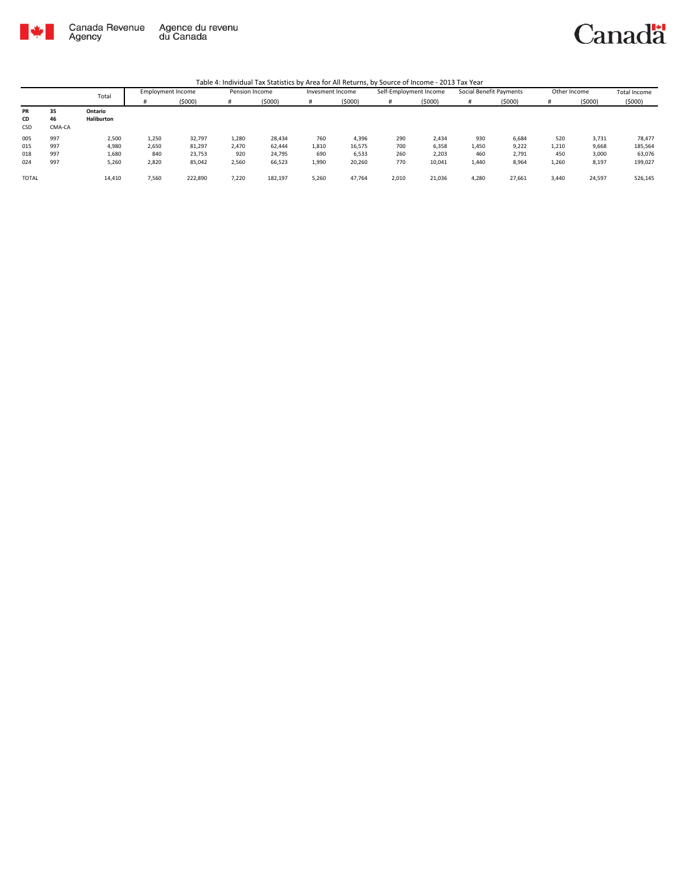

Canadä

|              |        | Total      | <b>Employment Income</b> |         | Pension Income |         | Invesment Income |        | Self-Employment Income |        | Social Benefit Payments |        | Other Income |        | <b>Total Income</b> |
|--------------|--------|------------|--------------------------|---------|----------------|---------|------------------|--------|------------------------|--------|-------------------------|--------|--------------|--------|---------------------|
|              |        |            |                          | (5000)  | Ħ              | (5000)  |                  | (5000) | #                      | (5000) |                         | (5000) |              | (5000) | (5000)              |
| PR           | 35     | Ontario    |                          |         |                |         |                  |        |                        |        |                         |        |              |        |                     |
| CD           | 46     | Haliburton |                          |         |                |         |                  |        |                        |        |                         |        |              |        |                     |
| CSD          | CMA-CA |            |                          |         |                |         |                  |        |                        |        |                         |        |              |        |                     |
| 005          | 997    | 2,500      | 1,250                    | 32,797  | 1,280          | 28,434  | 760              | 4,396  | 290                    | 2,434  | 930                     | 6,684  | 520          | 3,731  | 78,477              |
| 015          | 997    | 4,980      | 2,650                    | 81,297  | 2,470          | 62,444  | 1,810            | 16,575 | 700                    | 6,358  | 1,450                   | 9,222  | 1,210        | 9,668  | 185,564             |
| 018          | 997    | 1,680      | 840                      | 23,753  | 920            | 24,795  | 690              | 6,533  | 260                    | 2,203  | 460                     | 2,791  | 450          | 3,000  | 63,076              |
| 024          | 997    | 5,260      | 2,820                    | 85,042  | 2,560          | 66,523  | 1,990            | 20,260 | 770                    | 10,041 | 1,440                   | 8,964  | 1,260        | 8,197  | 199,027             |
| <b>TOTAL</b> |        | 14,410     | 7,560                    | 222,890 | 7,220          | 182,197 | 5,260            | 47,764 | 2,010                  | 21,036 | 4,280                   | 27,661 | 3.440        | 24,597 | 526,145             |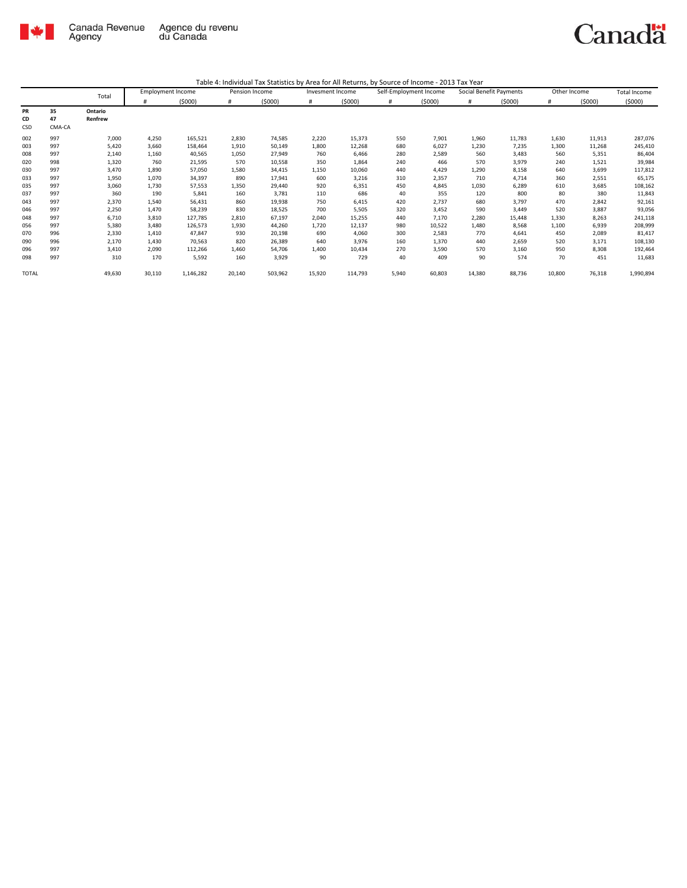

|              |        | Total   | <b>Employment Income</b> |           | Pension Income |         | Invesment Income |         | Self-Employment Income |        | Social Benefit Payments |        | Other Income |        | Total Income |
|--------------|--------|---------|--------------------------|-----------|----------------|---------|------------------|---------|------------------------|--------|-------------------------|--------|--------------|--------|--------------|
|              |        |         | #                        | (5000)    | #              | (5000)  | #                | (5000)  | #                      | (5000) | #                       | (5000) | #            | (5000) | (5000)       |
| PR           | 35     | Ontario |                          |           |                |         |                  |         |                        |        |                         |        |              |        |              |
| CD           | 47     | Renfrew |                          |           |                |         |                  |         |                        |        |                         |        |              |        |              |
| CSD          | CMA-CA |         |                          |           |                |         |                  |         |                        |        |                         |        |              |        |              |
| 002          | 997    | 7,000   | 4,250                    | 165,521   | 2,830          | 74,585  | 2,220            | 15,373  | 550                    | 7,901  | 1,960                   | 11,783 | 1,630        | 11,913 | 287,076      |
| 003          | 997    | 5,420   | 3,660                    | 158,464   | 1,910          | 50,149  | 1,800            | 12,268  | 680                    | 6,027  | 1,230                   | 7,235  | 1,300        | 11,268 | 245,410      |
| 008          | 997    | 2,140   | 1,160                    | 40,565    | 1,050          | 27,949  | 760              | 6,466   | 280                    | 2,589  | 560                     | 3,483  | 560          | 5,351  | 86,404       |
| 020          | 998    | 1,320   | 760                      | 21,595    | 570            | 10,558  | 350              | 1,864   | 240                    | 466    | 570                     | 3,979  | 240          | 1,521  | 39,984       |
| 030          | 997    | 3,470   | 1,890                    | 57,050    | 1,580          | 34,415  | 1,150            | 10,060  | 440                    | 4,429  | 1,290                   | 8,158  | 640          | 3,699  | 117,812      |
| 033          | 997    | 1,950   | 1,070                    | 34,397    | 890            | 17,941  | 600              | 3,216   | 310                    | 2,357  | 710                     | 4,714  | 360          | 2,551  | 65,175       |
| 035          | 997    | 3,060   | 1,730                    | 57,553    | 1,350          | 29,440  | 920              | 6,351   | 450                    | 4,845  | 1,030                   | 6,289  | 610          | 3,685  | 108,162      |
| 037          | 997    | 360     | 190                      | 5,841     | 160            | 3,781   | 110              | 686     | 40                     | 355    | 120                     | 800    | 80           | 380    | 11,843       |
| 043          | 997    | 2,370   | 1,540                    | 56,431    | 860            | 19,938  | 750              | 6,415   | 420                    | 2,737  | 680                     | 3,797  | 470          | 2,842  | 92,161       |
| 046          | 997    | 2,250   | 1,470                    | 58,239    | 830            | 18,525  | 700              | 5,505   | 320                    | 3,452  | 590                     | 3,449  | 520          | 3,887  | 93,056       |
| 048          | 997    | 6,710   | 3,810                    | 127,785   | 2,810          | 67,197  | 2,040            | 15,255  | 440                    | 7,170  | 2,280                   | 15,448 | 1,330        | 8,263  | 241,118      |
| 056          | 997    | 5,380   | 3,480                    | 126,573   | 1,930          | 44,260  | 1,720            | 12,137  | 980                    | 10,522 | 1,480                   | 8,568  | 1,100        | 6,939  | 208,999      |
| 070          | 996    | 2,330   | 1,410                    | 47,847    | 930            | 20,198  | 690              | 4,060   | 300                    | 2,583  | 770                     | 4,641  | 450          | 2,089  | 81,417       |
| 090          | 996    | 2,170   | 1,430                    | 70,563    | 820            | 26,389  | 640              | 3,976   | 160                    | 1,370  | 440                     | 2,659  | 520          | 3,171  | 108,130      |
| 096          | 997    | 3,410   | 2,090                    | 112,266   | 1,460          | 54,706  | 1,400            | 10,434  | 270                    | 3,590  | 570                     | 3,160  | 950          | 8,308  | 192,464      |
| 098          | 997    | 310     | 170                      | 5,592     | 160            | 3,929   | 90               | 729     | 40                     | 409    | 90                      | 574    | 70           | 451    | 11,683       |
| <b>TOTAL</b> |        | 49,630  | 30,110                   | 1,146,282 | 20,140         | 503,962 | 15,920           | 114,793 | 5,940                  | 60,803 | 14,380                  | 88,736 | 10,800       | 76,318 | 1,990,894    |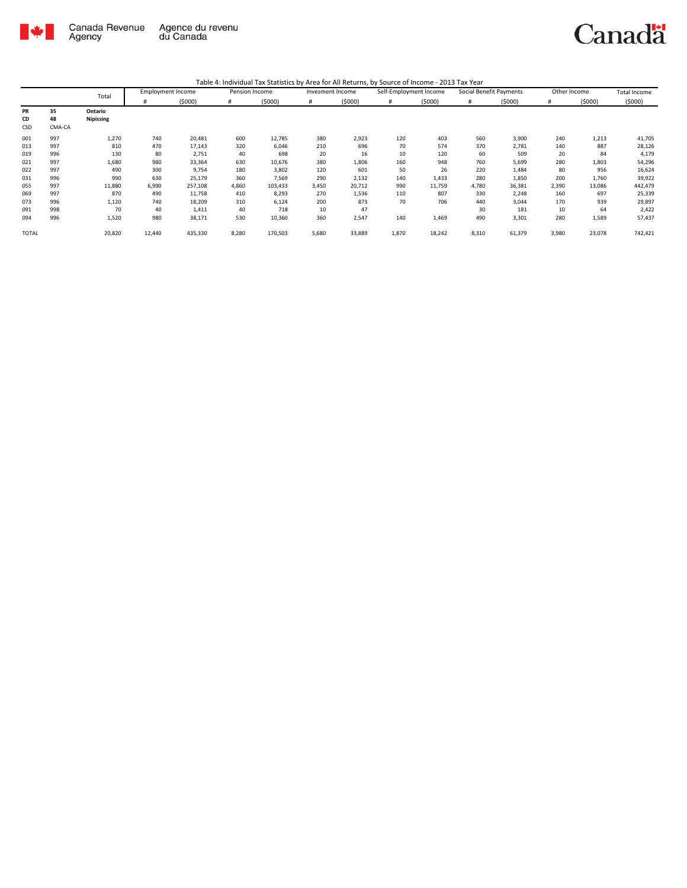

|              |        | Total     | <b>Employment Income</b> |         | Pension Income |         | Invesment Income |        | Self-Employment Income |        | Social Benefit Payments |        | Other Income |        | <b>Total Income</b> |
|--------------|--------|-----------|--------------------------|---------|----------------|---------|------------------|--------|------------------------|--------|-------------------------|--------|--------------|--------|---------------------|
|              |        |           | #                        | (5000)  | #              | (5000)  | #                | (5000) | #                      | (5000) | #                       | (5000) |              | (5000) | (5000)              |
| PR           | 35     | Ontario   |                          |         |                |         |                  |        |                        |        |                         |        |              |        |                     |
| CD           | 48     | Nipissing |                          |         |                |         |                  |        |                        |        |                         |        |              |        |                     |
| CSD          | CMA-CA |           |                          |         |                |         |                  |        |                        |        |                         |        |              |        |                     |
| 001          | 997    | 1,270     | 740                      | 20,481  | 600            | 12,785  | 380              | 2,923  | 120                    | 403    | 560                     | 3,900  | 240          | 1,213  | 41,705              |
| 013          | 997    | 810       | 470                      | 17,143  | 320            | 6,046   | 210              | 696    | 70                     | 574    | 370                     | 2,781  | 140          | 887    | 28,126              |
| 019          | 996    | 130       | 80                       | 2,751   | 40             | 698     | 20               | 16     | 10                     | 120    | 60                      | 509    | 20           | 84     | 4,179               |
| 021          | 997    | 1,680     | 980                      | 33,364  | 630            | 10,676  | 380              | 1,806  | 160                    | 948    | 760                     | 5,699  | 280          | 1,803  | 54,296              |
| 022          | 997    | 490       | 300                      | 9,754   | 180            | 3,802   | 120              | 601    | 50                     | 26     | 220                     | 1,484  | 80           | 956    | 16,624              |
| 031          | 996    | 990       | 630                      | 25,179  | 360            | 7,569   | 290              | 2,132  | 140                    | 1,433  | 280                     | 1,850  | 200          | 1,760  | 39,922              |
| 055          | 997    | 11,880    | 6,990                    | 257,108 | 4,860          | 103,433 | 3,450            | 20,712 | 990                    | 11,759 | 4,780                   | 36,381 | 2,390        | 13,086 | 442,479             |
| 069          | 997    | 870       | 490                      | 11,758  | 410            | 8,293   | 270              | 1,536  | 110                    | 807    | 330                     | 2,248  | 160          | 697    | 25,339              |
| 073          | 996    | 1,120     | 740                      | 18,209  | 310            | 6,124   | 200              | 873    | 70                     | 706    | 440                     | 3,044  | 170          | 939    | 29,897              |
| 091          | 998    | 70        | 40                       | 1,411   | 40             | 718     | 10               | 47     |                        |        | 30                      | 181    | 10           | 64     | 2,422               |
| 094          | 996    | 1,520     | 980                      | 38,171  | 530            | 10,360  | 360              | 2,547  | 140                    | 1,469  | 490                     | 3,301  | 280          | 1,589  | 57,437              |
| <b>TOTAL</b> |        | 20,820    | 12,440                   | 435,330 | 8,280          | 170,503 | 5,680            | 33,889 | 1,870                  | 18,242 | 8,310                   | 61,379 | 3,980        | 23,078 | 742,421             |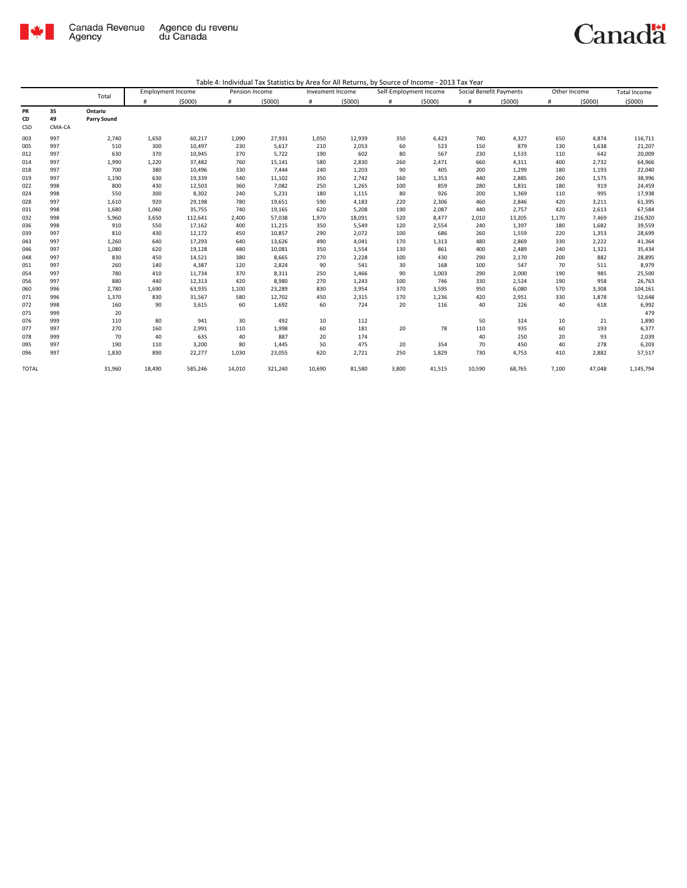

|              |        |             | <b>Employment Income</b> |         | Pension Income |         | Invesment Income |        | Self-Employment Income |        | Social Benefit Payments |        | Other Income |        | <b>Total Income</b> |
|--------------|--------|-------------|--------------------------|---------|----------------|---------|------------------|--------|------------------------|--------|-------------------------|--------|--------------|--------|---------------------|
|              |        | Total       | #                        | (5000)  | #              | (5000)  | #                | (5000) | $\#$                   | (5000) | #                       | (5000) | #            | (5000) | (5000)              |
| <b>PR</b>    | 35     | Ontario     |                          |         |                |         |                  |        |                        |        |                         |        |              |        |                     |
| CD           | 49     | Parry Sound |                          |         |                |         |                  |        |                        |        |                         |        |              |        |                     |
| CSD          | CMA-CA |             |                          |         |                |         |                  |        |                        |        |                         |        |              |        |                     |
| 003          | 997    | 2,740       | 1,650                    | 60,217  | 1,090          | 27,931  | 1,050            | 12,939 | 350                    | 6,423  | 740                     | 4,327  | 650          | 4,874  | 116,711             |
| 005          | 997    | 510         | 300                      | 10,497  | 230            | 5,617   | 210              | 2,053  | 60                     | 523    | 150                     | 879    | 130          | 1,638  | 21,207              |
| 012          | 997    | 630         | 370                      | 10,945  | 270            | 5,722   | 190              | 602    | 80                     | 567    | 230                     | 1,533  | 110          | 642    | 20,009              |
| 014          | 997    | 1,990       | 1,220                    | 37,482  | 760            | 15,141  | 580              | 2,830  | 260                    | 2,471  | 660                     | 4,311  | 400          | 2,732  | 64,966              |
| 018          | 997    | 700         | 380                      | 10,496  | 330            | 7,444   | 240              | 1,203  | 90                     | 405    | 200                     | 1,299  | 180          | 1,193  | 22,040              |
| 019          | 997    | 1,190       | 630                      | 19,339  | 540            | 11,102  | 350              | 2,742  | 160                    | 1,353  | 440                     | 2,885  | 260          | 1,575  | 38,996              |
| 022          | 998    | 800         | 430                      | 12,503  | 360            | 7,082   | 250              | 1,265  | 100                    | 859    | 280                     | 1,831  | 180          | 919    | 24,459              |
| 024          | 998    | 550         | 300                      | 8,302   | 240            | 5,231   | 180              | 1,115  | 80                     | 926    | 200                     | 1,369  | 110          | 995    | 17,938              |
| 028          | 997    | 1,610       | 920                      | 29,198  | 780            | 19,651  | 590              | 4,183  | 220                    | 2,306  | 460                     | 2,846  | 420          | 3,211  | 61,395              |
| 031          | 998    | 1,680       | 1,060                    | 35,755  | 740            | 19,165  | 620              | 5,208  | 190                    | 2,087  | 440                     | 2,757  | 420          | 2,613  | 67,584              |
| 032          | 998    | 5,960       | 3,650                    | 112,641 | 2,400          | 57,038  | 1,970            | 18,091 | 520                    | 8,477  | 2,010                   | 13,205 | 1,170        | 7,469  | 216,920             |
| 036          | 998    | 910         | 550                      | 17,162  | 400            | 11,215  | 350              | 5,549  | 120                    | 2,554  | 240                     | 1,397  | 180          | 1,682  | 39,559              |
| 039          | 997    | 810         | 430                      | 12,172  | 450            | 10,857  | 290              | 2,072  | 100                    | 686    | 260                     | 1,559  | 220          | 1,353  | 28,699              |
| 043          | 997    | 1,260       | 640                      | 17,293  | 640            | 13,626  | 490              | 4,041  | 170                    | 1,313  | 480                     | 2,869  | 330          | 2,222  | 41,364              |
| 046          | 997    | 1,080       | 620                      | 19,128  | 480            | 10,081  | 350              | 1,554  | 130                    | 861    | 400                     | 2,489  | 240          | 1,321  | 35,434              |
| 048          | 997    | 830         | 450                      | 14,521  | 380            | 8,665   | 270              | 2,228  | 100                    | 430    | 290                     | 2,170  | 200          | 882    | 28,895              |
| 051          | 997    | 260         | 140                      | 4,387   | 120            | 2,824   | 90               | 541    | 30                     | 168    | 100                     | 547    | 70           | 511    | 8,979               |
| 054          | 997    | 780         | 410                      | 11,734  | 370            | 8,311   | 250              | 1,466  | 90                     | 1,003  | 290                     | 2,000  | 190          | 985    | 25,500              |
| 056          | 997    | 880         | 440                      | 12,313  | 420            | 8,980   | 270              | 1,243  | 100                    | 746    | 330                     | 2,524  | 190          | 958    | 26,763              |
| 060          | 996    | 2,780       | 1,690                    | 63,935  | 1,100          | 23,289  | 830              | 3,954  | 370                    | 3,595  | 950                     | 6,080  | 570          | 3,308  | 104,161             |
| 071          | 996    | 1,370       | 830                      | 31,567  | 580            | 12,702  | 450              | 2,315  | 170                    | 1,236  | 420                     | 2,951  | 330          | 1,878  | 52,648              |
| 072          | 998    | 160         | 90                       | 3,615   | 60             | 1,692   | 60               | 724    | 20                     | 116    | 40                      | 226    | 40           | 618    | 6,992               |
| 075          | 999    | 20          |                          |         |                |         |                  |        |                        |        |                         |        |              |        | 479                 |
| 076          | 999    | 110         | 80                       | 941     | 30             | 492     | 10               | 112    |                        |        | 50                      | 324    | 10           | 21     | 1,890               |
| 077          | 997    | 270         | 160                      | 2,991   | 110            | 1,998   | 60               | 181    | 20                     | 78     | 110                     | 935    | 60           | 193    | 6,377               |
| 078          | 999    | 70          | 40                       | 635     | 40             | 887     | 20               | 174    |                        |        | 40                      | 250    | 20           | 93     | 2,039               |
| 095          | 997    | 190         | 110                      | 3,200   | 80             | 1,445   | 50               | 475    | 20                     | 354    | 70                      | 450    | 40           | 278    | 6,203               |
| 096          | 997    | 1,830       | 890                      | 22,277  | 1,030          | 23,055  | 620              | 2,721  | 250                    | 1,829  | 730                     | 4,753  | 410          | 2,882  | 57,517              |
| <b>TOTAL</b> |        | 31,960      | 18,490                   | 585,246 | 14,010         | 321,240 | 10,690           | 81,580 | 3,800                  | 41,515 | 10,590                  | 68,765 | 7,100        | 47,048 | 1,145,794           |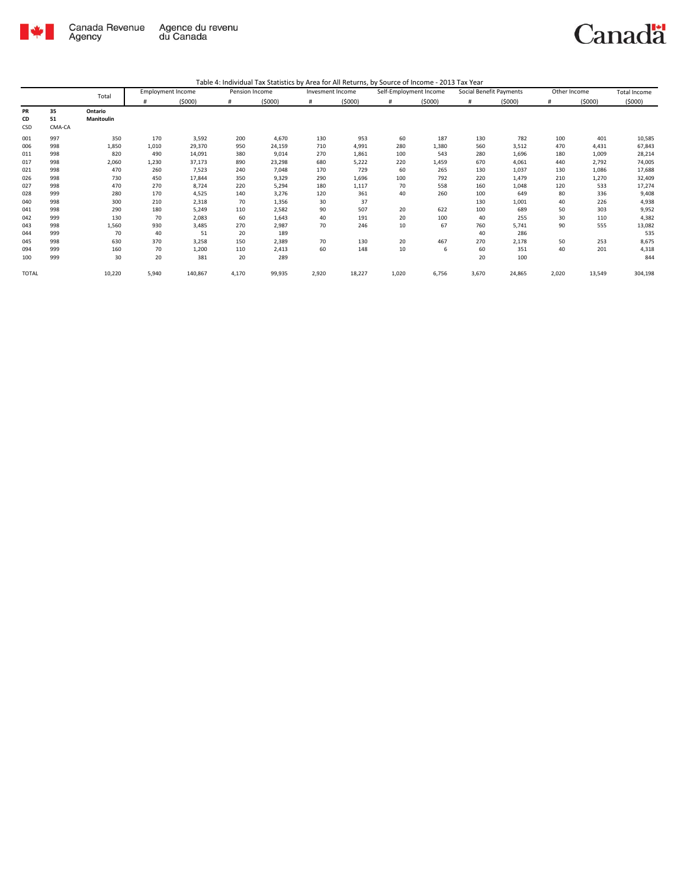

|              |        | Total      |       | <b>Employment Income</b> | Pension Income |        | Invesment Income |        | Self-Employment Income |        | Social Benefit Payments |        | Other Income |        | <b>Total Income</b> |
|--------------|--------|------------|-------|--------------------------|----------------|--------|------------------|--------|------------------------|--------|-------------------------|--------|--------------|--------|---------------------|
|              |        |            | #     | (5000)                   | #              | (5000) | #                | (5000) | #                      | (5000) | #                       | (5000) | #            | (5000) | (5000)              |
| PR           | 35     | Ontario    |       |                          |                |        |                  |        |                        |        |                         |        |              |        |                     |
| CD           | 51     | Manitoulin |       |                          |                |        |                  |        |                        |        |                         |        |              |        |                     |
| CSD          | CMA-CA |            |       |                          |                |        |                  |        |                        |        |                         |        |              |        |                     |
| 001          | 997    | 350        | 170   | 3,592                    | 200            | 4,670  | 130              | 953    | 60                     | 187    | 130                     | 782    | 100          | 401    | 10,585              |
| 006          | 998    | 1,850      | 1,010 | 29,370                   | 950            | 24,159 | 710              | 4,991  | 280                    | 1,380  | 560                     | 3,512  | 470          | 4,431  | 67,843              |
| 011          | 998    | 820        | 490   | 14,091                   | 380            | 9,014  | 270              | 1,861  | 100                    | 543    | 280                     | 1,696  | 180          | 1,009  | 28,214              |
| 017          | 998    | 2,060      | 1,230 | 37,173                   | 890            | 23,298 | 680              | 5,222  | 220                    | 1,459  | 670                     | 4,061  | 440          | 2,792  | 74,005              |
| 021          | 998    | 470        | 260   | 7,523                    | 240            | 7,048  | 170              | 729    | 60                     | 265    | 130                     | 1,037  | 130          | 1,086  | 17,688              |
| 026          | 998    | 730        | 450   | 17,844                   | 350            | 9,329  | 290              | 1,696  | 100                    | 792    | 220                     | 1,479  | 210          | 1,270  | 32,409              |
| 027          | 998    | 470        | 270   | 8,724                    | 220            | 5,294  | 180              | 1,117  | 70                     | 558    | 160                     | 1,048  | 120          | 533    | 17,274              |
| 028          | 999    | 280        | 170   | 4,525                    | 140            | 3,276  | 120              | 361    | 40                     | 260    | 100                     | 649    | 80           | 336    | 9,408               |
| 040          | 998    | 300        | 210   | 2,318                    | 70             | 1,356  | 30               | 37     |                        |        | 130                     | 1,001  | 40           | 226    | 4,938               |
| 041          | 998    | 290        | 180   | 5,249                    | 110            | 2,582  | 90               | 507    | 20                     | 622    | 100                     | 689    | 50           | 303    | 9,952               |
| 042          | 999    | 130        | 70    | 2,083                    | 60             | 1,643  | 40               | 191    | 20                     | 100    | 40                      | 255    | 30           | 110    | 4,382               |
| 043          | 998    | 1,560      | 930   | 3,485                    | 270            | 2,987  | 70               | 246    | 10                     | 67     | 760                     | 5,741  | 90           | 555    | 13,082              |
| 044          | 999    | 70         | 40    | 51                       | 20             | 189    |                  |        |                        |        | 40                      | 286    |              |        | 535                 |
| 045          | 998    | 630        | 370   | 3,258                    | 150            | 2,389  | 70               | 130    | 20                     | 467    | 270                     | 2,178  | 50           | 253    | 8,675               |
| 094          | 999    | 160        | 70    | 1,200                    | 110            | 2,413  | 60               | 148    | 10                     | 6      | 60                      | 351    | 40           | 201    | 4,318               |
| 100          | 999    | 30         | 20    | 381                      | 20             | 289    |                  |        |                        |        | 20                      | 100    |              |        | 844                 |
| <b>TOTAL</b> |        | 10,220     | 5,940 | 140,867                  | 4,170          | 99,935 | 2,920            | 18,227 | 1,020                  | 6,756  | 3,670                   | 24,865 | 2,020        | 13,549 | 304,198             |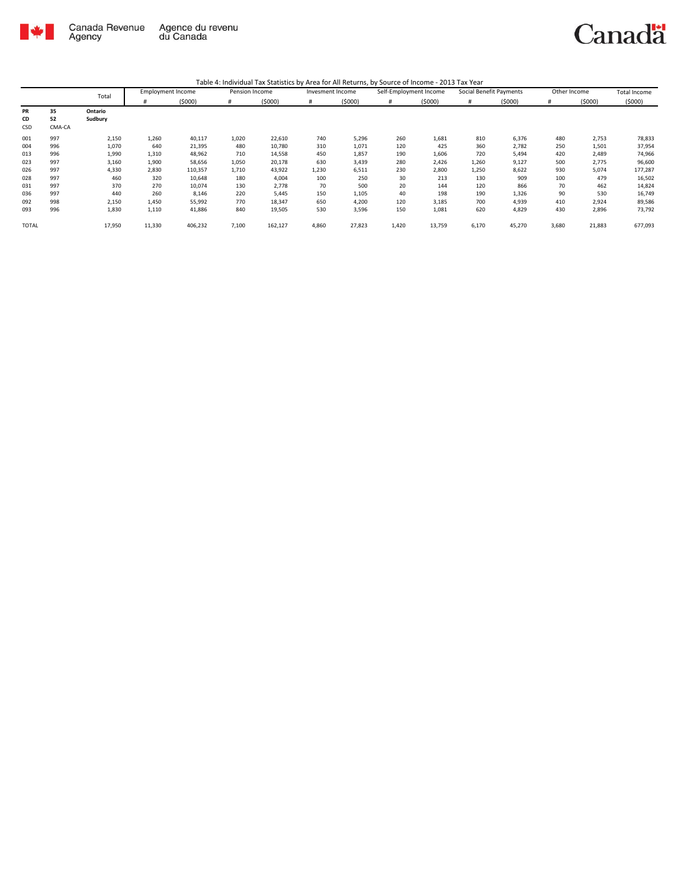

|              |        | Total   | <b>Employment Income</b> |         | Pension Income |         | Invesment Income |        | Self-Employment Income |        | Social Benefit Payments |        | Other Income |        | <b>Total Income</b> |
|--------------|--------|---------|--------------------------|---------|----------------|---------|------------------|--------|------------------------|--------|-------------------------|--------|--------------|--------|---------------------|
|              |        |         | #                        | (5000)  | #              | (5000)  | #                | (5000) | #                      | (5000) | #                       | (5000) | #            | (5000) | (5000)              |
| PR           | 35     | Ontario |                          |         |                |         |                  |        |                        |        |                         |        |              |        |                     |
| CD           | 52     | Sudbury |                          |         |                |         |                  |        |                        |        |                         |        |              |        |                     |
| CSD          | CMA-CA |         |                          |         |                |         |                  |        |                        |        |                         |        |              |        |                     |
| 001          | 997    | 2,150   | 1,260                    | 40,117  | 1,020          | 22,610  | 740              | 5,296  | 260                    | 1,681  | 810                     | 6,376  | 480          | 2,753  | 78,833              |
| 004          | 996    | 1,070   | 640                      | 21,395  | 480            | 10,780  | 310              | 1,071  | 120                    | 425    | 360                     | 2,782  | 250          | 1,501  | 37,954              |
| 013          | 996    | 1,990   | 1,310                    | 48,962  | 710            | 14,558  | 450              | 1,857  | 190                    | 1,606  | 720                     | 5,494  | 420          | 2,489  | 74,966              |
| 023          | 997    | 3,160   | 1,900                    | 58,656  | 1,050          | 20,178  | 630              | 3,439  | 280                    | 2,426  | 1,260                   | 9,127  | 500          | 2,775  | 96,600              |
| 026          | 997    | 4,330   | 2,830                    | 110,357 | 1,710          | 43,922  | 1,230            | 6,511  | 230                    | 2,800  | 1,250                   | 8,622  | 930          | 5,074  | 177,287             |
| 028          | 997    | 460     | 320                      | 10,648  | 180            | 4,004   | 100              | 250    | 30                     | 213    | 130                     | 909    | 100          | 479    | 16,502              |
| 031          | 997    | 370     | 270                      | 10,074  | 130            | 2,778   | 70               | 500    | 20                     | 144    | 120                     | 866    | 70           | 462    | 14,824              |
| 036          | 997    | 440     | 260                      | 8,146   | 220            | 5,445   | 150              | 1,105  | 40                     | 198    | 190                     | 1,326  | 90           | 530    | 16,749              |
| 092          | 998    | 2,150   | 1,450                    | 55,992  | 770            | 18,347  | 650              | 4,200  | 120                    | 3,185  | 700                     | 4,939  | 410          | 2,924  | 89,586              |
| 093          | 996    | 1,830   | 1,110                    | 41,886  | 840            | 19,505  | 530              | 3,596  | 150                    | 1,081  | 620                     | 4,829  | 430          | 2,896  | 73,792              |
| <b>TOTAL</b> |        | 17,950  | 11,330                   | 406,232 | 7,100          | 162,127 | 4,860            | 27,823 | 1,420                  | 13,759 | 6,170                   | 45,270 | 3,680        | 21,883 | 677,093             |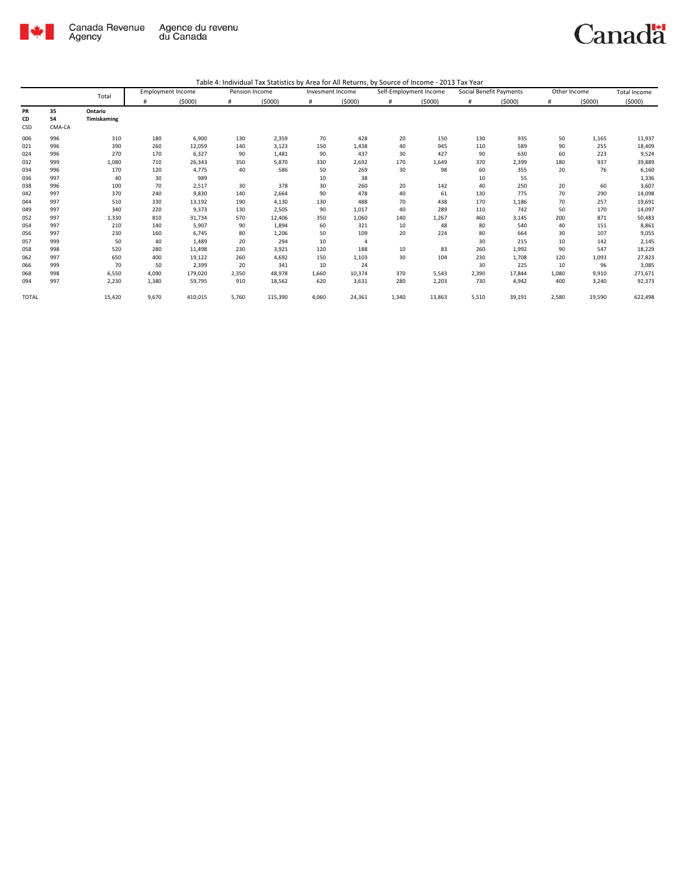

|                        |                    | Total                  |       | <b>Employment Income</b> | Pension Income |         | Invesment Income |        | Self-Employment Income |        |       | Social Benefit Payments | Other Income |        | <b>Total Income</b> |
|------------------------|--------------------|------------------------|-------|--------------------------|----------------|---------|------------------|--------|------------------------|--------|-------|-------------------------|--------------|--------|---------------------|
|                        |                    |                        | #     | (5000)                   | #              | (5000)  | #                | (5000) | #                      | (5000) | #     | (5000)                  | #            | (5000) | (5000)              |
| <b>PR</b><br>CD<br>CSD | 35<br>54<br>CMA-CA | Ontario<br>Timiskaming |       |                          |                |         |                  |        |                        |        |       |                         |              |        |                     |
| 006                    | 996                | 310                    | 180   | 6,900                    | 130            | 2,359   | 70               | 428    | 20                     | 150    | 130   | 935                     | 50           | 1,165  | 11,937              |
| 021                    | 996                | 390                    | 260   | 12,059                   | 140            | 3,123   | 150              | 1,438  | 40                     | 945    | 110   | 589                     | 90           | 255    | 18,409              |
| 024                    | 996                | 270                    | 170   | 6,327                    | 90             | 1,481   | 90               | 437    | 30                     | 427    | 90    | 630                     | 60           | 223    | 9,524               |
| 032                    | 999                | 1,080                  | 710   | 26,343                   | 350            | 5,870   | 330              | 2,692  | 170                    | 1,649  | 370   | 2,399                   | 180          | 937    | 39,889              |
| 034                    | 996                | 170                    | 120   | 4,775                    | 40             | 586     | 50               | 269    | 30                     | 98     | 60    | 355                     | 20           | 76     | 6,160               |
| 036                    | 997                | 40                     | 30    | 989                      |                |         | 10               | 38     |                        |        | 10    | 55                      |              |        | 1,336               |
| 038                    | 996                | 100                    | 70    | 2,517                    | 30             | 378     | 30               | 260    | 20                     | 142    | 40    | 250                     | 20           | 60     | 3,607               |
| 042                    | 997                | 370                    | 240   | 9,830                    | 140            | 2,664   | 90               | 478    | 40                     | 61     | 130   | 775                     | 70           | 290    | 14,098              |
| 044                    | 997                | 510                    | 330   | 13,192                   | 190            | 4,130   | 130              | 488    | 70                     | 438    | 170   | 1,186                   | 70           | 257    | 19,691              |
| 049                    | 997                | 340                    | 220   | 9,373                    | 130            | 2,505   | 90               | 1,017  | 40                     | 289    | 110   | 742                     | 50           | 170    | 14,097              |
| 052                    | 997                | 1,330                  | 810   | 31,734                   | 570            | 12,406  | 350              | 1,060  | 140                    | 1,267  | 460   | 3,145                   | 200          | 871    | 50,483              |
| 054                    | 997                | 210                    | 140   | 5,907                    | 90             | 1,894   | 60               | 321    | 10                     | 48     | 80    | 540                     | 40           | 151    | 8,861               |
| 056                    | 997                | 230                    | 160   | 6,745                    | 80             | 1,206   | 50               | 109    | 20                     | 224    | 80    | 664                     | 30           | 107    | 9,055               |
| 057                    | 999                | 50                     | 40    | 1,489                    | 20             | 294     | 10               | 4      |                        |        | 30    | 215                     | 10           | 142    | 2,145               |
| 058                    | 998                | 520                    | 280   | 11,498                   | 230            | 3,921   | 120              | 188    | 10                     | 83     | 260   | 1,992                   | 90           | 547    | 18,229              |
| 062                    | 997                | 650                    | 400   | 19,122                   | 260            | 4,692   | 150              | 1,103  | 30                     | 104    | 230   | 1,708                   | 120          | 1,093  | 27,823              |
| 066                    | 999                | 70                     | 50    | 2,399                    | 20             | 341     | 10               | 24     |                        |        | 30    | 225                     | 10           | 96     | 3,085               |
| 068                    | 998                | 6,550                  | 4,090 | 179,020                  | 2,350          | 48,978  | 1,660            | 10,374 | 370                    | 5,543  | 2,390 | 17,844                  | 1,080        | 9,910  | 271,671             |
| 094                    | 997                | 2,230                  | 1,380 | 59,795                   | 910            | 18,562  | 620              | 3,631  | 280                    | 2,203  | 730   | 4,942                   | 400          | 3,240  | 92,373              |
| <b>TOTAL</b>           |                    | 15,420                 | 9,670 | 410,015                  | 5,760          | 115,390 | 4,060            | 24,361 | 1,340                  | 13,863 | 5,510 | 39,191                  | 2,580        | 19,590 | 622,498             |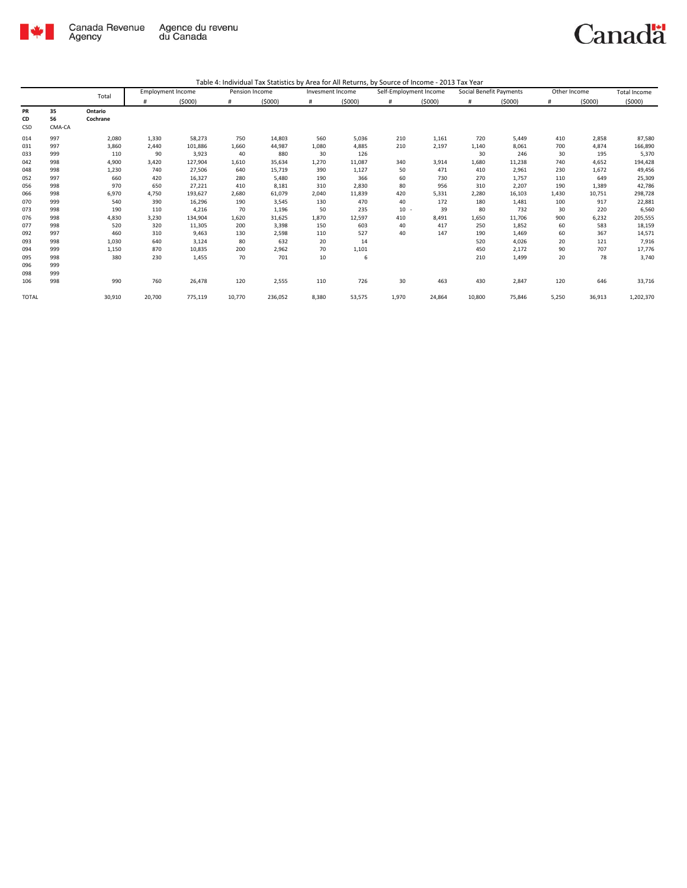

|              |          |                     | <b>Employment Income</b> |         | Pension Income |         | Invesment Income |        | Self-Employment Income |        | Social Benefit Payments |        | Other Income |        | <b>Total Income</b> |
|--------------|----------|---------------------|--------------------------|---------|----------------|---------|------------------|--------|------------------------|--------|-------------------------|--------|--------------|--------|---------------------|
|              |          | Total               | #                        | (5000)  | #              | (5000)  | #                | (5000) | #                      | (5000) | #                       | (5000) | #            | (5000) | (5000)              |
| PR<br>CD     | 35<br>56 | Ontario<br>Cochrane |                          |         |                |         |                  |        |                        |        |                         |        |              |        |                     |
| CSD          | CMA-CA   |                     |                          |         |                |         |                  |        |                        |        |                         |        |              |        |                     |
|              |          |                     |                          |         |                |         |                  |        |                        |        |                         |        |              |        |                     |
| 014          | 997      | 2,080               | 1,330                    | 58,273  | 750            | 14,803  | 560              | 5,036  | 210                    | 1,161  | 720                     | 5,449  | 410          | 2,858  | 87,580              |
| 031          | 997      | 3,860               | 2,440                    | 101,886 | 1,660          | 44,987  | 1,080            | 4,885  | 210                    | 2,197  | 1,140                   | 8,061  | 700          | 4,874  | 166,890             |
| 033          | 999      | 110                 | 90                       | 3,923   | 40             | 880     | 30               | 126    |                        |        | 30                      | 246    | 30           | 195    | 5,370               |
| 042          | 998      | 4,900               | 3,420                    | 127,904 | 1,610          | 35,634  | 1,270            | 11,087 | 340                    | 3,914  | 1,680                   | 11,238 | 740          | 4,652  | 194,428             |
| 048          | 998      | 1,230               | 740                      | 27,506  | 640            | 15,719  | 390              | 1,127  | 50                     | 471    | 410                     | 2,961  | 230          | 1,672  | 49,456              |
| 052          | 997      | 660                 | 420                      | 16,327  | 280            | 5,480   | 190              | 366    | 60                     | 730    | 270                     | 1,757  | 110          | 649    | 25,309              |
| 056          | 998      | 970                 | 650                      | 27,221  | 410            | 8,181   | 310              | 2,830  | 80                     | 956    | 310                     | 2,207  | 190          | 1,389  | 42,786              |
| 066          | 998      | 6,970               | 4,750                    | 193,627 | 2,680          | 61,079  | 2,040            | 11,839 | 420                    | 5,331  | 2,280                   | 16,103 | 1,430        | 10,751 | 298,728             |
| 070          | 999      | 540                 | 390                      | 16,296  | 190            | 3,545   | 130              | 470    | 40                     | 172    | 180                     | 1,481  | 100          | 917    | 22,881              |
| 073          | 998      | 190                 | 110                      | 4,216   | 70             | 1,196   | 50               | 235    | $10 -$                 | 39     | 80                      | 732    | 30           | 220    | 6,560               |
| 076          | 998      | 4,830               | 3,230                    | 134,904 | 1,620          | 31,625  | 1,870            | 12,597 | 410                    | 8,491  | 1,650                   | 11,706 | 900          | 6,232  | 205,555             |
| 077          | 998      | 520                 | 320                      | 11,305  | 200            | 3,398   | 150              | 603    | 40                     | 417    | 250                     | 1,852  | 60           | 583    | 18,159              |
| 092          | 997      | 460                 | 310                      | 9,463   | 130            | 2,598   | 110              | 527    | 40                     | 147    | 190                     | 1,469  | 60           | 367    | 14,571              |
| 093          | 998      | 1,030               | 640                      | 3,124   | 80             | 632     | 20               | 14     |                        |        | 520                     | 4,026  | 20           | 121    | 7,916               |
| 094          | 999      | 1,150               | 870                      | 10,835  | 200            | 2,962   | 70               | 1,101  |                        |        | 450                     | 2,172  | 90           | 707    | 17,776              |
| 095          | 998      | 380                 | 230                      | 1,455   | 70             | 701     | 10               | 6      |                        |        | 210                     | 1,499  | 20           | 78     | 3,740               |
| 096          | 999      |                     |                          |         |                |         |                  |        |                        |        |                         |        |              |        |                     |
| 098          | 999      |                     |                          |         |                |         |                  |        |                        |        |                         |        |              |        |                     |
| 106          | 998      | 990                 | 760                      | 26,478  | 120            | 2,555   | 110              | 726    | 30                     | 463    | 430                     | 2,847  | 120          | 646    | 33,716              |
| <b>TOTAL</b> |          | 30,910              | 20,700                   | 775,119 | 10,770         | 236,052 | 8,380            | 53,575 | 1,970                  | 24,864 | 10,800                  | 75,846 | 5,250        | 36,913 | 1,202,370           |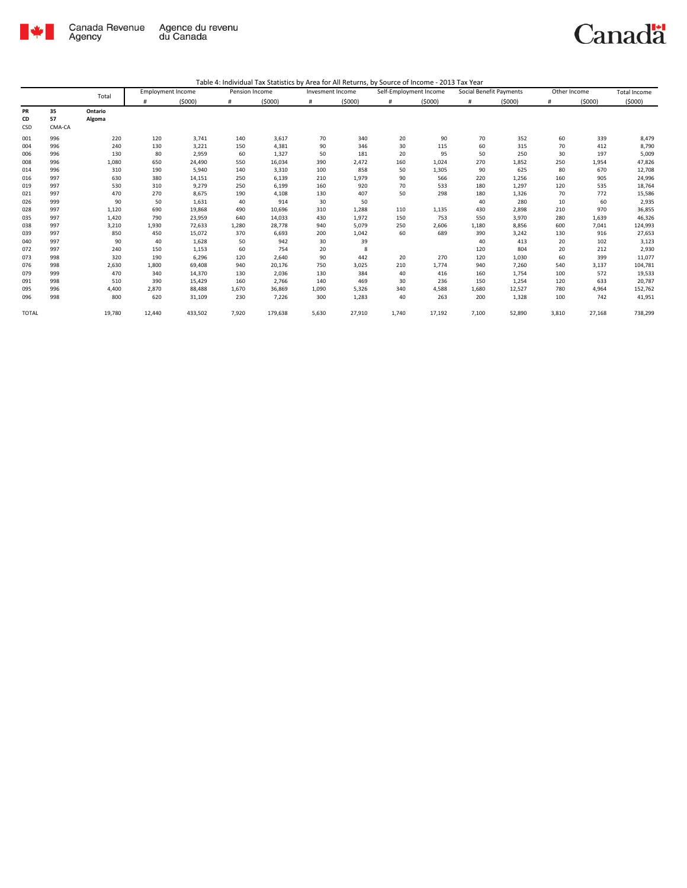

|              |        | Total   | <b>Employment Income</b> |         |       | Pension Income |       | Invesment Income |       | Self-Employment Income | Social Benefit Payments |        | Other Income |        | Total Income |
|--------------|--------|---------|--------------------------|---------|-------|----------------|-------|------------------|-------|------------------------|-------------------------|--------|--------------|--------|--------------|
|              |        |         | #                        | (5000)  | #     | (5000)         | #     | (5000)           | #     | (5000)                 | #                       | (5000) | #            | (5000) | (5000)       |
| PR           | 35     | Ontario |                          |         |       |                |       |                  |       |                        |                         |        |              |        |              |
| CD           | 57     | Algoma  |                          |         |       |                |       |                  |       |                        |                         |        |              |        |              |
| CSD          | CMA-CA |         |                          |         |       |                |       |                  |       |                        |                         |        |              |        |              |
| 001          | 996    | 220     | 120                      | 3,741   | 140   | 3,617          | 70    | 340              | 20    | 90                     | 70                      | 352    | 60           | 339    | 8,479        |
| 004          | 996    | 240     | 130                      | 3,221   | 150   | 4,381          | 90    | 346              | 30    | 115                    | 60                      | 315    | 70           | 412    | 8,790        |
| 006          | 996    | 130     | 80                       | 2,959   | 60    | 1,327          | 50    | 181              | 20    | 95                     | 50                      | 250    | 30           | 197    | 5,009        |
| 008          | 996    | 1,080   | 650                      | 24,490  | 550   | 16,034         | 390   | 2,472            | 160   | 1,024                  | 270                     | 1,852  | 250          | 1,954  | 47,826       |
| 014          | 996    | 310     | 190                      | 5,940   | 140   | 3,310          | 100   | 858              | 50    | 1,305                  | 90                      | 625    | 80           | 670    | 12,708       |
| 016          | 997    | 630     | 380                      | 14,151  | 250   | 6,139          | 210   | 1,979            | 90    | 566                    | 220                     | 1,256  | 160          | 905    | 24,996       |
| 019          | 997    | 530     | 310                      | 9,279   | 250   | 6,199          | 160   | 920              | 70    | 533                    | 180                     | 1,297  | 120          | 535    | 18,764       |
| 021          | 997    | 470     | 270                      | 8,675   | 190   | 4,108          | 130   | 407              | 50    | 298                    | 180                     | 1,326  | 70           | 772    | 15,586       |
| 026          | 999    | 90      | 50                       | 1,631   | 40    | 914            | 30    | 50               |       |                        | 40                      | 280    | 10           | 60     | 2,935        |
| 028          | 997    | 1,120   | 690                      | 19,868  | 490   | 10,696         | 310   | 1,288            | 110   | 1,135                  | 430                     | 2,898  | 210          | 970    | 36,855       |
| 035          | 997    | 1,420   | 790                      | 23,959  | 640   | 14,033         | 430   | 1,972            | 150   | 753                    | 550                     | 3,970  | 280          | 1,639  | 46,326       |
| 038          | 997    | 3,210   | 1,930                    | 72,633  | 1,280 | 28,778         | 940   | 5,079            | 250   | 2,606                  | 1,180                   | 8,856  | 600          | 7,041  | 124,993      |
| 039          | 997    | 850     | 450                      | 15,072  | 370   | 6,693          | 200   | 1,042            | 60    | 689                    | 390                     | 3,242  | 130          | 916    | 27,653       |
| 040          | 997    | 90      | 40                       | 1,628   | 50    | 942            | 30    | 39               |       |                        | 40                      | 413    | 20           | 102    | 3,123        |
| 072          | 997    | 240     | 150                      | 1,153   | 60    | 754            | 20    | 8                |       |                        | 120                     | 804    | 20           | 212    | 2,930        |
| 073          | 998    | 320     | 190                      | 6,296   | 120   | 2,640          | 90    | 442              | 20    | 270                    | 120                     | 1,030  | 60           | 399    | 11,077       |
| 076          | 998    | 2,630   | 1.800                    | 69.408  | 940   | 20,176         | 750   | 3,025            | 210   | 1.774                  | 940                     | 7,260  | 540          | 3,137  | 104,781      |
| 079          | 999    | 470     | 340                      | 14,370  | 130   | 2,036          | 130   | 384              | 40    | 416                    | 160                     | 1,754  | 100          | 572    | 19,533       |
| 091          | 998    | 510     | 390                      | 15,429  | 160   | 2,766          | 140   | 469              | 30    | 236                    | 150                     | 1,254  | 120          | 633    | 20,787       |
| 095          | 996    | 4,400   | 2,870                    | 88,488  | 1,670 | 36,869         | 1.090 | 5,326            | 340   | 4,588                  | 1,680                   | 12,527 | 780          | 4,964  | 152,762      |
| 096          | 998    | 800     | 620                      | 31,109  | 230   | 7,226          | 300   | 1,283            | 40    | 263                    | 200                     | 1,328  | 100          | 742    | 41,951       |
| <b>TOTAL</b> |        | 19,780  | 12,440                   | 433,502 | 7,920 | 179,638        | 5,630 | 27,910           | 1,740 | 17,192                 | 7,100                   | 52,890 | 3,810        | 27,168 | 738,299      |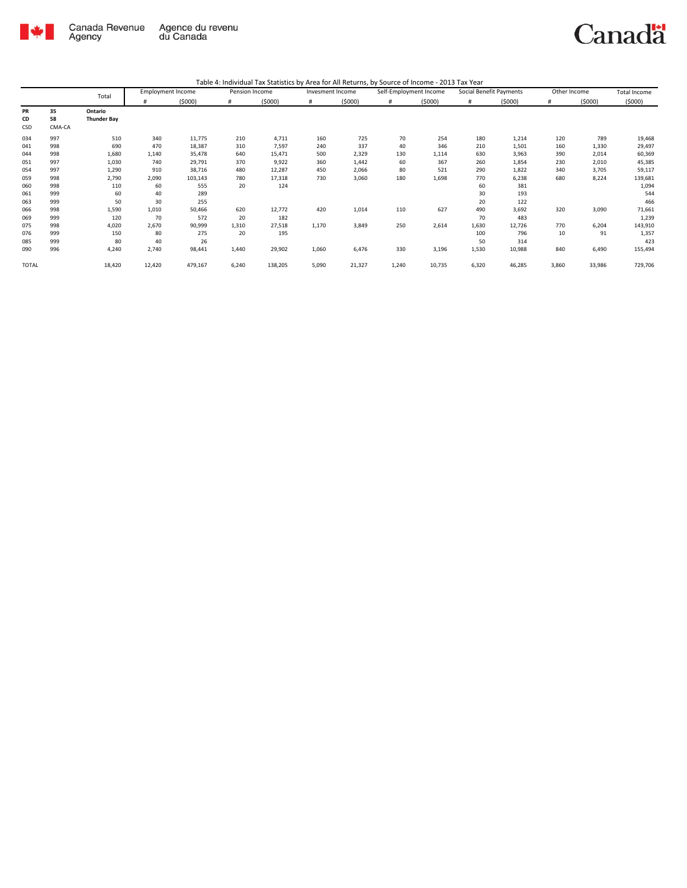

| Table 4: Individual Tax Statistics by Area for All Returns, by Source of Income - 2013 Tax Year |  |
|-------------------------------------------------------------------------------------------------|--|
|                                                                                                 |  |

|       |        | Total              |        | <b>Employment Income</b> | Pension Income |         | Invesment Income |        | Self-Employment Income |        | Social Benefit Payments |        | Other Income |        | <b>Total Income</b> |
|-------|--------|--------------------|--------|--------------------------|----------------|---------|------------------|--------|------------------------|--------|-------------------------|--------|--------------|--------|---------------------|
|       |        |                    | #      | (5000)                   | #              | (5000)  | #                | (5000) | #                      | (5000) | #                       | (5000) | #            | (5000) | (5000)              |
| PR    | 35     | Ontario            |        |                          |                |         |                  |        |                        |        |                         |        |              |        |                     |
| CD    | 58     | <b>Thunder Bay</b> |        |                          |                |         |                  |        |                        |        |                         |        |              |        |                     |
| CSD   | CMA-CA |                    |        |                          |                |         |                  |        |                        |        |                         |        |              |        |                     |
| 034   | 997    | 510                | 340    | 11,775                   | 210            | 4,711   | 160              | 725    | 70                     | 254    | 180                     | 1,214  | 120          | 789    | 19,468              |
| 041   | 998    | 690                | 470    | 18,387                   | 310            | 7,597   | 240              | 337    | 40                     | 346    | 210                     | 1,501  | 160          | 1,330  | 29,497              |
| 044   | 998    | 1,680              | 1,140  | 35,478                   | 640            | 15,471  | 500              | 2,329  | 130                    | 1,114  | 630                     | 3,963  | 390          | 2,014  | 60,369              |
| 051   | 997    | 1,030              | 740    | 29,791                   | 370            | 9,922   | 360              | 1,442  | 60                     | 367    | 260                     | 1,854  | 230          | 2,010  | 45,385              |
| 054   | 997    | 1,290              | 910    | 38,716                   | 480            | 12,287  | 450              | 2,066  | 80                     | 521    | 290                     | 1,822  | 340          | 3,705  | 59,117              |
| 059   | 998    | 2,790              | 2,090  | 103,143                  | 780            | 17,318  | 730              | 3,060  | 180                    | 1,698  | 770                     | 6,238  | 680          | 8,224  | 139,681             |
| 060   | 998    | 110                | 60     | 555                      | 20             | 124     |                  |        |                        |        | 60                      | 381    |              |        | 1,094               |
| 061   | 999    | 60                 | 40     | 289                      |                |         |                  |        |                        |        | 30                      | 193    |              |        | 544                 |
| 063   | 999    | 50                 | 30     | 255                      |                |         |                  |        |                        |        | 20                      | 122    |              |        | 466                 |
| 066   | 998    | 1,590              | 1,010  | 50,466                   | 620            | 12,772  | 420              | 1,014  | 110                    | 627    | 490                     | 3,692  | 320          | 3,090  | 71,661              |
| 069   | 999    | 120                | 70     | 572                      | 20             | 182     |                  |        |                        |        | 70                      | 483    |              |        | 1,239               |
| 075   | 998    | 4,020              | 2,670  | 90,999                   | 1,310          | 27,518  | 1,170            | 3,849  | 250                    | 2,614  | 1,630                   | 12,726 | 770          | 6,204  | 143,910             |
| 076   | 999    | 150                | 80     | 275                      | 20             | 195     |                  |        |                        |        | 100                     | 796    | 10           | 91     | 1,357               |
| 085   | 999    | 80                 | 40     | 26                       |                |         |                  |        |                        |        | 50                      | 314    |              |        | 423                 |
| 090   | 996    | 4,240              | 2,740  | 98,441                   | 1,440          | 29,902  | 1,060            | 6,476  | 330                    | 3,196  | 1,530                   | 10,988 | 840          | 6,490  | 155,494             |
| TOTAL |        | 18,420             | 12,420 | 479,167                  | 6,240          | 138,205 | 5,090            | 21,327 | 1,240                  | 10,735 | 6,320                   | 46,285 | 3,860        | 33,986 | 729,706             |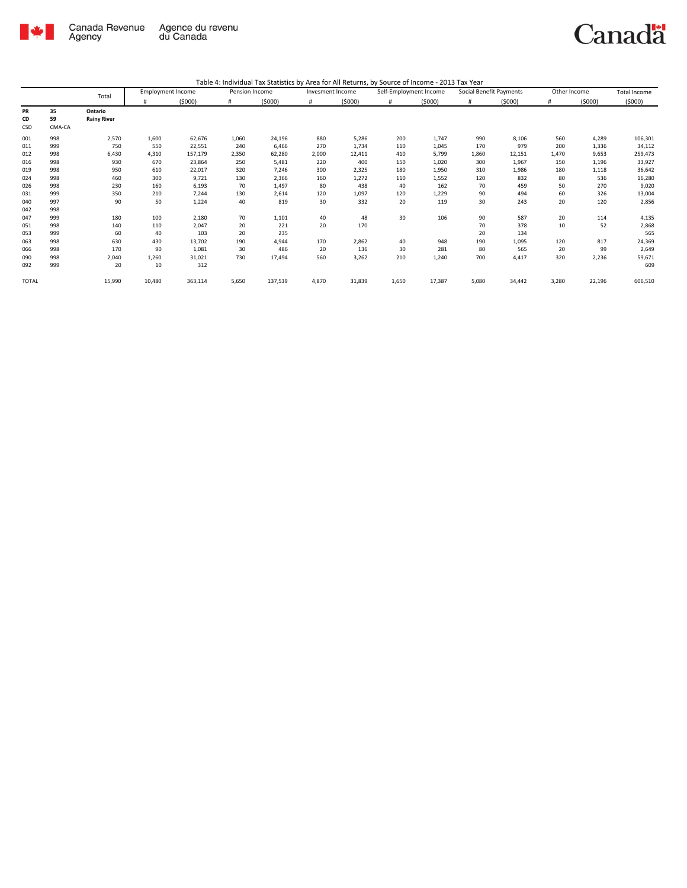

| Table 4: Individual Tax Statistics by Area for All Returns, by Source of Income - 2013 Tax Year |  |  |
|-------------------------------------------------------------------------------------------------|--|--|
|                                                                                                 |  |  |

|              |        | Total              |        | <b>Employment Income</b> | Pension Income |         | Invesment Income |        | Self-Employment Income |        | Social Benefit Payments |        | Other Income |        | <b>Total Income</b> |
|--------------|--------|--------------------|--------|--------------------------|----------------|---------|------------------|--------|------------------------|--------|-------------------------|--------|--------------|--------|---------------------|
|              |        |                    | #      | (5000)                   | #              | (5000)  | #                | (5000) | #                      | (5000) | #                       | (5000) | #            | (5000) | (5000)              |
| PR           | 35     | Ontario            |        |                          |                |         |                  |        |                        |        |                         |        |              |        |                     |
| CD           | 59     | <b>Rainy River</b> |        |                          |                |         |                  |        |                        |        |                         |        |              |        |                     |
| CSD          | CMA-CA |                    |        |                          |                |         |                  |        |                        |        |                         |        |              |        |                     |
| 001          | 998    | 2,570              | 1,600  | 62,676                   | 1,060          | 24,196  | 880              | 5,286  | 200                    | 1,747  | 990                     | 8,106  | 560          | 4,289  | 106,301             |
| 011          | 999    | 750                | 550    | 22,551                   | 240            | 6,466   | 270              | 1,734  | 110                    | 1,045  | 170                     | 979    | 200          | 1,336  | 34,112              |
| 012          | 998    | 6,430              | 4,310  | 157,179                  | 2,350          | 62,280  | 2,000            | 12,411 | 410                    | 5,799  | 1,860                   | 12,151 | 1.470        | 9,653  | 259,473             |
| 016          | 998    | 930                | 670    | 23,864                   | 250            | 5,481   | 220              | 400    | 150                    | 1,020  | 300                     | 1,967  | 150          | 1,196  | 33,927              |
| 019          | 998    | 950                | 610    | 22,017                   | 320            | 7,246   | 300              | 2,325  | 180                    | 1,950  | 310                     | 1,986  | 180          | 1,118  | 36,642              |
| 024          | 998    | 460                | 300    | 9,721                    | 130            | 2,366   | 160              | 1,272  | 110                    | 1,552  | 120                     | 832    | 80           | 536    | 16,280              |
| 026          | 998    | 230                | 160    | 6,193                    | 70             | 1,497   | 80               | 438    | 40                     | 162    | 70                      | 459    | 50           | 270    | 9,020               |
| 031          | 999    | 350                | 210    | 7,244                    | 130            | 2,614   | 120              | 1,097  | 120                    | 1,229  | 90                      | 494    | 60           | 326    | 13,004              |
| 040          | 997    | 90                 | 50     | 1,224                    | 40             | 819     | 30               | 332    | 20                     | 119    | 30                      | 243    | 20           | 120    | 2,856               |
| 042          | 998    |                    |        |                          |                |         |                  |        |                        |        |                         |        |              |        |                     |
| 047          | 999    | 180                | 100    | 2,180                    | 70             | 1,101   | 40               | 48     | 30                     | 106    | 90                      | 587    | 20           | 114    | 4,135               |
| 051          | 998    | 140                | 110    | 2,047                    | 20             | 221     | 20               | 170    |                        |        | 70                      | 378    | 10           | 52     | 2,868               |
| 053          | 999    | 60                 | 40     | 103                      | 20             | 235     |                  |        |                        |        | 20                      | 134    |              |        | 565                 |
| 063          | 998    | 630                | 430    | 13,702                   | 190            | 4,944   | 170              | 2,862  | 40                     | 948    | 190                     | 1,095  | 120          | 817    | 24,369              |
| 066          | 998    | 170                | 90     | 1,081                    | 30             | 486     | 20               | 136    | 30                     | 281    | 80                      | 565    | 20           | 99     | 2,649               |
| 090          | 998    | 2,040              | 1,260  | 31,021                   | 730            | 17,494  | 560              | 3,262  | 210                    | 1,240  | 700                     | 4,417  | 320          | 2,236  | 59,671              |
| 092          | 999    | 20                 | 10     | 312                      |                |         |                  |        |                        |        |                         |        |              |        | 609                 |
| <b>TOTAL</b> |        | 15,990             | 10,480 | 363,114                  | 5,650          | 137,539 | 4,870            | 31,839 | 1,650                  | 17,387 | 5,080                   | 34,442 | 3,280        | 22,196 | 606,510             |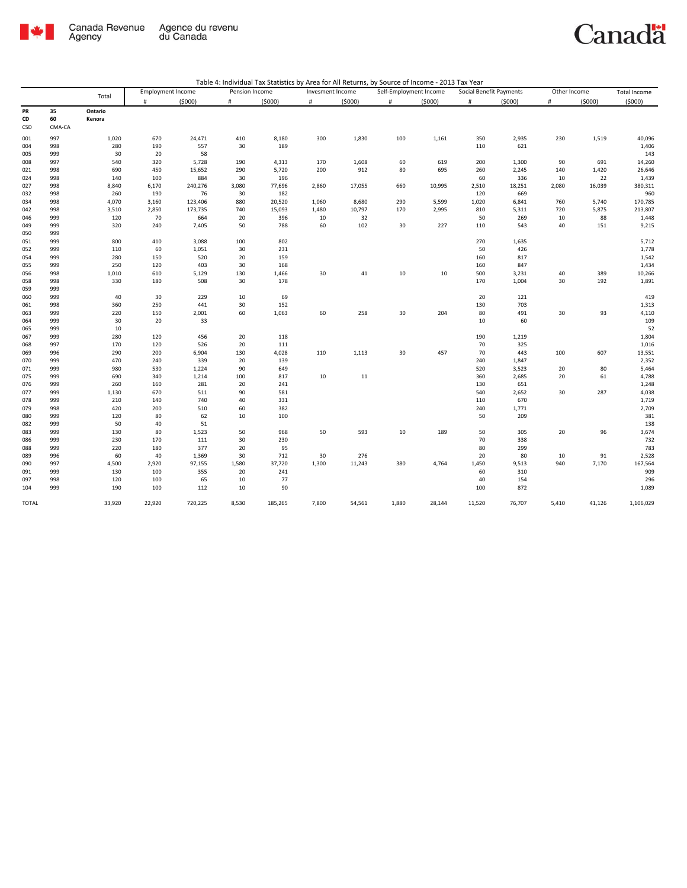

nadä

|            |            | Canada Revenue<br>Agency |                          | Agence du revenu<br>du Canada |                |                                                                                                 |                  |        |                        |        |                         |              |              |        | <b>Canad</b> |
|------------|------------|--------------------------|--------------------------|-------------------------------|----------------|-------------------------------------------------------------------------------------------------|------------------|--------|------------------------|--------|-------------------------|--------------|--------------|--------|--------------|
|            |            |                          |                          |                               |                | Table 4: Individual Tax Statistics by Area for All Returns, by Source of Income - 2013 Tax Year |                  |        |                        |        |                         |              |              |        |              |
|            |            | Total                    | <b>Employment Income</b> |                               | Pension Income |                                                                                                 | Invesment Income |        | Self-Employment Income |        | Social Benefit Payments |              | Other Income |        | Total Income |
| PR         | 35         | Ontario                  | $\#$                     | (5000)                        | $\#$           | (5000)                                                                                          | $\#$             | (5000) | $\#$                   | (5000) | #                       | (5000)       | $\#$         | (5000) | (5000)       |
| CD         | 60         | Kenora                   |                          |                               |                |                                                                                                 |                  |        |                        |        |                         |              |              |        |              |
| CSD        | CMA-CA     |                          |                          |                               |                |                                                                                                 |                  |        |                        |        |                         |              |              |        |              |
| 001        | 997        | 1,020                    | 670                      | 24,471                        | 410            | 8,180                                                                                           | 300              | 1,830  | 100                    | 1,161  | 350                     | 2,935        | 230          | 1,519  | 40,096       |
| 004        | 998        | 280                      | 190                      | 557                           | 30             | 189                                                                                             |                  |        |                        |        | 110                     | 621          |              |        | 1,406        |
| 005        | 999        | 30                       | 20                       | 58                            |                |                                                                                                 |                  |        |                        |        |                         |              |              |        | 143          |
| 008        | 997        | 540                      | 320                      | 5,728                         | 190            | 4,313                                                                                           | 170              | 1,608  | 60                     | 619    | 200                     | 1,300        | 90           | 691    | 14,260       |
| 021        | 998        | 690                      | 450                      | 15,652                        | 290            | 5,720                                                                                           | 200              | 912    | 80                     | 695    | 260                     | 2,245        | 140          | 1,420  | 26,646       |
| 024        | 998        | 140                      | 100                      | 884                           | 30             | 196                                                                                             |                  |        |                        |        | 60                      | 336          | 10           | 22     | 1,439        |
| 027        | 998        | 8,840                    | 6,170                    | 240,276                       | 3,080          | 77,696                                                                                          | 2,860            | 17,055 | 660                    | 10,995 | 2,510                   | 18,251       | 2,080        | 16,039 | 380,311      |
| 032        | 998        | 260                      | 190                      | 76                            | 30             | 182                                                                                             |                  |        |                        |        | 120                     | 669          |              |        | 960          |
| 034        | 998        | 4,070                    | 3,160                    | 123,406                       | 880            | 20,520                                                                                          | 1,060            | 8,680  | 290                    | 5,599  | 1,020                   | 6,841        | 760          | 5,740  | 170,785      |
| 042        | 998        | 3,510                    | 2,850                    | 173,735                       | 740            | 15,093                                                                                          | 1,480            | 10,797 | 170                    | 2,995  | 810                     | 5,311        | 720          | 5,875  | 213,807      |
| 046        | 999        | 120                      | 70                       | 664                           | 20             | 396                                                                                             | 10               | 32     |                        |        | 50                      | 269          | 10           | 88     | 1,448        |
| 049        | 999        | 320                      | 240                      | 7,405                         | 50             | 788                                                                                             | 60               | 102    | 30                     | 227    | 110                     | 543          | 40           | 151    | 9,215        |
| 050        | 999        |                          |                          |                               |                |                                                                                                 |                  |        |                        |        |                         |              |              |        |              |
| 051        | 999        | 800                      | 410                      | 3,088                         | 100            | 802                                                                                             |                  |        |                        |        | 270                     | 1,635        |              |        | 5,712        |
| 052        | 999        | 110                      | 60                       | 1,051                         | 30             | 231                                                                                             |                  |        |                        |        | 50                      | 426          |              |        | 1,778        |
| 054        | 999        | 280                      | 150                      | 520                           | 20             | 159                                                                                             |                  |        |                        |        | 160                     | 817          |              |        | 1,542        |
| 055        | 999        | 250                      | 120                      | 403                           | 30             | 168                                                                                             |                  |        |                        |        | 160                     | 847          |              |        | 1,434        |
| 056        | 998        | 1,010                    | 610                      | 5,129                         | 130            | 1,466                                                                                           | 30               | 41     | 10                     | 10     | 500                     | 3,231        | 40           | 389    | 10,266       |
| 058        | 998        | 330                      | 180                      | 508                           | 30             | 178                                                                                             |                  |        |                        |        | 170                     | 1,004        | 30           | 192    | 1,891        |
| 059        | 999        |                          |                          |                               |                |                                                                                                 |                  |        |                        |        |                         |              |              |        |              |
| 060        | 999        | 40                       | 30                       | 229                           | 10             | 69                                                                                              |                  |        |                        |        | 20                      | 121          |              |        | 419          |
| 061        | 998        | 360                      | 250                      | 441                           | 30             | 152                                                                                             |                  |        |                        |        | 130                     | 703          |              |        | 1,313        |
| 063        | 999        | 220                      | 150                      | 2,001                         | 60             | 1,063                                                                                           | 60               | 258    | 30                     | 204    | 80                      | 491          | 30           | 93     | 4,110        |
| 064<br>065 | 999<br>999 | 30<br>10                 | 20                       | 33                            |                |                                                                                                 |                  |        |                        |        | 10                      | 60           |              |        | 109<br>52    |
| 067        | 999        | 280                      | 120                      | 456                           | 20             | 118                                                                                             |                  |        |                        |        | 190                     |              |              |        | 1,804        |
| 068        | 997        | 170                      | 120                      | 526                           | 20             | 111                                                                                             |                  |        |                        |        | 70                      | 1,219<br>325 |              |        | 1,016        |
| 069        | 996        | 290                      | 200                      | 6,904                         | 130            |                                                                                                 | 110              | 1,113  | 30                     | 457    | 70                      | 443          | 100          | 607    | 13,551       |
| 070        | 999        | 470                      | 240                      | 339                           | 20             | 4,028<br>139                                                                                    |                  |        |                        |        | 240                     | 1,847        |              |        | 2,352        |
| 071        | 999        | 980                      | 530                      | 1,224                         | 90             | 649                                                                                             |                  |        |                        |        | 520                     | 3,523        | 20           | 80     | 5,464        |
| 075        | 999        | 690                      | 340                      | 1,214                         | 100            | 817                                                                                             | 10               | 11     |                        |        | 360                     | 2,685        | 20           | 61     | 4,788        |
| 076        | 999        | 260                      | 160                      | 281                           | 20             | 241                                                                                             |                  |        |                        |        | 130                     | 651          |              |        | 1,248        |
| 077        | 999        | 1,130                    | 670                      | 511                           | 90             | 581                                                                                             |                  |        |                        |        | 540                     | 2,652        | 30           | 287    | 4,038        |
| 078        | 999        | 210                      | 140                      | 740                           | 40             | 331                                                                                             |                  |        |                        |        | 110                     | 670          |              |        | 1,719        |
| 079        | 998        | 420                      | 200                      | 510                           | 60             | 382                                                                                             |                  |        |                        |        | 240                     | 1,771        |              |        | 2,709        |
| 080        | 999        | 120                      | 80                       | 62                            | 10             | 100                                                                                             |                  |        |                        |        | 50                      | 209          |              |        | 381          |
| 082        | 999        | 50                       | 40                       | 51                            |                |                                                                                                 |                  |        |                        |        |                         |              |              |        | 138          |
| 083        | 999        | 130                      | 80                       | 1,523                         | 50             | 968                                                                                             | 50               | 593    | 10                     | 189    | 50                      | 305          | 20           | 96     | 3,674        |
| 086        | 999        | 230                      | 170                      | 111                           | 30             | 230                                                                                             |                  |        |                        |        | 70                      | 338          |              |        | 732          |
| 088        | 999        | 220                      | 180                      | 377                           | 20             | 95                                                                                              |                  |        |                        |        | 80                      | 299          |              |        | 783          |
|            |            |                          |                          |                               |                |                                                                                                 |                  |        |                        |        |                         |              |              |        |              |

 996 60 40 1,369 30 712 30 276 20 80 10 91 2,528 997 4,500 2,920 97,155 1,580 37,720 1,300 11,243 380 4,764 1,450 9,513 940 7,170 167,564 999 130 100 355 20 241 60 310 909 097 998 120 100 65 10 77 296 10 10 154 154 296 104 999 190 100 112 10 90 100 100 100 100 100 872 1,089

TOTAL 33,920 22,920 720,225 8,530 185,265 7,800 54,561 1,880 28,144 11,520 76,707 5,410 41,126 1,106,029